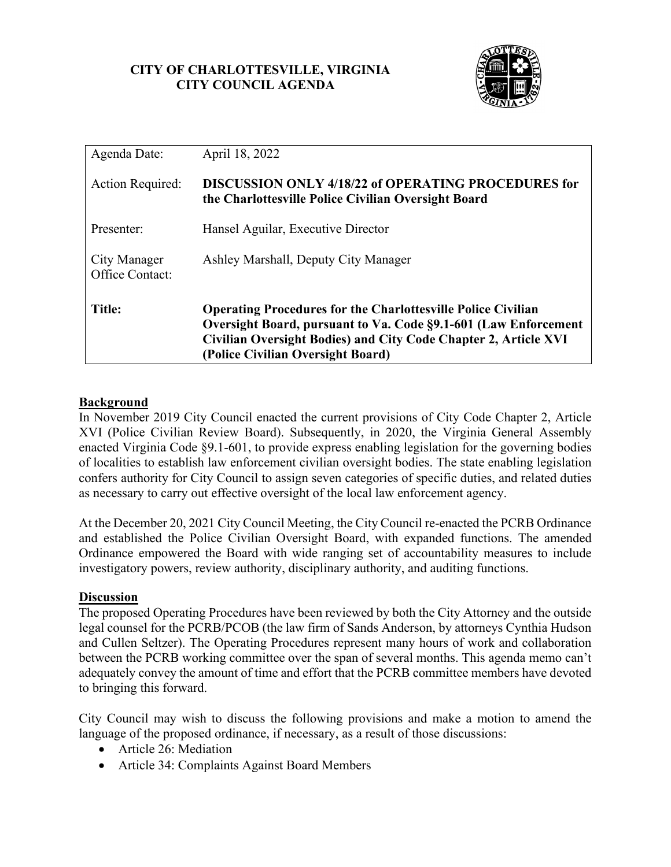## **CITY OF CHARLOTTESVILLE, VIRGINIA CITY COUNCIL AGENDA**



| Agenda Date:                    | April 18, 2022                                                                                                                                                                                                                                 |
|---------------------------------|------------------------------------------------------------------------------------------------------------------------------------------------------------------------------------------------------------------------------------------------|
| <b>Action Required:</b>         | <b>DISCUSSION ONLY 4/18/22 of OPERATING PROCEDURES for</b><br>the Charlottesville Police Civilian Oversight Board                                                                                                                              |
| Presenter:                      | Hansel Aguilar, Executive Director                                                                                                                                                                                                             |
| City Manager<br>Office Contact: | Ashley Marshall, Deputy City Manager                                                                                                                                                                                                           |
| <b>Title:</b>                   | <b>Operating Procedures for the Charlottesville Police Civilian</b><br>Oversight Board, pursuant to Va. Code §9.1-601 (Law Enforcement<br>Civilian Oversight Bodies) and City Code Chapter 2, Article XVI<br>(Police Civilian Oversight Board) |

## **Background**

In November 2019 City Council enacted the current provisions of City Code Chapter 2, Article XVI (Police Civilian Review Board). Subsequently, in 2020, the Virginia General Assembly enacted Virginia Code §9.1-601, to provide express enabling legislation for the governing bodies of localities to establish law enforcement civilian oversight bodies. The state enabling legislation confers authority for City Council to assign seven categories of specific duties, and related duties as necessary to carry out effective oversight of the local law enforcement agency.

At the December 20, 2021 City Council Meeting, the City Council re-enacted the PCRB Ordinance and established the Police Civilian Oversight Board, with expanded functions. The amended Ordinance empowered the Board with wide ranging set of accountability measures to include investigatory powers, review authority, disciplinary authority, and auditing functions.

## **Discussion**

The proposed Operating Procedures have been reviewed by both the City Attorney and the outside legal counsel for the PCRB/PCOB (the law firm of Sands Anderson, by attorneys Cynthia Hudson and Cullen Seltzer). The Operating Procedures represent many hours of work and collaboration between the PCRB working committee over the span of several months. This agenda memo can't adequately convey the amount of time and effort that the PCRB committee members have devoted to bringing this forward.

City Council may wish to discuss the following provisions and make a motion to amend the language of the proposed ordinance, if necessary, as a result of those discussions:

- Article 26: Mediation
- Article 34: Complaints Against Board Members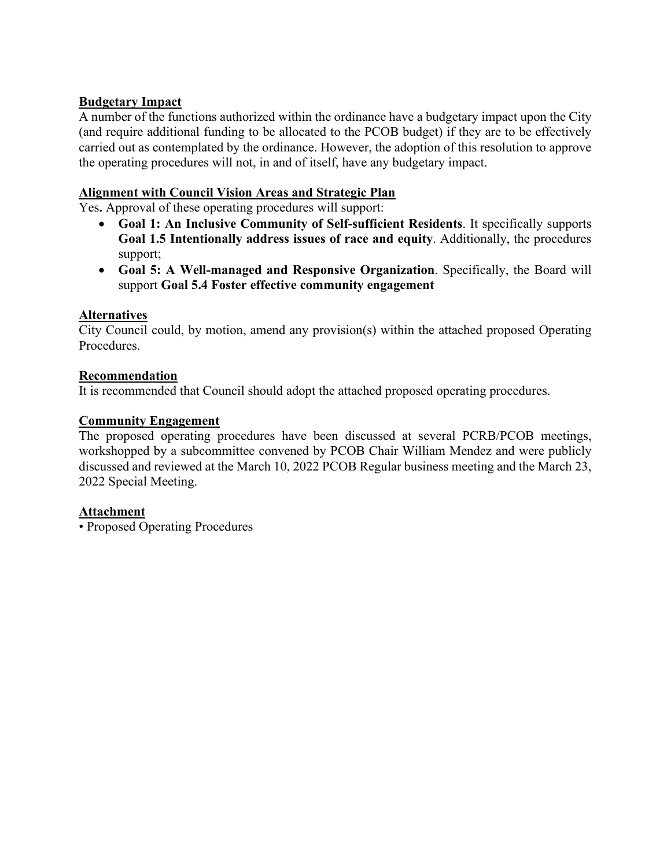## **Budgetary Impact**

A number of the functions authorized within the ordinance have a budgetary impact upon the City (and require additional funding to be allocated to the PCOB budget) if they are to be effectively carried out as contemplated by the ordinance. However, the adoption of this resolution to approve the operating procedures will not, in and of itself, have any budgetary impact.

# **Alignment with Council Vision Areas and Strategic Plan**

Yes**.** Approval of these operating procedures will support:

- **Goal 1: An Inclusive Community of Self-sufficient Residents**. It specifically supports **Goal 1.5 Intentionally address issues of race and equity**. Additionally, the procedures support;
- **Goal 5: A Well-managed and Responsive Organization**. Specifically, the Board will support **Goal 5.4 Foster effective community engagement**

# **Alternatives**

City Council could, by motion, amend any provision(s) within the attached proposed Operating Procedures.

## **Recommendation**

It is recommended that Council should adopt the attached proposed operating procedures.

# **Community Engagement**

The proposed operating procedures have been discussed at several PCRB/PCOB meetings, workshopped by a subcommittee convened by PCOB Chair William Mendez and were publicly discussed and reviewed at the March 10, 2022 PCOB Regular business meeting and the March 23, 2022 Special Meeting.

## **Attachment**

• Proposed Operating Procedures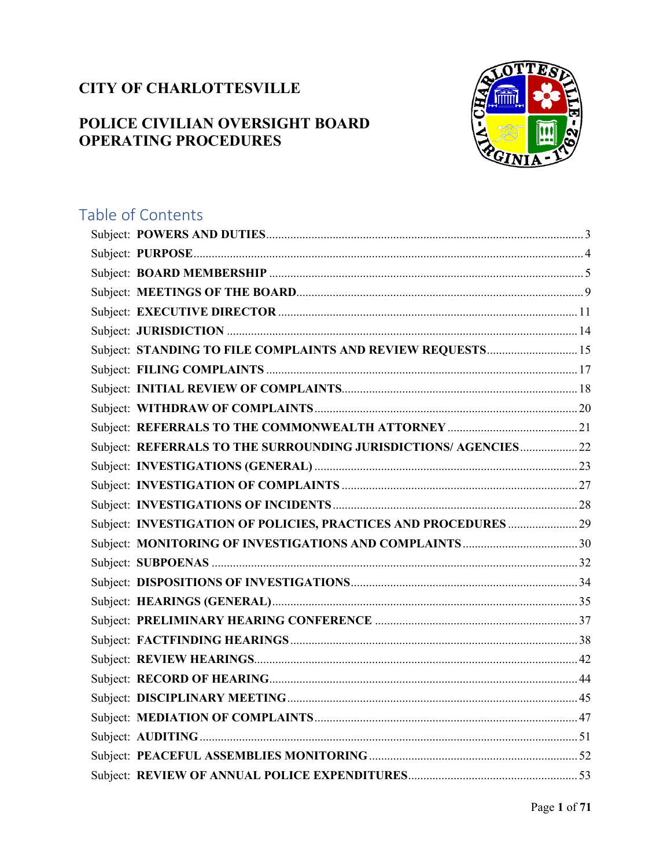# **CITY OF CHARLOTTESVILLE**

# **POLICE CIVILIAN OVERSIGHT BOARD OPERATING PROCEDURES**



# Table of Contents Subject: STANDING TO FILE COMPLAINTS AND REVIEW REQUESTS............................. 15 Subject: REFERRALS TO THE SURROUNDING JURISDICTIONS/ AGENCIES.................... 22 Subject: INVESTIGATION OF POLICIES, PRACTICES AND PROCEDURES ........................ 29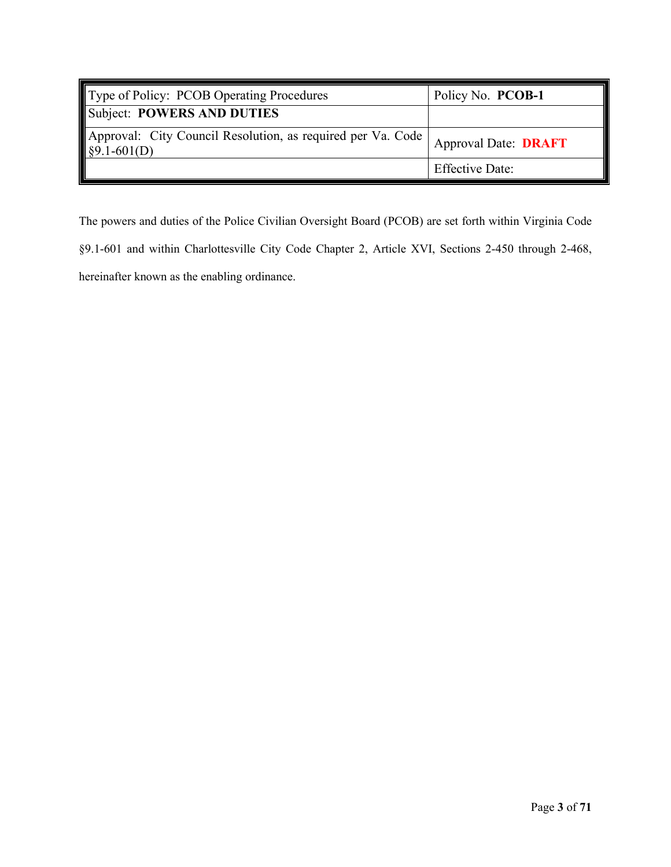<span id="page-4-0"></span>

| Type of Policy: PCOB Operating Procedures                                | Policy No. PCOB-1           |
|--------------------------------------------------------------------------|-----------------------------|
| Subject: POWERS AND DUTIES                                               |                             |
| Approval: City Council Resolution, as required per Va. Code \$9.1-601(D) | <b>Approval Date: DRAFT</b> |
|                                                                          | <b>Effective Date:</b>      |

The powers and duties of the Police Civilian Oversight Board (PCOB) are set forth within Virginia Code

§9.1-601 and within Charlottesville City Code Chapter 2, Article XVI, Sections 2-450 through 2-468,

hereinafter known as the enabling ordinance.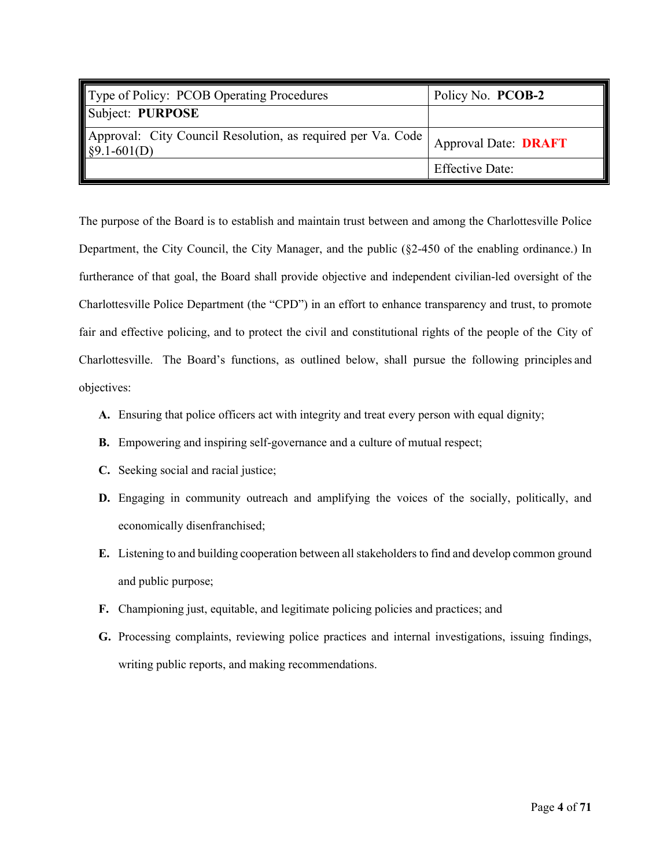<span id="page-5-0"></span>

| Type of Policy: PCOB Operating Procedures                               | Policy No. PCOB-2           |
|-------------------------------------------------------------------------|-----------------------------|
| Subject: PURPOSE                                                        |                             |
| Approval: City Council Resolution, as required per Va. Code §9.1-601(D) | <b>Approval Date: DRAFT</b> |
|                                                                         | <b>Effective Date:</b>      |

The purpose of the Board is to establish and maintain trust between and among the Charlottesville Police Department, the City Council, the City Manager, and the public (§2-450 of the enabling ordinance.) In furtherance of that goal, the Board shall provide objective and independent civilian-led oversight of the Charlottesville Police Department (the "CPD") in an effort to enhance transparency and trust, to promote fair and effective policing, and to protect the civil and constitutional rights of the people of the City of Charlottesville. The Board's functions, as outlined below, shall pursue the following principles and objectives:

- **A.** Ensuring that police officers act with integrity and treat every person with equal dignity;
- **B.** Empowering and inspiring self-governance and a culture of mutual respect;
- **C.** Seeking social and racial justice;
- **D.** Engaging in community outreach and amplifying the voices of the socially, politically, and economically disenfranchised;
- **E.** Listening to and building cooperation between all stakeholders to find and develop common ground and public purpose;
- **F.** Championing just, equitable, and legitimate policing policies and practices; and
- **G.** Processing complaints, reviewing police practices and internal investigations, issuing findings, writing public reports, and making recommendations.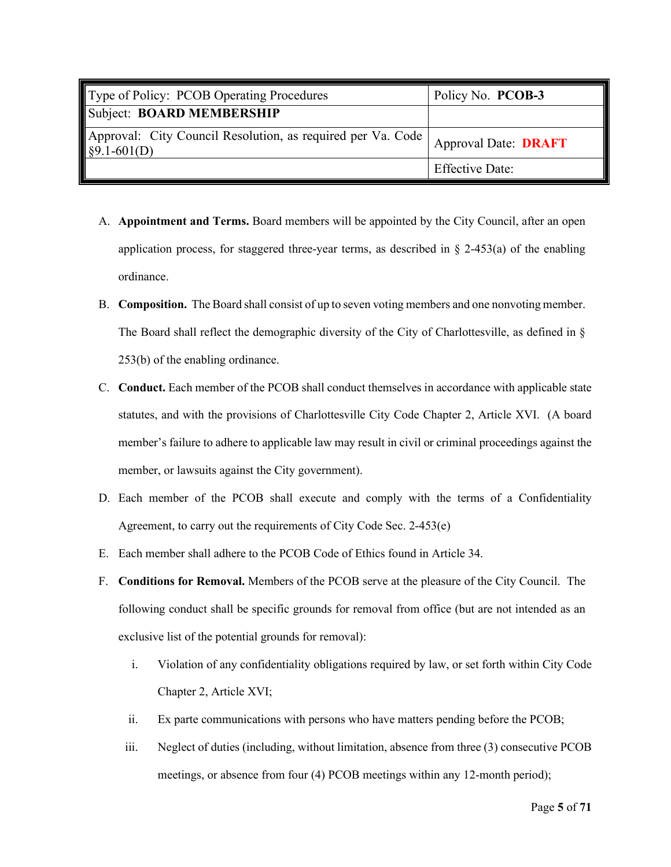<span id="page-6-0"></span>

| Type of Policy: PCOB Operating Procedures                                           | Policy No. PCOB-3           |
|-------------------------------------------------------------------------------------|-----------------------------|
| Subject: BOARD MEMBERSHIP                                                           |                             |
| Approval: City Council Resolution, as required per Va. Code<br>$\sqrt{$9.1-601(D)}$ | <b>Approval Date: DRAFT</b> |
|                                                                                     | <b>Effective Date:</b>      |

- A. **Appointment and Terms.** Board members will be appointed by the City Council, after an open application process, for staggered three-year terms, as described in  $\S$  2-453(a) of the enabling ordinance.
- B. **Composition.** The Board shall consist of up to seven voting members and one nonvoting member. The Board shall reflect the demographic diversity of the City of Charlottesville, as defined in § 253(b) of the enabling ordinance.
- C. **Conduct.** Each member of the PCOB shall conduct themselves in accordance with applicable state statutes, and with the provisions of Charlottesville City Code Chapter 2, Article XVI. (A board member's failure to adhere to applicable law may result in civil or criminal proceedings against the member, or lawsuits against the City government).
- D. Each member of the PCOB shall execute and comply with the terms of a Confidentiality Agreement, to carry out the requirements of City Code Sec. 2-453(e)
- E. Each member shall adhere to the PCOB Code of Ethics found in Article 34.
- F. **Conditions for Removal.** Members of the PCOB serve at the pleasure of the City Council. The following conduct shall be specific grounds for removal from office (but are not intended as an exclusive list of the potential grounds for removal):
	- i. Violation of any confidentiality obligations required by law, or set forth within City Code Chapter 2, Article XVI;
	- ii. Ex parte communications with persons who have matters pending before the PCOB;
	- iii. Neglect of duties (including, without limitation, absence from three (3) consecutive PCOB meetings, or absence from four (4) PCOB meetings within any 12-month period);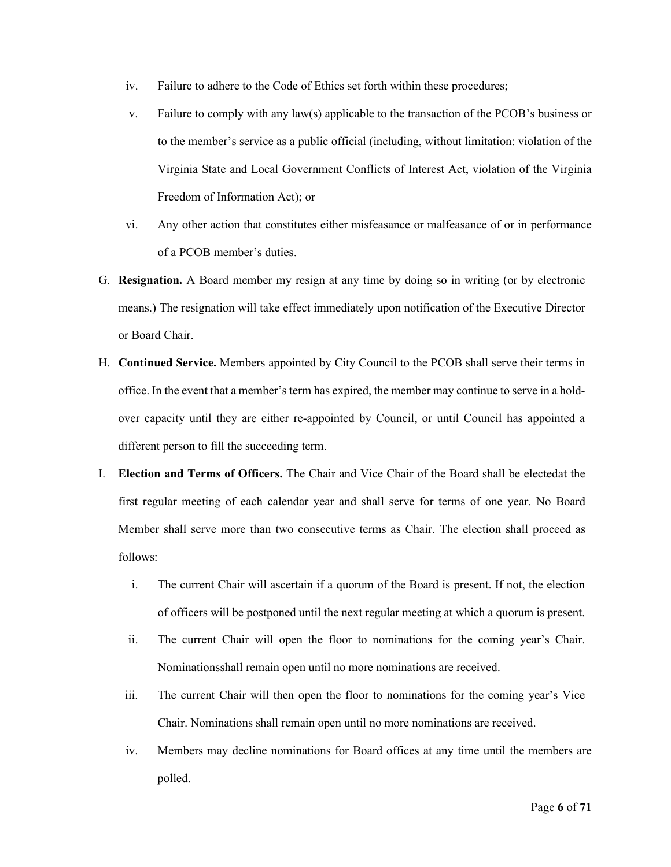- iv. Failure to adhere to the Code of Ethics set forth within these procedures;
- v. Failure to comply with any law(s) applicable to the transaction of the PCOB's business or to the member's service as a public official (including, without limitation: violation of the Virginia State and Local Government Conflicts of Interest Act, violation of the Virginia Freedom of Information Act); or
- vi. Any other action that constitutes either misfeasance or malfeasance of or in performance of a PCOB member's duties.
- G. **Resignation.** A Board member my resign at any time by doing so in writing (or by electronic means.) The resignation will take effect immediately upon notification of the Executive Director or Board Chair.
- H. **Continued Service.** Members appointed by City Council to the PCOB shall serve their terms in office. In the event that a member's term has expired, the member may continue to serve in a holdover capacity until they are either re-appointed by Council, or until Council has appointed a different person to fill the succeeding term.
- I. **Election and Terms of Officers.** The Chair and Vice Chair of the Board shall be electedat the first regular meeting of each calendar year and shall serve for terms of one year. No Board Member shall serve more than two consecutive terms as Chair. The election shall proceed as follows:
	- i. The current Chair will ascertain if a quorum of the Board is present. If not, the election of officers will be postponed until the next regular meeting at which a quorum is present.
	- ii. The current Chair will open the floor to nominations for the coming year's Chair. Nominationsshall remain open until no more nominations are received.
	- iii. The current Chair will then open the floor to nominations for the coming year's Vice Chair. Nominations shall remain open until no more nominations are received.
	- iv. Members may decline nominations for Board offices at any time until the members are polled.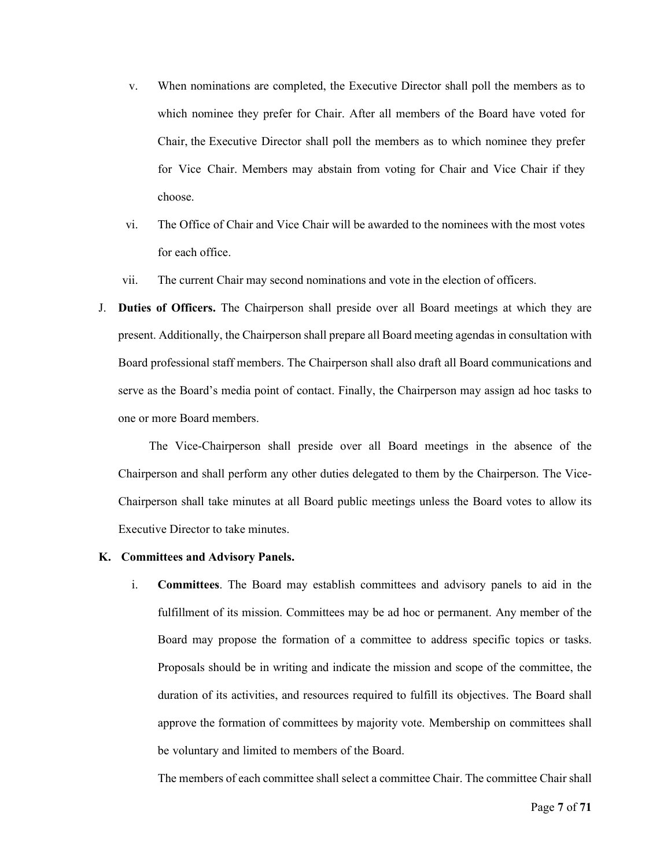- v. When nominations are completed, the Executive Director shall poll the members as to which nominee they prefer for Chair. After all members of the Board have voted for Chair, the Executive Director shall poll the members as to which nominee they prefer for Vice Chair. Members may abstain from voting for Chair and Vice Chair if they choose.
- vi. The Office of Chair and Vice Chair will be awarded to the nominees with the most votes for each office.
- vii. The current Chair may second nominations and vote in the election of officers.
- J. **Duties of Officers.** The Chairperson shall preside over all Board meetings at which they are present. Additionally, the Chairperson shall prepare all Board meeting agendas in consultation with Board professional staff members. The Chairperson shall also draft all Board communications and serve as the Board's media point of contact. Finally, the Chairperson may assign ad hoc tasks to one or more Board members.

The Vice-Chairperson shall preside over all Board meetings in the absence of the Chairperson and shall perform any other duties delegated to them by the Chairperson. The Vice-Chairperson shall take minutes at all Board public meetings unless the Board votes to allow its Executive Director to take minutes.

#### **K. Committees and Advisory Panels.**

i. **Committees**. The Board may establish committees and advisory panels to aid in the fulfillment of its mission. Committees may be ad hoc or permanent. Any member of the Board may propose the formation of a committee to address specific topics or tasks. Proposals should be in writing and indicate the mission and scope of the committee, the duration of its activities, and resources required to fulfill its objectives. The Board shall approve the formation of committees by majority vote. Membership on committees shall be voluntary and limited to members of the Board.

The members of each committee shall select a committee Chair. The committee Chair shall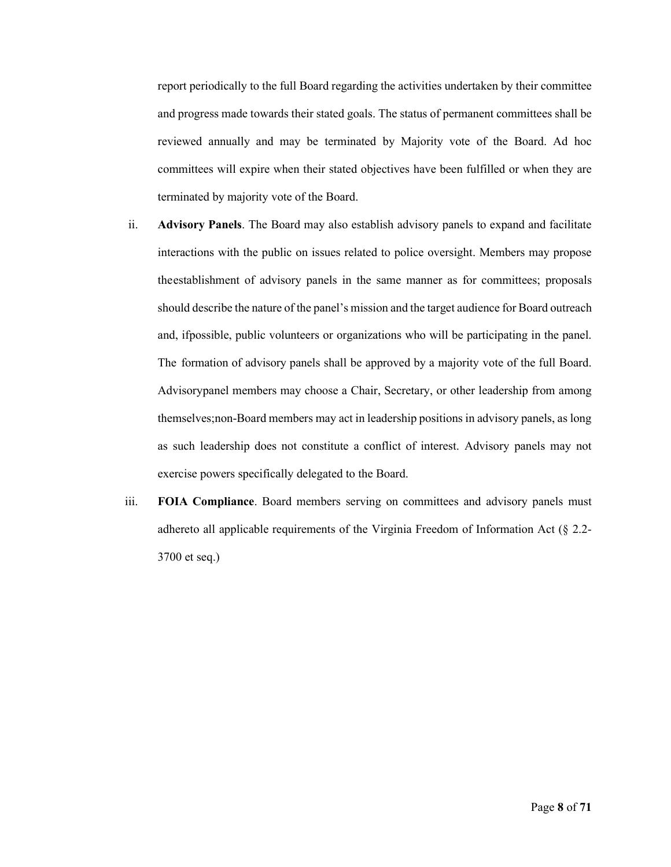report periodically to the full Board regarding the activities undertaken by their committee and progress made towards their stated goals. The status of permanent committees shall be reviewed annually and may be terminated by Majority vote of the Board. Ad hoc committees will expire when their stated objectives have been fulfilled or when they are terminated by majority vote of the Board.

- ii. **Advisory Panels**. The Board may also establish advisory panels to expand and facilitate interactions with the public on issues related to police oversight. Members may propose theestablishment of advisory panels in the same manner as for committees; proposals should describe the nature of the panel's mission and the target audience for Board outreach and, ifpossible, public volunteers or organizations who will be participating in the panel. The formation of advisory panels shall be approved by a majority vote of the full Board. Advisorypanel members may choose a Chair, Secretary, or other leadership from among themselves;non-Board members may act in leadership positions in advisory panels, as long as such leadership does not constitute a conflict of interest. Advisory panels may not exercise powers specifically delegated to the Board.
- iii. **FOIA Compliance**. Board members serving on committees and advisory panels must adhereto all applicable requirements of the Virginia Freedom of Information Act (§ 2.2- 3700 et seq.)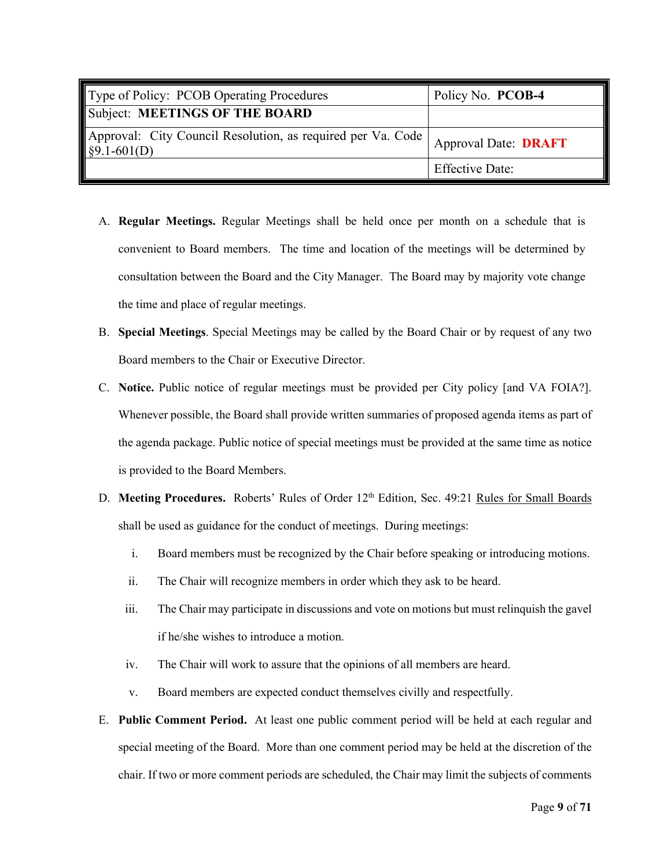<span id="page-10-0"></span>

| Type of Policy: PCOB Operating Procedures                                    | Policy No. PCOB-4           |
|------------------------------------------------------------------------------|-----------------------------|
| Subject: MEETINGS OF THE BOARD                                               |                             |
| Approval: City Council Resolution, as required per Va. Code<br>$§9.1-601(D)$ | <b>Approval Date: DRAFT</b> |
|                                                                              | <b>Effective Date:</b>      |

- A. **Regular Meetings.** Regular Meetings shall be held once per month on a schedule that is convenient to Board members. The time and location of the meetings will be determined by consultation between the Board and the City Manager. The Board may by majority vote change the time and place of regular meetings.
- B. **Special Meetings**. Special Meetings may be called by the Board Chair or by request of any two Board members to the Chair or Executive Director.
- C. **Notice.** Public notice of regular meetings must be provided per City policy [and VA FOIA?]. Whenever possible, the Board shall provide written summaries of proposed agenda items as part of the agenda package. Public notice of special meetings must be provided at the same time as notice is provided to the Board Members.
- D. Meeting Procedures. Roberts' Rules of Order 12<sup>th</sup> Edition, Sec. 49:21 Rules for Small Boards shall be used as guidance for the conduct of meetings. During meetings:
	- i. Board members must be recognized by the Chair before speaking or introducing motions.
	- ii. The Chair will recognize members in order which they ask to be heard.
	- iii. The Chair may participate in discussions and vote on motions but must relinquish the gavel if he/she wishes to introduce a motion.
	- iv. The Chair will work to assure that the opinions of all members are heard.
	- v. Board members are expected conduct themselves civilly and respectfully.
- E. **Public Comment Period.** At least one public comment period will be held at each regular and special meeting of the Board. More than one comment period may be held at the discretion of the chair. If two or more comment periods are scheduled, the Chair may limit the subjects of comments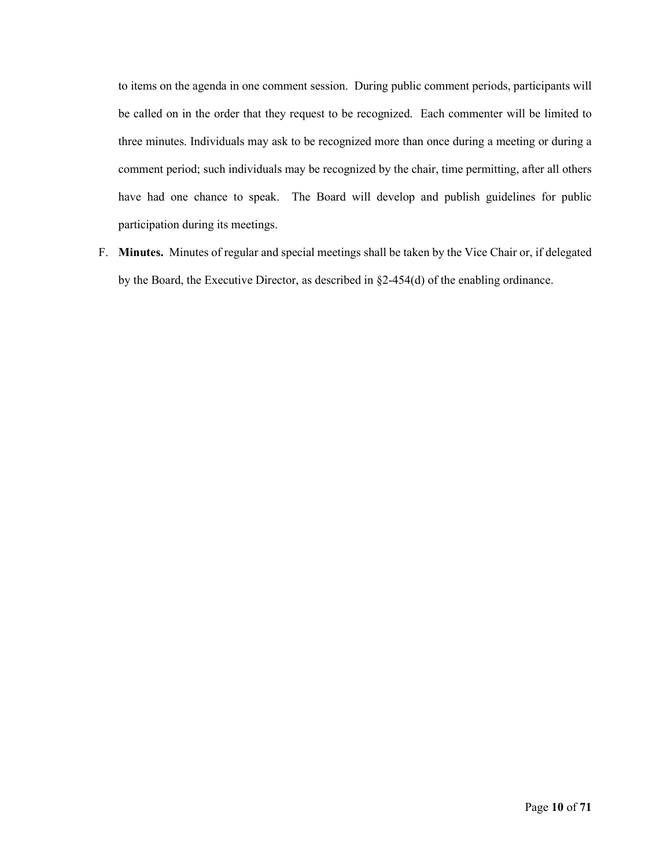to items on the agenda in one comment session. During public comment periods, participants will be called on in the order that they request to be recognized. Each commenter will be limited to three minutes. Individuals may ask to be recognized more than once during a meeting or during a comment period; such individuals may be recognized by the chair, time permitting, after all others have had one chance to speak. The Board will develop and publish guidelines for public participation during its meetings.

F. **Minutes.** Minutes of regular and special meetings shall be taken by the Vice Chair or, if delegated by the Board, the Executive Director, as described in §2-454(d) of the enabling ordinance.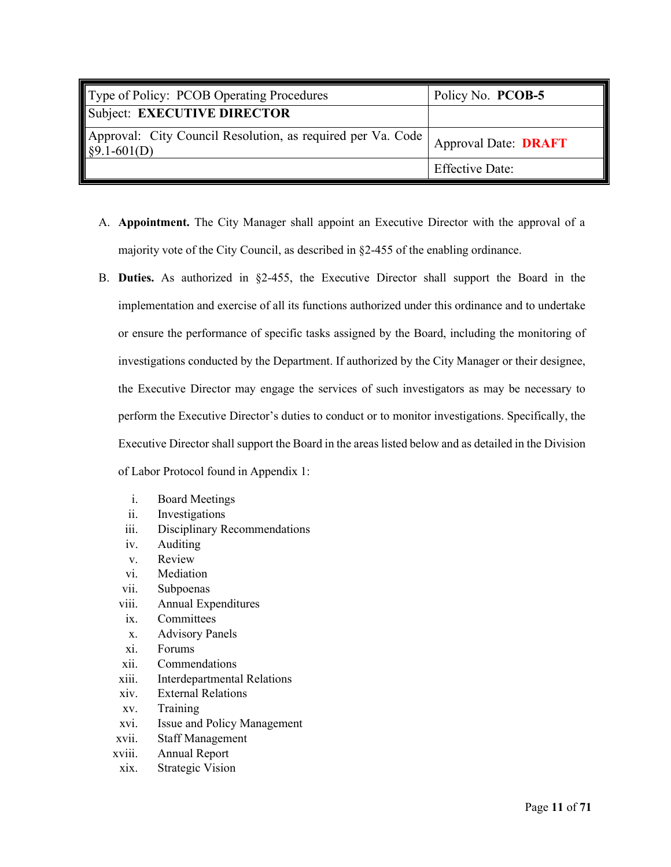<span id="page-12-0"></span>

| Type of Policy: PCOB Operating Procedures                                             | Policy No. PCOB-5           |
|---------------------------------------------------------------------------------------|-----------------------------|
| Subject: EXECUTIVE DIRECTOR                                                           |                             |
| Approval: City Council Resolution, as required per Va. Code  <br>$\sqrt{$9.1-601(D)}$ | <b>Approval Date: DRAFT</b> |
|                                                                                       | <b>Effective Date:</b>      |

- A. **Appointment.** The City Manager shall appoint an Executive Director with the approval of a majority vote of the City Council, as described in §2-455 of the enabling ordinance.
- B. **Duties.** As authorized in §2-455, the Executive Director shall support the Board in the implementation and exercise of all its functions authorized under this ordinance and to undertake or ensure the performance of specific tasks assigned by the Board, including the monitoring of investigations conducted by the Department. If authorized by the City Manager or their designee, the Executive Director may engage the services of such investigators as may be necessary to perform the Executive Director's duties to conduct or to monitor investigations. Specifically, the Executive Director shall support the Board in the areas listed below and as detailed in the Division of Labor Protocol found in Appendix 1:
	- i. Board Meetings
	- ii. Investigations
	- iii. Disciplinary Recommendations
	- iv. Auditing
	- v. Review
	- vi. Mediation
	- vii. Subpoenas
	- viii. Annual Expenditures
	- ix. Committees
	- x. Advisory Panels
	- xi. Forums
	- xii. Commendations
	- xiii. Interdepartmental Relations
	- xiv. External Relations
	- xv. Training
	- xvi. Issue and Policy Management
	- xvii. Staff Management
	- xviii. Annual Report
	- xix. Strategic Vision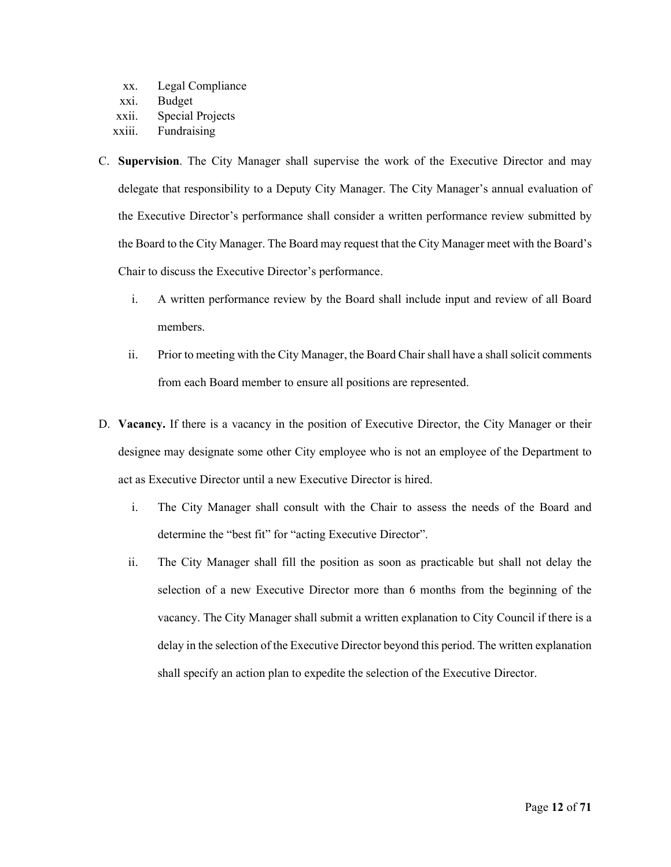- xx. Legal Compliance xxi. Budget
- xxii. Special Projects
- xxiii. Fundraising
- C. **Supervision**. The City Manager shall supervise the work of the Executive Director and may delegate that responsibility to a Deputy City Manager. The City Manager's annual evaluation of the Executive Director's performance shall consider a written performance review submitted by the Board to the City Manager. The Board may request that the City Manager meet with the Board's Chair to discuss the Executive Director's performance.
	- i. A written performance review by the Board shall include input and review of all Board members.
	- ii. Prior to meeting with the City Manager, the Board Chair shall have a shall solicit comments from each Board member to ensure all positions are represented.
- D. **Vacancy.** If there is a vacancy in the position of Executive Director, the City Manager or their designee may designate some other City employee who is not an employee of the Department to act as Executive Director until a new Executive Director is hired.
	- i. The City Manager shall consult with the Chair to assess the needs of the Board and determine the "best fit" for "acting Executive Director".
	- ii. The City Manager shall fill the position as soon as practicable but shall not delay the selection of a new Executive Director more than 6 months from the beginning of the vacancy. The City Manager shall submit a written explanation to City Council if there is a delay in the selection of the Executive Director beyond this period. The written explanation shall specify an action plan to expedite the selection of the Executive Director.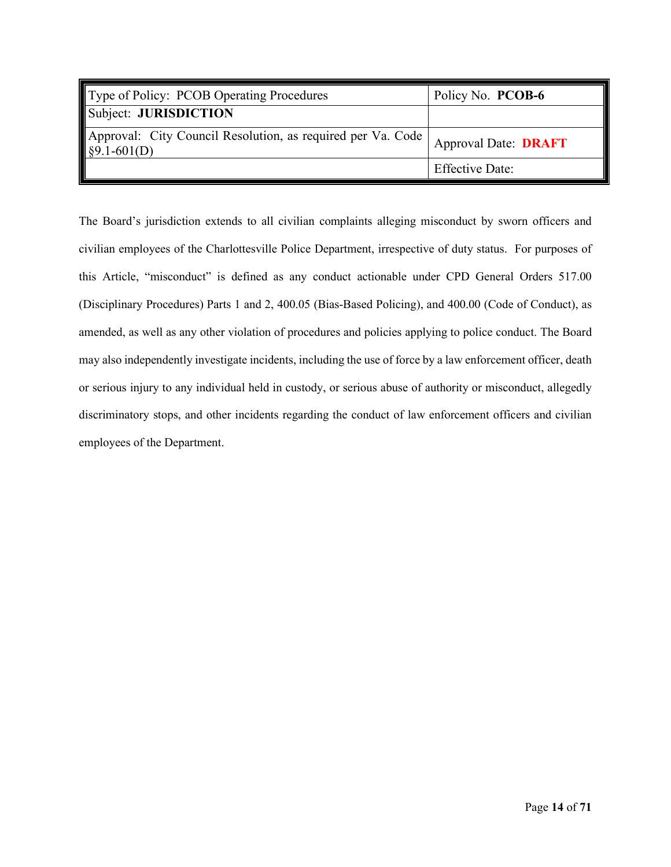<span id="page-15-0"></span>

| Type of Policy: PCOB Operating Procedures                               | Policy No. PCOB-6           |
|-------------------------------------------------------------------------|-----------------------------|
| Subject: JURISDICTION                                                   |                             |
| Approval: City Council Resolution, as required per Va. Code §9.1-601(D) | <b>Approval Date: DRAFT</b> |
|                                                                         | <b>Effective Date:</b>      |

The Board's jurisdiction extends to all civilian complaints alleging misconduct by sworn officers and civilian employees of the Charlottesville Police Department, irrespective of duty status. For purposes of this Article, "misconduct" is defined as any conduct actionable under CPD General Orders 517.00 (Disciplinary Procedures) Parts 1 and 2, 400.05 (Bias-Based Policing), and 400.00 (Code of Conduct), as amended, as well as any other violation of procedures and policies applying to police conduct. The Board may also independently investigate incidents, including the use of force by a law enforcement officer, death or serious injury to any individual held in custody, or serious abuse of authority or misconduct, allegedly discriminatory stops, and other incidents regarding the conduct of law enforcement officers and civilian employees of the Department.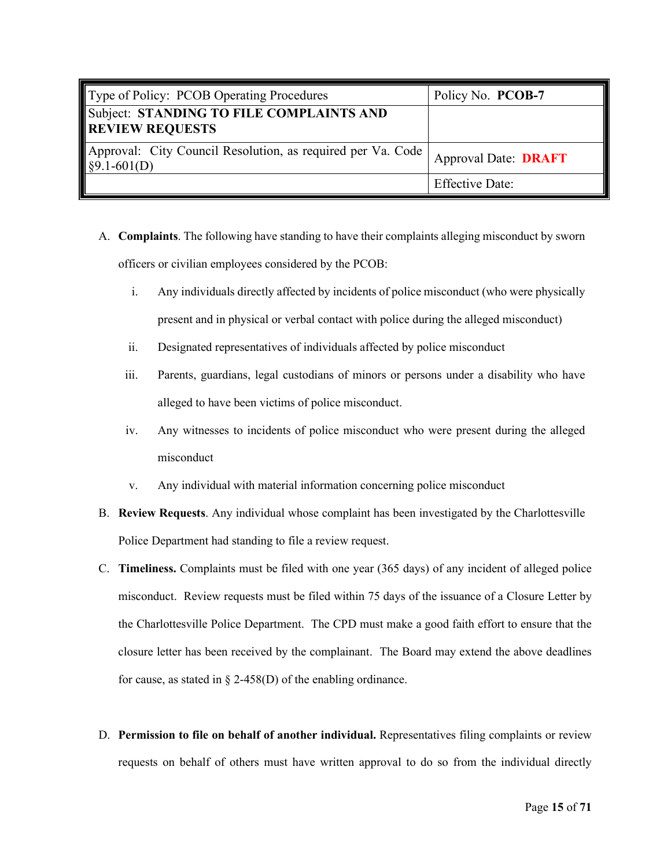<span id="page-16-0"></span>

| Type of Policy: PCOB Operating Procedures                                         | Policy No. PCOB-7           |
|-----------------------------------------------------------------------------------|-----------------------------|
| Subject: STANDING TO FILE COMPLAINTS AND<br><b>REVIEW REQUESTS</b>                |                             |
| Approval: City Council Resolution, as required per Va. Code  <br>$\S9.1 - 601(D)$ | <b>Approval Date: DRAFT</b> |
|                                                                                   | <b>Effective Date:</b>      |

- A. **Complaints**. The following have standing to have their complaints alleging misconduct by sworn officers or civilian employees considered by the PCOB:
	- i. Any individuals directly affected by incidents of police misconduct (who were physically present and in physical or verbal contact with police during the alleged misconduct)
	- ii. Designated representatives of individuals affected by police misconduct
	- iii. Parents, guardians, legal custodians of minors or persons under a disability who have alleged to have been victims of police misconduct.
	- iv. Any witnesses to incidents of police misconduct who were present during the alleged misconduct
	- v. Any individual with material information concerning police misconduct
- B. **Review Requests**. Any individual whose complaint has been investigated by the Charlottesville Police Department had standing to file a review request.
- C. **Timeliness.** Complaints must be filed with one year (365 days) of any incident of alleged police misconduct. Review requests must be filed within 75 days of the issuance of a Closure Letter by the Charlottesville Police Department. The CPD must make a good faith effort to ensure that the closure letter has been received by the complainant. The Board may extend the above deadlines for cause, as stated in  $\S$  2-458(D) of the enabling ordinance.
- D. **Permission to file on behalf of another individual.** Representatives filing complaints or review requests on behalf of others must have written approval to do so from the individual directly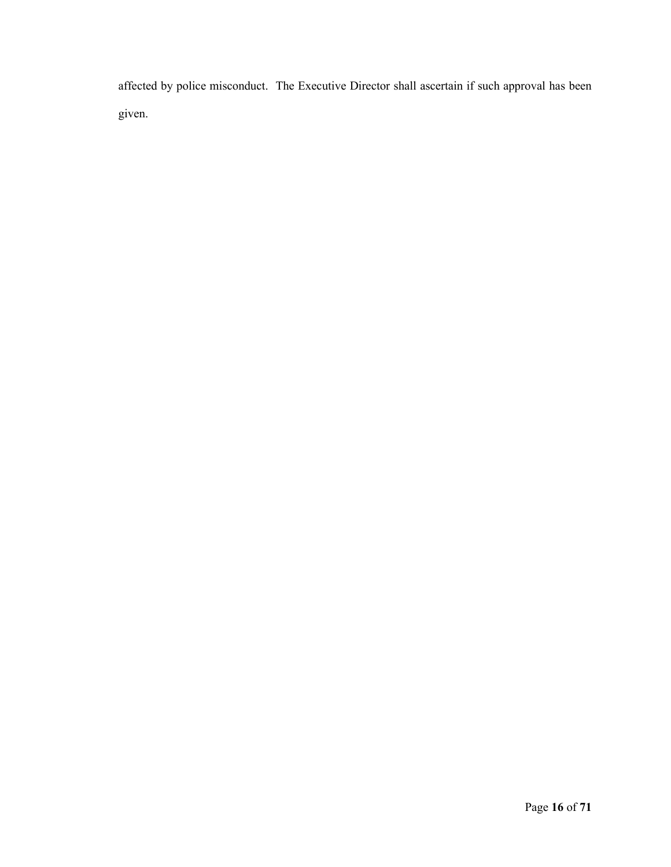affected by police misconduct. The Executive Director shall ascertain if such approval has been given.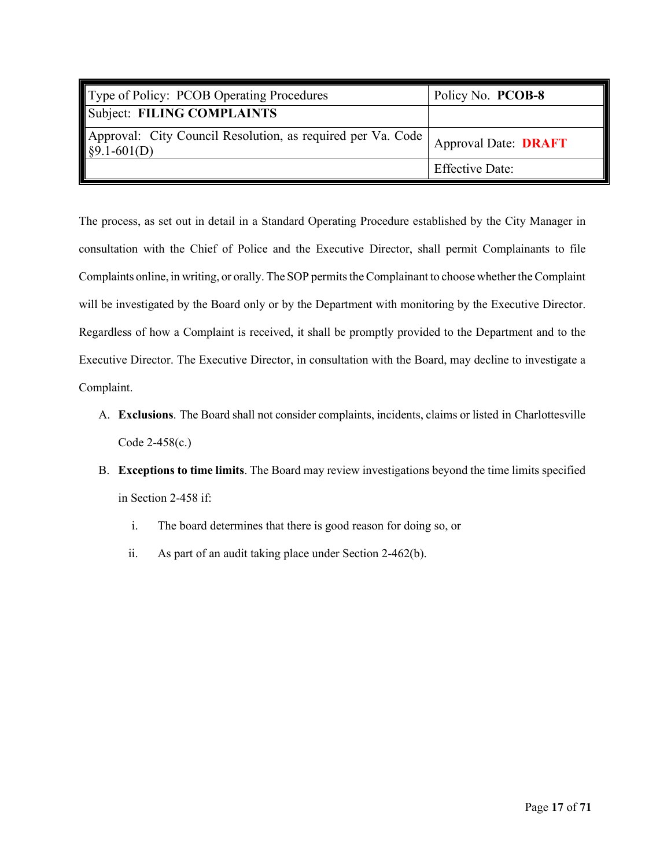<span id="page-18-0"></span>

| Type of Policy: PCOB Operating Procedures                                | Policy No. PCOB-8           |
|--------------------------------------------------------------------------|-----------------------------|
| Subject: FILING COMPLAINTS                                               |                             |
| Approval: City Council Resolution, as required per Va. Code \$9.1-601(D) | <b>Approval Date: DRAFT</b> |
|                                                                          | <b>Effective Date:</b>      |

The process, as set out in detail in a Standard Operating Procedure established by the City Manager in consultation with the Chief of Police and the Executive Director, shall permit Complainants to file Complaints online, in writing, or orally. The SOP permits the Complainant to choose whether the Complaint will be investigated by the Board only or by the Department with monitoring by the Executive Director. Regardless of how a Complaint is received, it shall be promptly provided to the Department and to the Executive Director. The Executive Director, in consultation with the Board, may decline to investigate a Complaint.

- A. **Exclusions**. The Board shall not consider complaints, incidents, claims or listed in Charlottesville Code 2-458(c.)
- B. **Exceptions to time limits**. The Board may review investigations beyond the time limits specified in Section 2-458 if:
	- i. The board determines that there is good reason for doing so, or
	- ii. As part of an audit taking place under Section 2-462(b).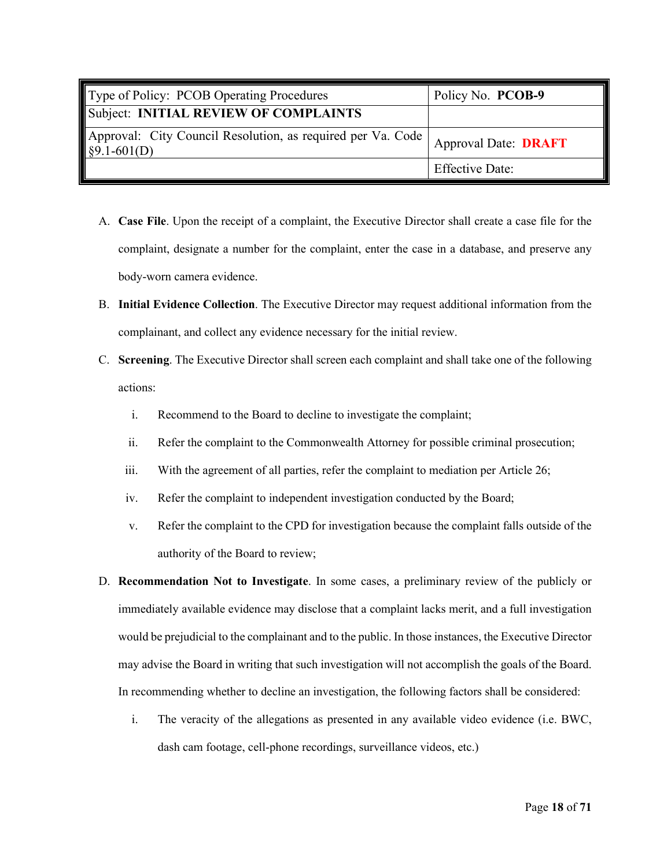<span id="page-19-0"></span>

| Type of Policy: PCOB Operating Procedures                                      | Policy No. PCOB-9           |
|--------------------------------------------------------------------------------|-----------------------------|
| Subject: INITIAL REVIEW OF COMPLAINTS                                          |                             |
| Approval: City Council Resolution, as required per Va. Code  <br>$§9.1-601(D)$ | <b>Approval Date: DRAFT</b> |
|                                                                                | <b>Effective Date:</b>      |

- A. **Case File**. Upon the receipt of a complaint, the Executive Director shall create a case file for the complaint, designate a number for the complaint, enter the case in a database, and preserve any body-worn camera evidence.
- B. **Initial Evidence Collection**. The Executive Director may request additional information from the complainant, and collect any evidence necessary for the initial review.
- C. **Screening**. The Executive Director shall screen each complaint and shall take one of the following actions:
	- i. Recommend to the Board to decline to investigate the complaint;
	- ii. Refer the complaint to the Commonwealth Attorney for possible criminal prosecution;
	- iii. With the agreement of all parties, refer the complaint to mediation per Article 26;
	- iv. Refer the complaint to independent investigation conducted by the Board;
	- v. Refer the complaint to the CPD for investigation because the complaint falls outside of the authority of the Board to review;
- D. **Recommendation Not to Investigate**. In some cases, a preliminary review of the publicly or immediately available evidence may disclose that a complaint lacks merit, and a full investigation would be prejudicial to the complainant and to the public. In those instances, the Executive Director may advise the Board in writing that such investigation will not accomplish the goals of the Board. In recommending whether to decline an investigation, the following factors shall be considered:
	- i. The veracity of the allegations as presented in any available video evidence (i.e. BWC, dash cam footage, cell-phone recordings, surveillance videos, etc.)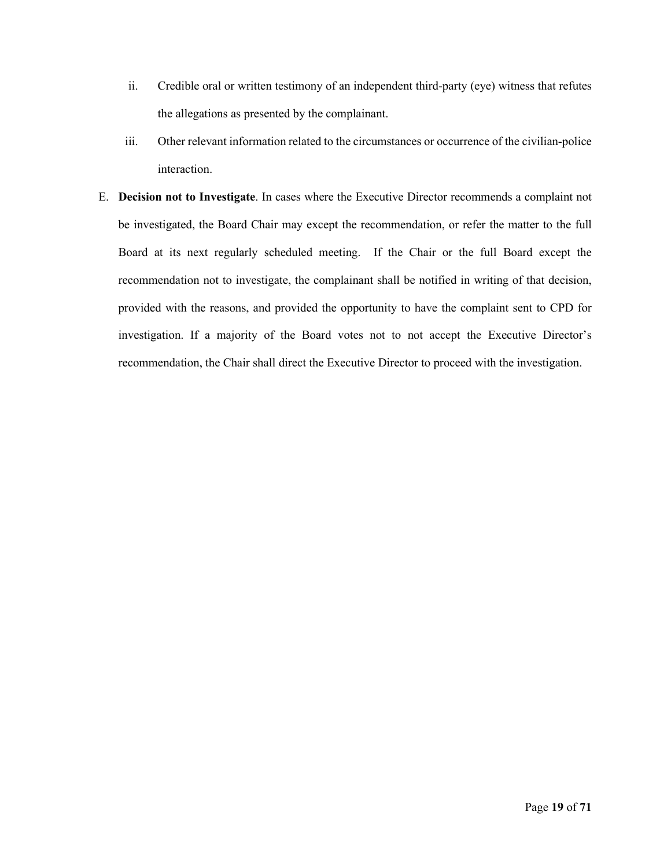- ii. Credible oral or written testimony of an independent third-party (eye) witness that refutes the allegations as presented by the complainant.
- iii. Other relevant information related to the circumstances or occurrence of the civilian-police interaction.
- E. **Decision not to Investigate**. In cases where the Executive Director recommends a complaint not be investigated, the Board Chair may except the recommendation, or refer the matter to the full Board at its next regularly scheduled meeting. If the Chair or the full Board except the recommendation not to investigate, the complainant shall be notified in writing of that decision, provided with the reasons, and provided the opportunity to have the complaint sent to CPD for investigation. If a majority of the Board votes not to not accept the Executive Director's recommendation, the Chair shall direct the Executive Director to proceed with the investigation.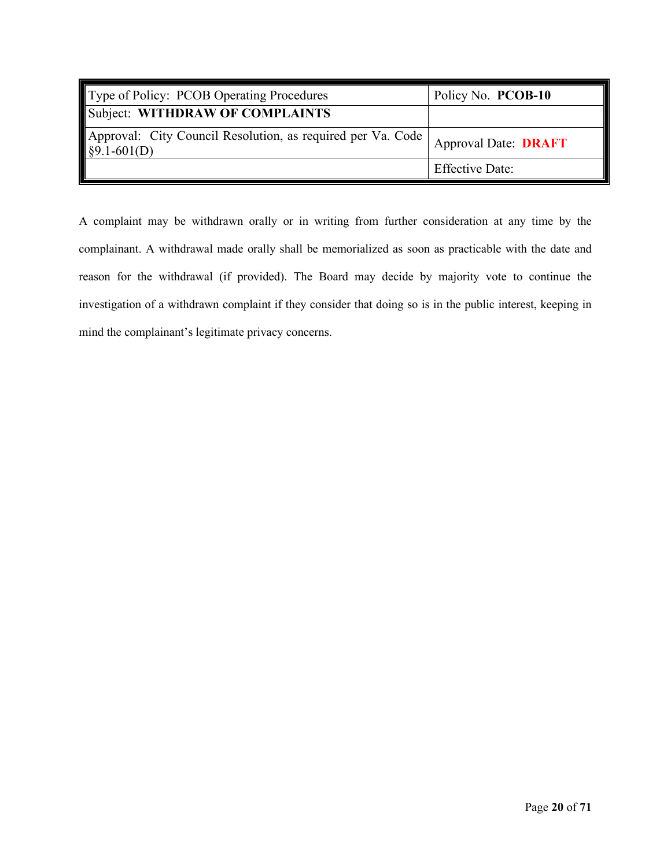<span id="page-21-0"></span>

| Type of Policy: PCOB Operating Procedures                                             | Policy No. PCOB-10          |
|---------------------------------------------------------------------------------------|-----------------------------|
| Subject: WITHDRAW OF COMPLAINTS                                                       |                             |
| Approval: City Council Resolution, as required per Va. Code  <br>$\sqrt{$9.1-601(D)}$ | <b>Approval Date: DRAFT</b> |
|                                                                                       | <b>Effective Date:</b>      |

A complaint may be withdrawn orally or in writing from further consideration at any time by the complainant. A withdrawal made orally shall be memorialized as soon as practicable with the date and reason for the withdrawal (if provided). The Board may decide by majority vote to continue the investigation of a withdrawn complaint if they consider that doing so is in the public interest, keeping in mind the complainant's legitimate privacy concerns.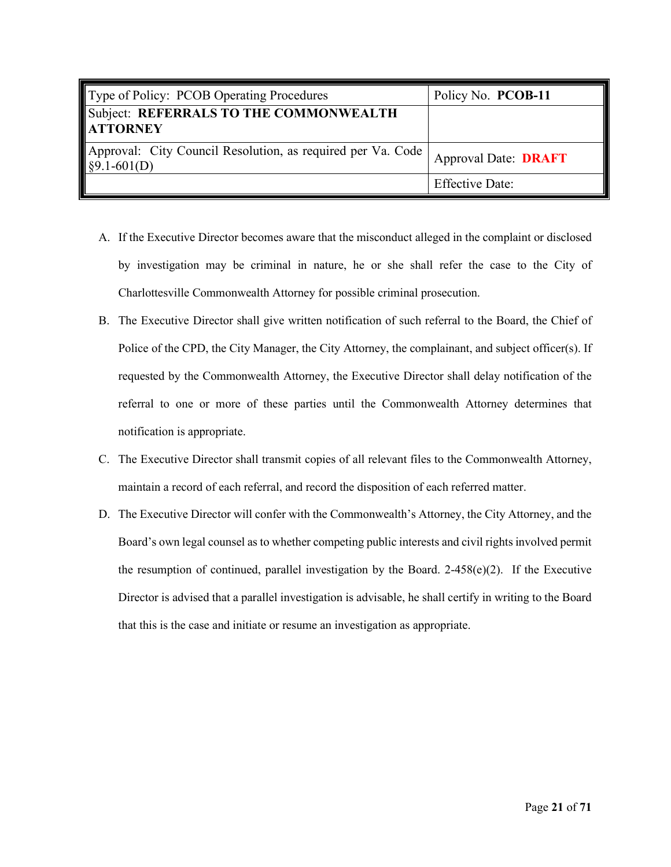<span id="page-22-0"></span>

| Type of Policy: PCOB Operating Procedures                                    | Policy No. PCOB-11          |
|------------------------------------------------------------------------------|-----------------------------|
| Subject: REFERRALS TO THE COMMONWEALTH<br><b>ATTORNEY</b>                    |                             |
| Approval: City Council Resolution, as required per Va. Code<br>$§9.1-601(D)$ | <b>Approval Date: DRAFT</b> |
|                                                                              | <b>Effective Date:</b>      |

- A. If the Executive Director becomes aware that the misconduct alleged in the complaint or disclosed by investigation may be criminal in nature, he or she shall refer the case to the City of Charlottesville Commonwealth Attorney for possible criminal prosecution.
- B. The Executive Director shall give written notification of such referral to the Board, the Chief of Police of the CPD, the City Manager, the City Attorney, the complainant, and subject officer(s). If requested by the Commonwealth Attorney, the Executive Director shall delay notification of the referral to one or more of these parties until the Commonwealth Attorney determines that notification is appropriate.
- C. The Executive Director shall transmit copies of all relevant files to the Commonwealth Attorney, maintain a record of each referral, and record the disposition of each referred matter.
- D. The Executive Director will confer with the Commonwealth's Attorney, the City Attorney, and the Board's own legal counsel as to whether competing public interests and civil rights involved permit the resumption of continued, parallel investigation by the Board.  $2-458(e)(2)$ . If the Executive Director is advised that a parallel investigation is advisable, he shall certify in writing to the Board that this is the case and initiate or resume an investigation as appropriate.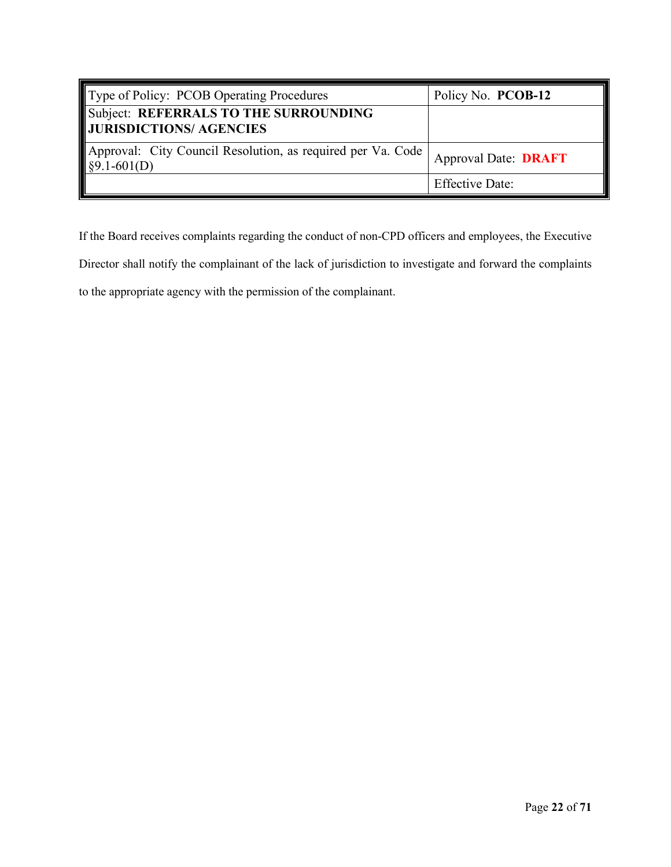<span id="page-23-0"></span>

| Type of Policy: PCOB Operating Procedures                                                            | Policy No. PCOB-12          |
|------------------------------------------------------------------------------------------------------|-----------------------------|
| Subject: REFERRALS TO THE SURROUNDING<br>JURISDICTIONS/ AGENCIES                                     |                             |
| Approval: City Council Resolution, as required per Va. Code<br>$\left  \frac{89.1 - 601}{D} \right $ | <b>Approval Date: DRAFT</b> |
|                                                                                                      | <b>Effective Date:</b>      |

If the Board receives complaints regarding the conduct of non-CPD officers and employees, the Executive

Director shall notify the complainant of the lack of jurisdiction to investigate and forward the complaints

to the appropriate agency with the permission of the complainant.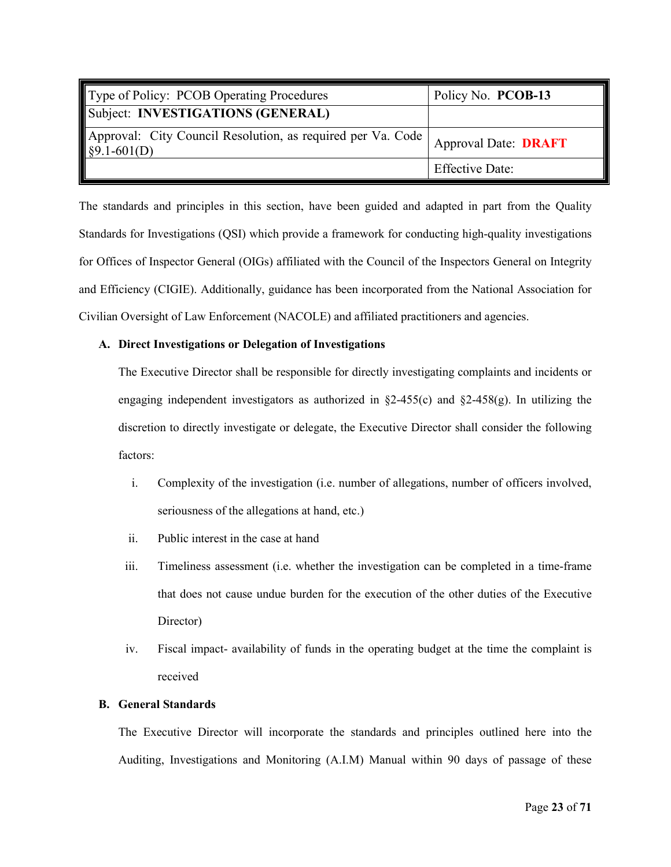<span id="page-24-0"></span>

| Type of Policy: PCOB Operating Procedures                                                          | Policy No. PCOB-13          |
|----------------------------------------------------------------------------------------------------|-----------------------------|
| Subject: INVESTIGATIONS (GENERAL)                                                                  |                             |
| Approval: City Council Resolution, as required per Va. Code  <br>$\left  \frac{1}{2}$ \$9.1-601(D) | <b>Approval Date: DRAFT</b> |
|                                                                                                    | <b>Effective Date:</b>      |

The standards and principles in this section, have been guided and adapted in part from the Quality Standards for Investigations (QSI) which provide a framework for conducting high-quality investigations for Offices of Inspector General (OIGs) affiliated with the Council of the Inspectors General on Integrity and Efficiency (CIGIE). Additionally, guidance has been incorporated from the National Association for Civilian Oversight of Law Enforcement (NACOLE) and affiliated practitioners and agencies.

### **A. Direct Investigations or Delegation of Investigations**

The Executive Director shall be responsible for directly investigating complaints and incidents or engaging independent investigators as authorized in  $\S2-455(c)$  and  $\S2-458(g)$ . In utilizing the discretion to directly investigate or delegate, the Executive Director shall consider the following factors:

- i. Complexity of the investigation (i.e. number of allegations, number of officers involved, seriousness of the allegations at hand, etc.)
- ii. Public interest in the case at hand
- iii. Timeliness assessment (i.e. whether the investigation can be completed in a time-frame that does not cause undue burden for the execution of the other duties of the Executive Director)
- iv. Fiscal impact- availability of funds in the operating budget at the time the complaint is received

### **B. General Standards**

The Executive Director will incorporate the standards and principles outlined here into the Auditing, Investigations and Monitoring (A.I.M) Manual within 90 days of passage of these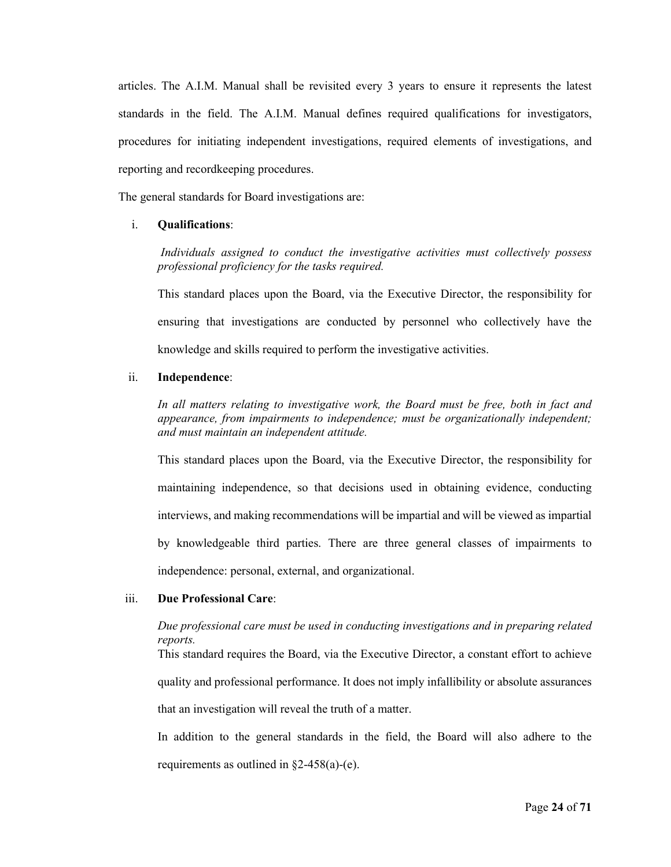articles. The A.I.M. Manual shall be revisited every 3 years to ensure it represents the latest standards in the field. The A.I.M. Manual defines required qualifications for investigators, procedures for initiating independent investigations, required elements of investigations, and reporting and recordkeeping procedures.

The general standards for Board investigations are:

### i. **Qualifications**:

*Individuals assigned to conduct the investigative activities must collectively possess professional proficiency for the tasks required.*

This standard places upon the Board, via the Executive Director, the responsibility for ensuring that investigations are conducted by personnel who collectively have the knowledge and skills required to perform the investigative activities.

### ii. **Independence**:

*In all matters relating to investigative work, the Board must be free, both in fact and appearance, from impairments to independence; must be organizationally independent; and must maintain an independent attitude.*

This standard places upon the Board, via the Executive Director, the responsibility for maintaining independence, so that decisions used in obtaining evidence, conducting interviews, and making recommendations will be impartial and will be viewed as impartial by knowledgeable third parties. There are three general classes of impairments to independence: personal, external, and organizational.

#### iii. **Due Professional Care**:

# *Due professional care must be used in conducting investigations and in preparing related reports.* This standard requires the Board, via the Executive Director, a constant effort to achieve quality and professional performance. It does not imply infallibility or absolute assurances that an investigation will reveal the truth of a matter.

In addition to the general standards in the field, the Board will also adhere to the requirements as outlined in §2-458(a)-(e).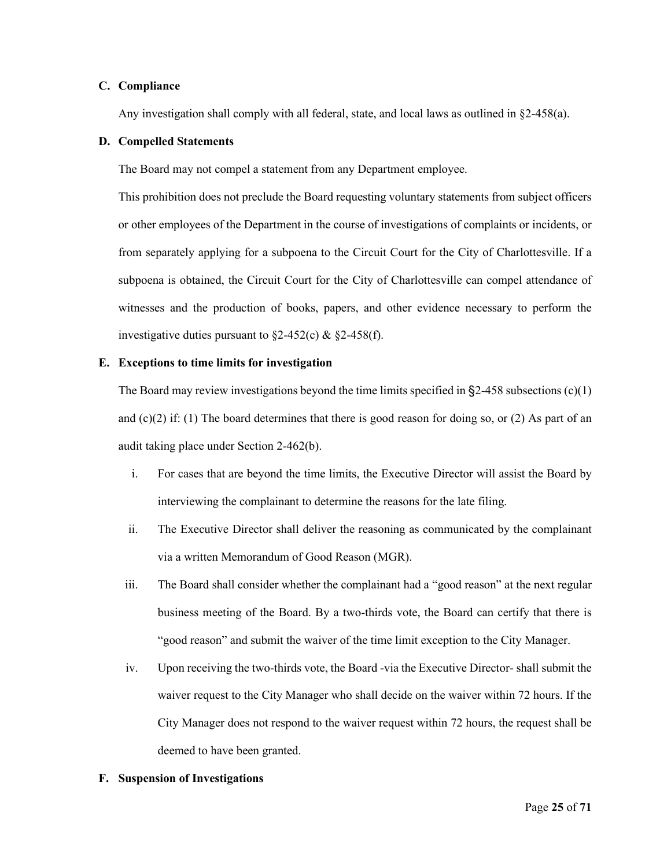#### **C. Compliance**

Any investigation shall comply with all federal, state, and local laws as outlined in §2-458(a).

#### **D. Compelled Statements**

The Board may not compel a statement from any Department employee.

This prohibition does not preclude the Board requesting voluntary statements from subject officers or other employees of the Department in the course of investigations of complaints or incidents, or from separately applying for a subpoena to the Circuit Court for the City of Charlottesville. If a subpoena is obtained, the Circuit Court for the City of Charlottesville can compel attendance of witnesses and the production of books, papers, and other evidence necessary to perform the investigative duties pursuant to  $\S2-452(c)$  &  $\S2-458(f)$ .

#### **E. Exceptions to time limits for investigation**

The Board may review investigations beyond the time limits specified in  $\S2-458$  subsections (c)(1) and  $(c)(2)$  if: (1) The board determines that there is good reason for doing so, or (2) As part of an audit taking place under Section 2-462(b).

- i. For cases that are beyond the time limits, the Executive Director will assist the Board by interviewing the complainant to determine the reasons for the late filing.
- ii. The Executive Director shall deliver the reasoning as communicated by the complainant via a written Memorandum of Good Reason (MGR).
- iii. The Board shall consider whether the complainant had a "good reason" at the next regular business meeting of the Board. By a two-thirds vote, the Board can certify that there is "good reason" and submit the waiver of the time limit exception to the City Manager.
- iv. Upon receiving the two-thirds vote, the Board -via the Executive Director- shall submit the waiver request to the City Manager who shall decide on the waiver within 72 hours. If the City Manager does not respond to the waiver request within 72 hours, the request shall be deemed to have been granted.

#### **F. Suspension of Investigations**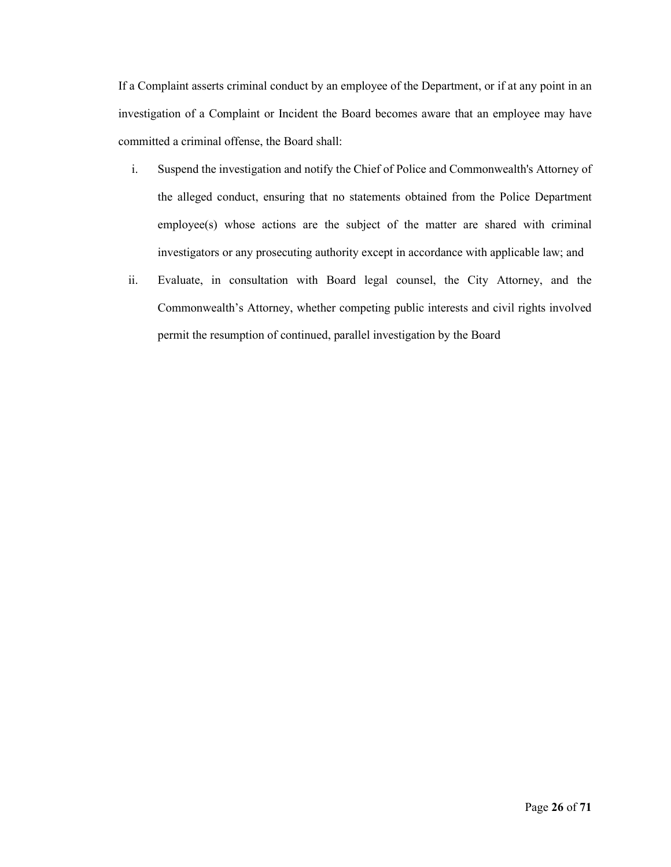If a Complaint asserts criminal conduct by an employee of the Department, or if at any point in an investigation of a Complaint or Incident the Board becomes aware that an employee may have committed a criminal offense, the Board shall:

- i. Suspend the investigation and notify the Chief of Police and Commonwealth's Attorney of the alleged conduct, ensuring that no statements obtained from the Police Department employee(s) whose actions are the subject of the matter are shared with criminal investigators or any prosecuting authority except in accordance with applicable law; and
- ii. Evaluate, in consultation with Board legal counsel, the City Attorney, and the Commonwealth's Attorney, whether competing public interests and civil rights involved permit the resumption of continued, parallel investigation by the Board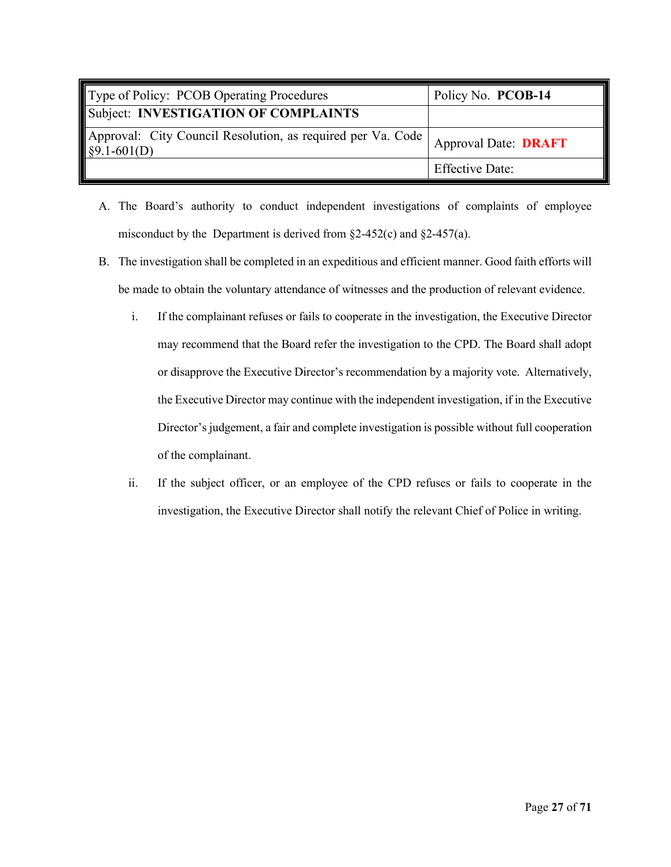<span id="page-28-0"></span>

| Type of Policy: PCOB Operating Procedures                                      | Policy No. PCOB-14          |
|--------------------------------------------------------------------------------|-----------------------------|
| Subject: INVESTIGATION OF COMPLAINTS                                           |                             |
| Approval: City Council Resolution, as required per Va. Code  <br>$§9.1-601(D)$ | <b>Approval Date: DRAFT</b> |
|                                                                                | <b>Effective Date:</b>      |

- A. The Board's authority to conduct independent investigations of complaints of employee misconduct by the Department is derived from  $\S2-452(c)$  and  $\S2-457(a)$ .
- B. The investigation shall be completed in an expeditious and efficient manner. Good faith efforts will be made to obtain the voluntary attendance of witnesses and the production of relevant evidence.
	- i. If the complainant refuses or fails to cooperate in the investigation, the Executive Director may recommend that the Board refer the investigation to the CPD. The Board shall adopt or disapprove the Executive Director's recommendation by a majority vote. Alternatively, the Executive Director may continue with the independent investigation, if in the Executive Director's judgement, a fair and complete investigation is possible without full cooperation of the complainant.
	- ii. If the subject officer, or an employee of the CPD refuses or fails to cooperate in the investigation, the Executive Director shall notify the relevant Chief of Police in writing.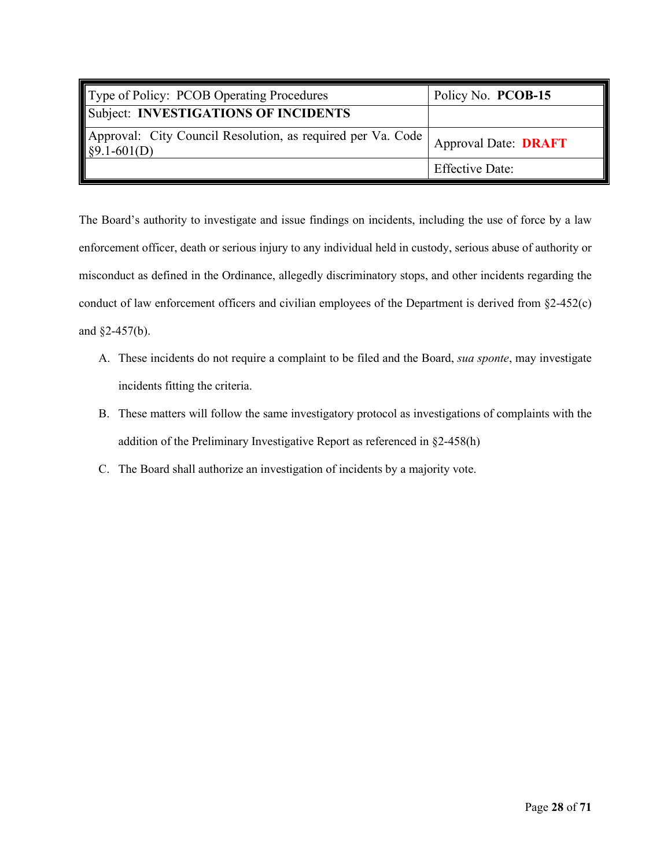<span id="page-29-0"></span>

| Type of Policy: PCOB Operating Procedures                                             | Policy No. PCOB-15          |
|---------------------------------------------------------------------------------------|-----------------------------|
| Subject: INVESTIGATIONS OF INCIDENTS                                                  |                             |
| Approval: City Council Resolution, as required per Va. Code  <br>$\sqrt{$9.1-601(D)}$ | <b>Approval Date: DRAFT</b> |
|                                                                                       | <b>Effective Date:</b>      |

The Board's authority to investigate and issue findings on incidents, including the use of force by a law enforcement officer, death or serious injury to any individual held in custody, serious abuse of authority or misconduct as defined in the Ordinance, allegedly discriminatory stops, and other incidents regarding the conduct of law enforcement officers and civilian employees of the Department is derived from §2-452(c) and §2-457(b).

- A. These incidents do not require a complaint to be filed and the Board, *sua sponte*, may investigate incidents fitting the criteria.
- B. These matters will follow the same investigatory protocol as investigations of complaints with the addition of the Preliminary Investigative Report as referenced in §2-458(h)
- C. The Board shall authorize an investigation of incidents by a majority vote.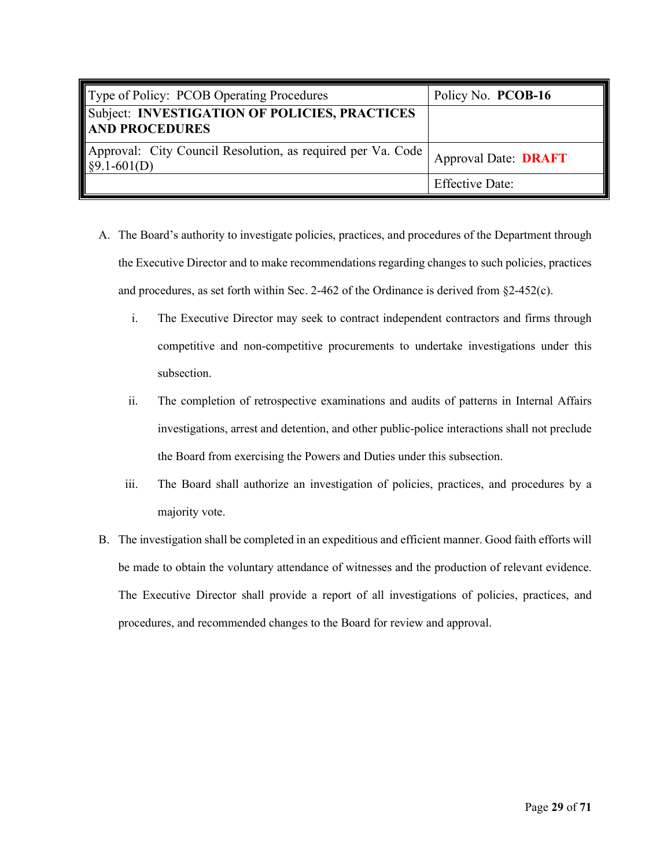<span id="page-30-0"></span>

| Type of Policy: PCOB Operating Procedures                                         | Policy No. PCOB-16          |
|-----------------------------------------------------------------------------------|-----------------------------|
| Subject: INVESTIGATION OF POLICIES, PRACTICES<br><b>AND PROCEDURES</b>            |                             |
| Approval: City Council Resolution, as required per Va. Code  <br>$\S9.1 - 601(D)$ | <b>Approval Date: DRAFT</b> |
|                                                                                   | <b>Effective Date:</b>      |

- A. The Board's authority to investigate policies, practices, and procedures of the Department through the Executive Director and to make recommendations regarding changes to such policies, practices and procedures, as set forth within Sec. 2-462 of the Ordinance is derived from §2-452(c).
	- i. The Executive Director may seek to contract independent contractors and firms through competitive and non-competitive procurements to undertake investigations under this subsection.
	- ii. The completion of retrospective examinations and audits of patterns in Internal Affairs investigations, arrest and detention, and other public-police interactions shall not preclude the Board from exercising the Powers and Duties under this subsection.
	- iii. The Board shall authorize an investigation of policies, practices, and procedures by a majority vote.
- B. The investigation shall be completed in an expeditious and efficient manner. Good faith efforts will be made to obtain the voluntary attendance of witnesses and the production of relevant evidence. The Executive Director shall provide a report of all investigations of policies, practices, and procedures, and recommended changes to the Board for review and approval.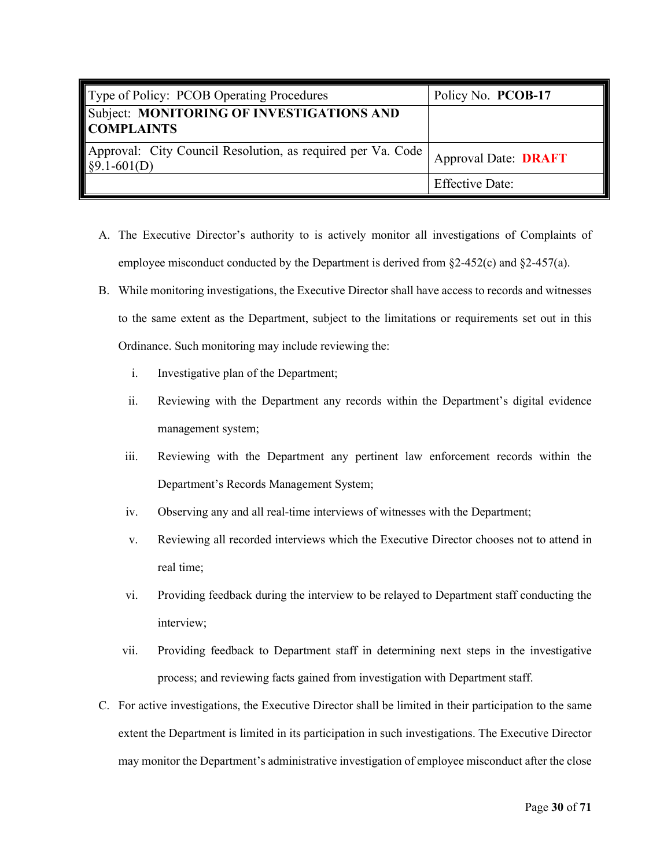<span id="page-31-0"></span>

| Type of Policy: PCOB Operating Procedures                                    | Policy No. PCOB-17          |
|------------------------------------------------------------------------------|-----------------------------|
| Subject: MONITORING OF INVESTIGATIONS AND<br><b>COMPLAINTS</b>               |                             |
| Approval: City Council Resolution, as required per Va. Code<br>$§9.1-601(D)$ | <b>Approval Date: DRAFT</b> |
|                                                                              | <b>Effective Date:</b>      |

- A. The Executive Director's authority to is actively monitor all investigations of Complaints of employee misconduct conducted by the Department is derived from  $\S$ 2-452(c) and  $\S$ 2-457(a).
- B. While monitoring investigations, the Executive Director shall have access to records and witnesses to the same extent as the Department, subject to the limitations or requirements set out in this Ordinance. Such monitoring may include reviewing the:
	- i. Investigative plan of the Department;
	- ii. Reviewing with the Department any records within the Department's digital evidence management system;
	- iii. Reviewing with the Department any pertinent law enforcement records within the Department's Records Management System;
	- iv. Observing any and all real-time interviews of witnesses with the Department;
	- v. Reviewing all recorded interviews which the Executive Director chooses not to attend in real time;
	- vi. Providing feedback during the interview to be relayed to Department staff conducting the interview;
	- vii. Providing feedback to Department staff in determining next steps in the investigative process; and reviewing facts gained from investigation with Department staff.
- C. For active investigations, the Executive Director shall be limited in their participation to the same extent the Department is limited in its participation in such investigations. The Executive Director may monitor the Department's administrative investigation of employee misconduct after the close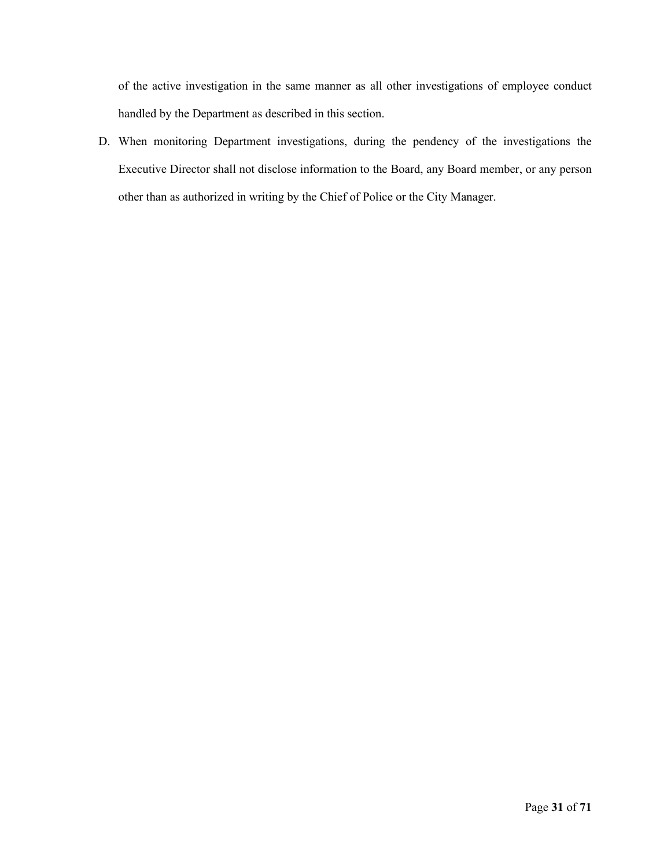of the active investigation in the same manner as all other investigations of employee conduct handled by the Department as described in this section.

D. When monitoring Department investigations, during the pendency of the investigations the Executive Director shall not disclose information to the Board, any Board member, or any person other than as authorized in writing by the Chief of Police or the City Manager.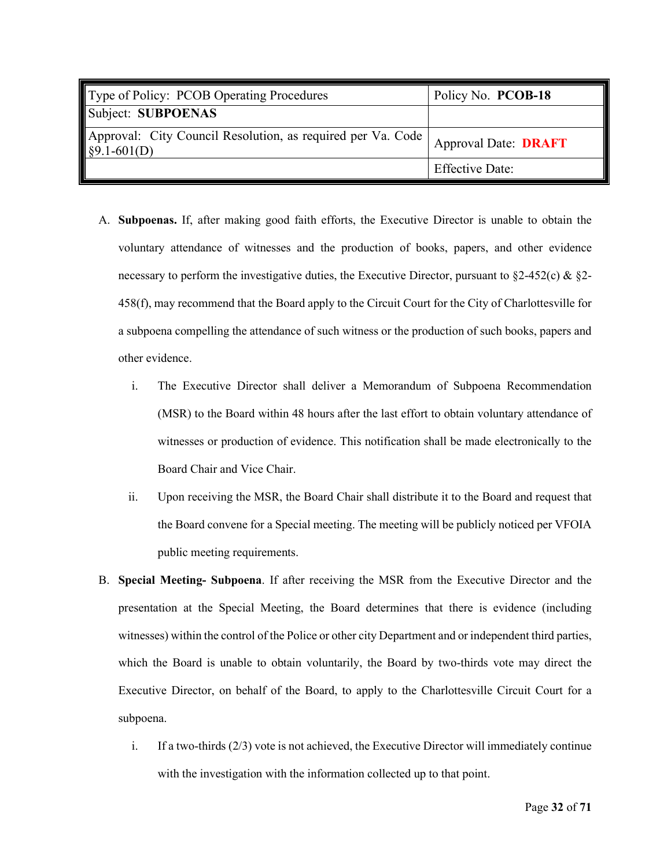<span id="page-33-0"></span>

| Type of Policy: PCOB Operating Procedures                                             | Policy No. PCOB-18          |
|---------------------------------------------------------------------------------------|-----------------------------|
| Subject: SUBPOENAS                                                                    |                             |
| Approval: City Council Resolution, as required per Va. Code  <br>$\sqrt{$9.1-601(D)}$ | <b>Approval Date: DRAFT</b> |
|                                                                                       | <b>Effective Date:</b>      |

- A. **Subpoenas.** If, after making good faith efforts, the Executive Director is unable to obtain the voluntary attendance of witnesses and the production of books, papers, and other evidence necessary to perform the investigative duties, the Executive Director, pursuant to  $\S2-452(c)$  &  $\S2-$ 458(f), may recommend that the Board apply to the Circuit Court for the City of Charlottesville for a subpoena compelling the attendance of such witness or the production of such books, papers and other evidence.
	- i. The Executive Director shall deliver a Memorandum of Subpoena Recommendation (MSR) to the Board within 48 hours after the last effort to obtain voluntary attendance of witnesses or production of evidence. This notification shall be made electronically to the Board Chair and Vice Chair.
	- ii. Upon receiving the MSR, the Board Chair shall distribute it to the Board and request that the Board convene for a Special meeting. The meeting will be publicly noticed per VFOIA public meeting requirements.
- B. **Special Meeting- Subpoena**. If after receiving the MSR from the Executive Director and the presentation at the Special Meeting, the Board determines that there is evidence (including witnesses) within the control of the Police or other city Department and or independent third parties, which the Board is unable to obtain voluntarily, the Board by two-thirds vote may direct the Executive Director, on behalf of the Board, to apply to the Charlottesville Circuit Court for a subpoena.
	- i. If a two-thirds (2/3) vote is not achieved, the Executive Director will immediately continue with the investigation with the information collected up to that point.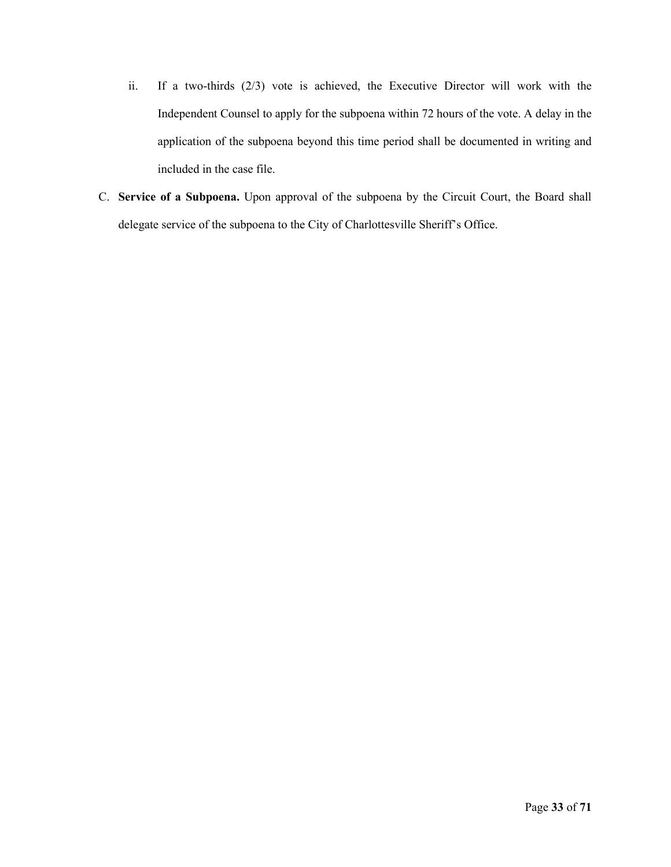- ii. If a two-thirds (2/3) vote is achieved, the Executive Director will work with the Independent Counsel to apply for the subpoena within 72 hours of the vote. A delay in the application of the subpoena beyond this time period shall be documented in writing and included in the case file.
- C. **Service of a Subpoena.** Upon approval of the subpoena by the Circuit Court, the Board shall delegate service of the subpoena to the City of Charlottesville Sheriff's Office.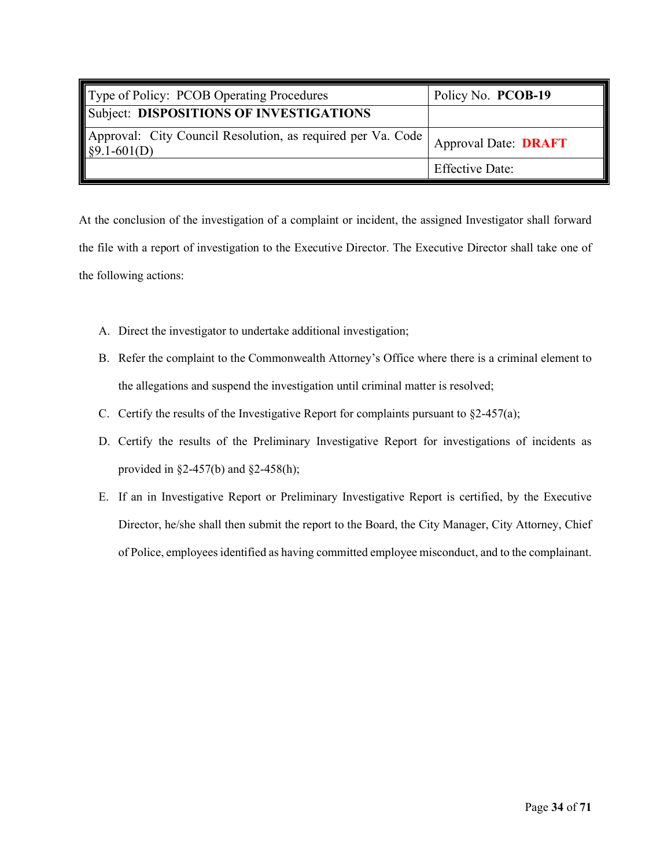<span id="page-35-0"></span>

| Type of Policy: PCOB Operating Procedures                                                        | Policy No. PCOB-19          |
|--------------------------------------------------------------------------------------------------|-----------------------------|
| Subject: DISPOSITIONS OF INVESTIGATIONS                                                          |                             |
| Approval: City Council Resolution, as required per Va. Code<br>$\left  \frac{1}{2}$ \$9.1-601(D) | <b>Approval Date: DRAFT</b> |
|                                                                                                  | <b>Effective Date:</b>      |

At the conclusion of the investigation of a complaint or incident, the assigned Investigator shall forward the file with a report of investigation to the Executive Director. The Executive Director shall take one of the following actions:

- A. Direct the investigator to undertake additional investigation;
- B. Refer the complaint to the Commonwealth Attorney's Office where there is a criminal element to the allegations and suspend the investigation until criminal matter is resolved;
- C. Certify the results of the Investigative Report for complaints pursuant to  $\S2-457(a)$ ;
- D. Certify the results of the Preliminary Investigative Report for investigations of incidents as provided in §2-457(b) and §2-458(h);
- E. If an in Investigative Report or Preliminary Investigative Report is certified, by the Executive Director, he/she shall then submit the report to the Board, the City Manager, City Attorney, Chief of Police, employees identified as having committed employee misconduct, and to the complainant.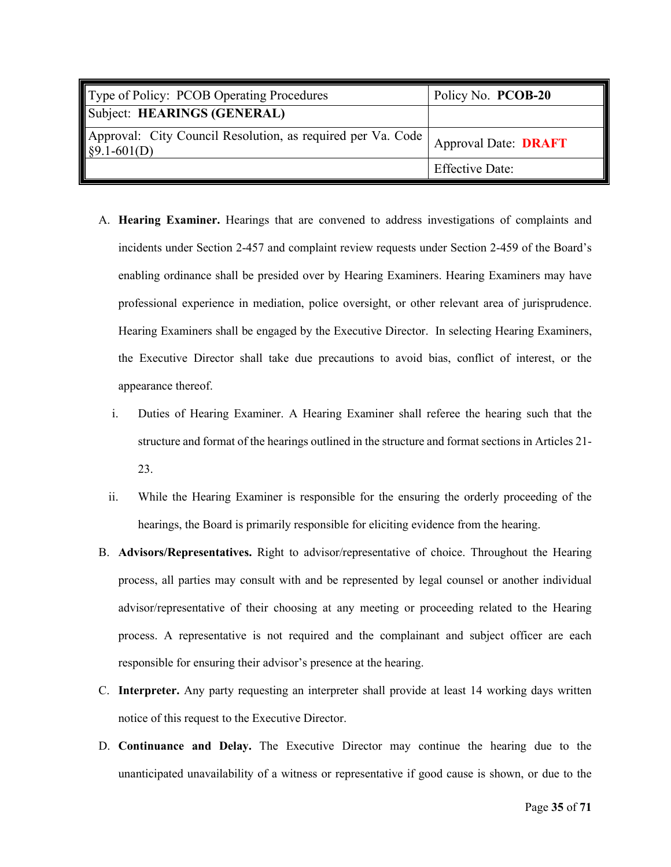| Type of Policy: PCOB Operating Procedures                                             | Policy No. PCOB-20          |
|---------------------------------------------------------------------------------------|-----------------------------|
| Subject: HEARINGS (GENERAL)                                                           |                             |
| Approval: City Council Resolution, as required per Va. Code  <br>$\sqrt{$9.1-601(D)}$ | <b>Approval Date: DRAFT</b> |
|                                                                                       | <b>Effective Date:</b>      |

- A. **Hearing Examiner.** Hearings that are convened to address investigations of complaints and incidents under Section 2-457 and complaint review requests under Section 2-459 of the Board's enabling ordinance shall be presided over by Hearing Examiners. Hearing Examiners may have professional experience in mediation, police oversight, or other relevant area of jurisprudence. Hearing Examiners shall be engaged by the Executive Director. In selecting Hearing Examiners, the Executive Director shall take due precautions to avoid bias, conflict of interest, or the appearance thereof.
	- i. Duties of Hearing Examiner. A Hearing Examiner shall referee the hearing such that the structure and format of the hearings outlined in the structure and format sections in Articles 21- 23.
	- ii. While the Hearing Examiner is responsible for the ensuring the orderly proceeding of the hearings, the Board is primarily responsible for eliciting evidence from the hearing.
- B. **Advisors/Representatives.** Right to advisor/representative of choice. Throughout the Hearing process, all parties may consult with and be represented by legal counsel or another individual advisor/representative of their choosing at any meeting or proceeding related to the Hearing process. A representative is not required and the complainant and subject officer are each responsible for ensuring their advisor's presence at the hearing.
- C. **Interpreter.** Any party requesting an interpreter shall provide at least 14 working days written notice of this request to the Executive Director.
- D. **Continuance and Delay.** The Executive Director may continue the hearing due to the unanticipated unavailability of a witness or representative if good cause is shown, or due to the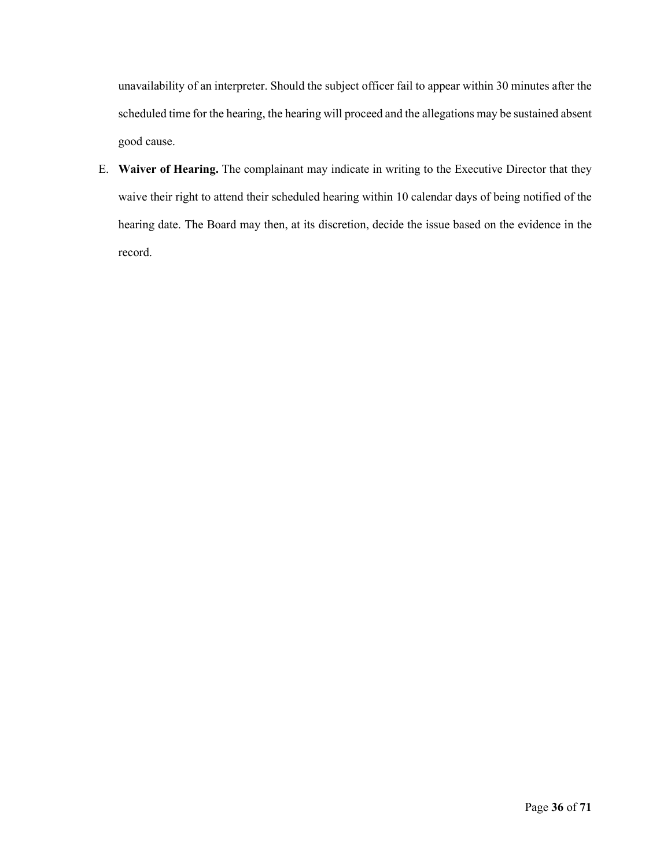unavailability of an interpreter. Should the subject officer fail to appear within 30 minutes after the scheduled time for the hearing, the hearing will proceed and the allegations may be sustained absent good cause.

E. **Waiver of Hearing.** The complainant may indicate in writing to the Executive Director that they waive their right to attend their scheduled hearing within 10 calendar days of being notified of the hearing date. The Board may then, at its discretion, decide the issue based on the evidence in the record.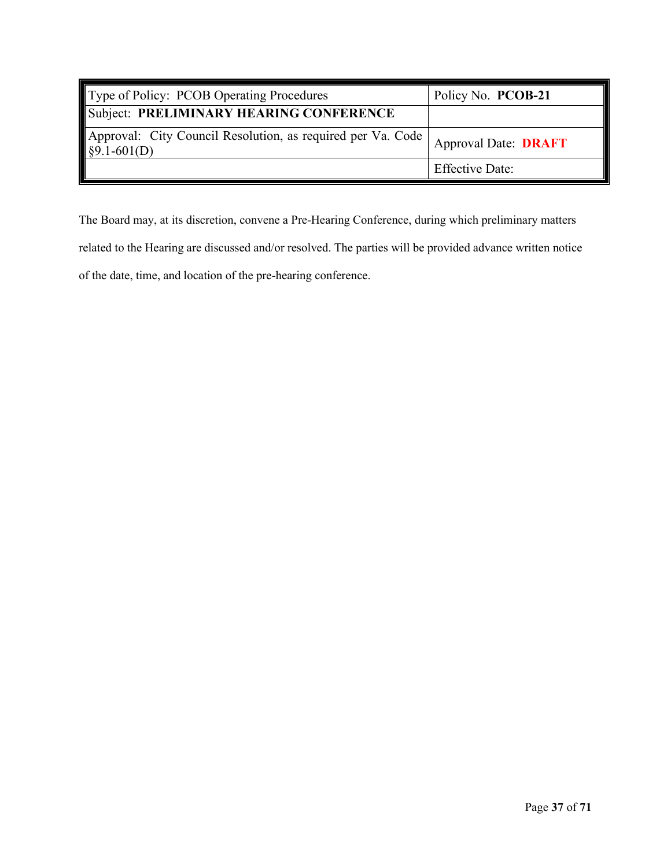| Type of Policy: PCOB Operating Procedures                                                            | Policy No. PCOB-21          |
|------------------------------------------------------------------------------------------------------|-----------------------------|
| Subject: PRELIMINARY HEARING CONFERENCE                                                              |                             |
| Approval: City Council Resolution, as required per Va. Code<br>$\left  \frac{89.1 - 601}{D} \right $ | <b>Approval Date: DRAFT</b> |
|                                                                                                      | <b>Effective Date:</b>      |

The Board may, at its discretion, convene a Pre-Hearing Conference, during which preliminary matters related to the Hearing are discussed and/or resolved. The parties will be provided advance written notice of the date, time, and location of the pre-hearing conference.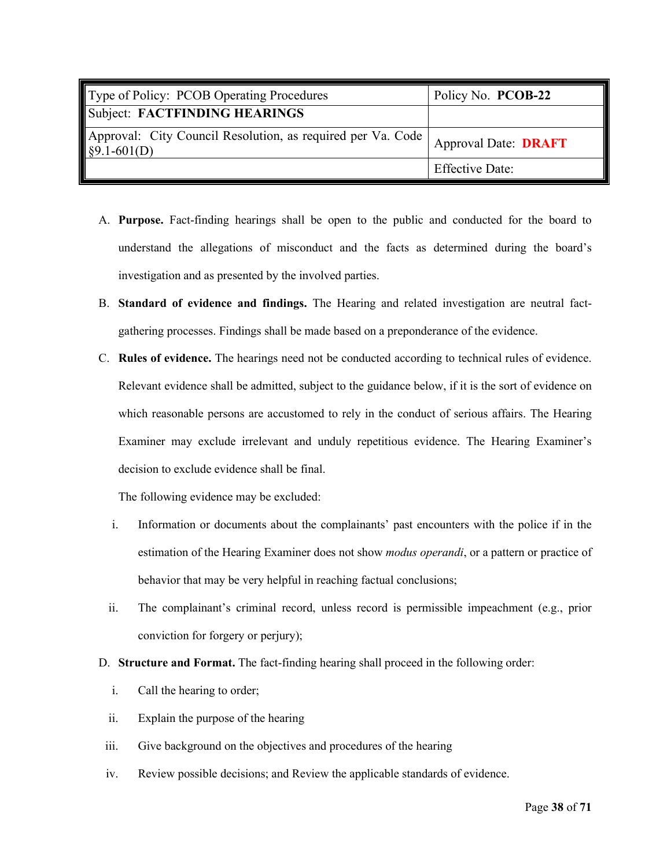| Type of Policy: PCOB Operating Procedures                                             | Policy No. PCOB-22          |
|---------------------------------------------------------------------------------------|-----------------------------|
| Subject: FACTFINDING HEARINGS                                                         |                             |
| Approval: City Council Resolution, as required per Va. Code  <br>$\sqrt{$9.1-601(D)}$ | <b>Approval Date: DRAFT</b> |
|                                                                                       | <b>Effective Date:</b>      |

- A. **Purpose.** Fact-finding hearings shall be open to the public and conducted for the board to understand the allegations of misconduct and the facts as determined during the board's investigation and as presented by the involved parties.
- B. **Standard of evidence and findings.** The Hearing and related investigation are neutral factgathering processes. Findings shall be made based on a preponderance of the evidence.
- C. **Rules of evidence.** The hearings need not be conducted according to technical rules of evidence. Relevant evidence shall be admitted, subject to the guidance below, if it is the sort of evidence on which reasonable persons are accustomed to rely in the conduct of serious affairs. The Hearing Examiner may exclude irrelevant and unduly repetitious evidence. The Hearing Examiner's decision to exclude evidence shall be final.

The following evidence may be excluded:

- i. Information or documents about the complainants' past encounters with the police if in the estimation of the Hearing Examiner does not show *modus operandi*, or a pattern or practice of behavior that may be very helpful in reaching factual conclusions;
- ii. The complainant's criminal record, unless record is permissible impeachment (e.g., prior conviction for forgery or perjury);
- D. **Structure and Format.** The fact-finding hearing shall proceed in the following order:
	- i. Call the hearing to order;
	- ii. Explain the purpose of the hearing
	- iii. Give background on the objectives and procedures of the hearing
- iv. Review possible decisions; and Review the applicable standards of evidence.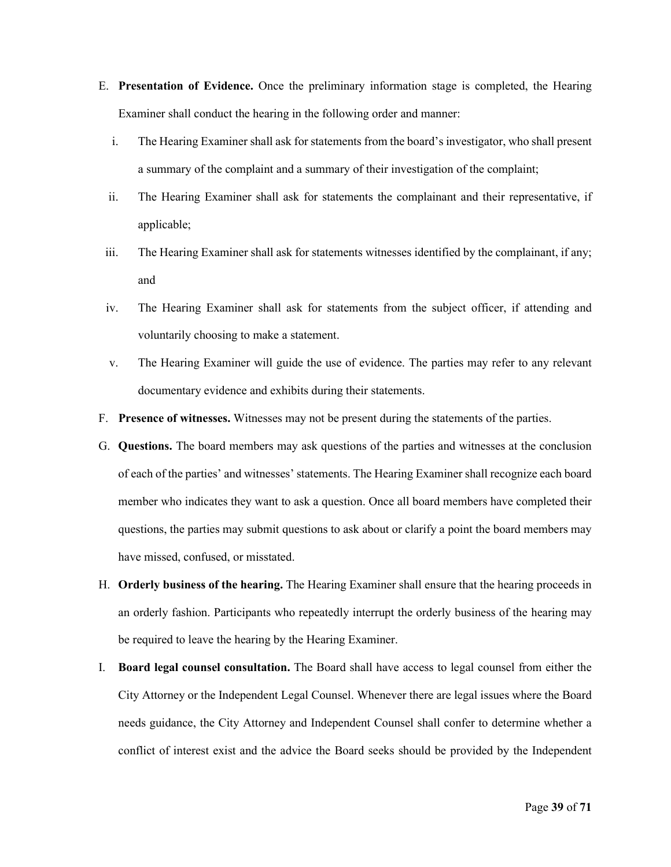- E. **Presentation of Evidence.** Once the preliminary information stage is completed, the Hearing Examiner shall conduct the hearing in the following order and manner:
	- i. The Hearing Examiner shall ask for statements from the board's investigator, who shall present a summary of the complaint and a summary of their investigation of the complaint;
	- ii. The Hearing Examiner shall ask for statements the complainant and their representative, if applicable;
- iii. The Hearing Examiner shall ask for statements witnesses identified by the complainant, if any; and
- iv. The Hearing Examiner shall ask for statements from the subject officer, if attending and voluntarily choosing to make a statement.
- v. The Hearing Examiner will guide the use of evidence. The parties may refer to any relevant documentary evidence and exhibits during their statements.
- F. **Presence of witnesses.** Witnesses may not be present during the statements of the parties.
- G. **Questions.** The board members may ask questions of the parties and witnesses at the conclusion of each of the parties' and witnesses' statements. The Hearing Examiner shall recognize each board member who indicates they want to ask a question. Once all board members have completed their questions, the parties may submit questions to ask about or clarify a point the board members may have missed, confused, or misstated.
- H. **Orderly business of the hearing.** The Hearing Examiner shall ensure that the hearing proceeds in an orderly fashion. Participants who repeatedly interrupt the orderly business of the hearing may be required to leave the hearing by the Hearing Examiner.
- I. **Board legal counsel consultation.** The Board shall have access to legal counsel from either the City Attorney or the Independent Legal Counsel. Whenever there are legal issues where the Board needs guidance, the City Attorney and Independent Counsel shall confer to determine whether a conflict of interest exist and the advice the Board seeks should be provided by the Independent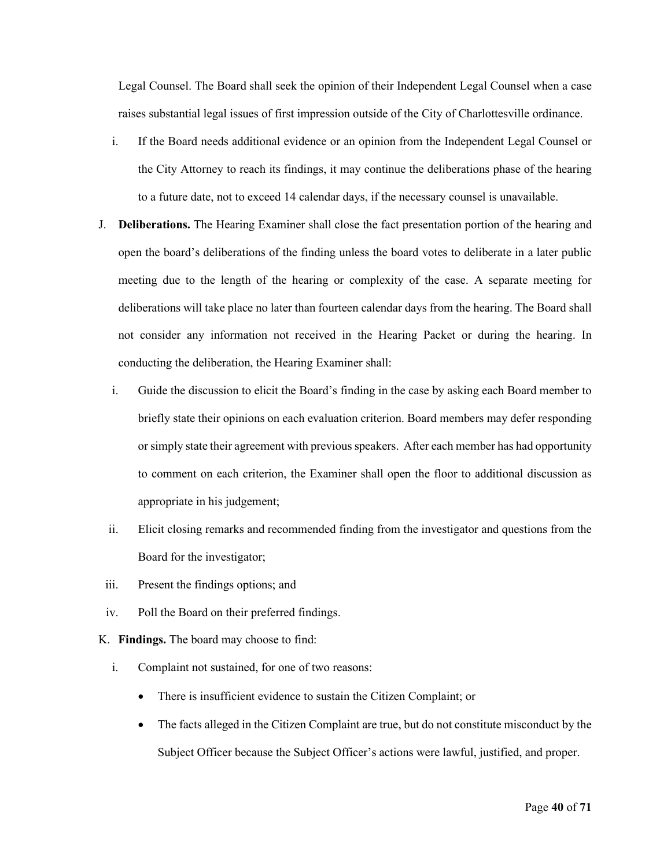Legal Counsel. The Board shall seek the opinion of their Independent Legal Counsel when a case raises substantial legal issues of first impression outside of the City of Charlottesville ordinance.

- i. If the Board needs additional evidence or an opinion from the Independent Legal Counsel or the City Attorney to reach its findings, it may continue the deliberations phase of the hearing to a future date, not to exceed 14 calendar days, if the necessary counsel is unavailable.
- J. **Deliberations.** The Hearing Examiner shall close the fact presentation portion of the hearing and open the board's deliberations of the finding unless the board votes to deliberate in a later public meeting due to the length of the hearing or complexity of the case. A separate meeting for deliberations will take place no later than fourteen calendar days from the hearing. The Board shall not consider any information not received in the Hearing Packet or during the hearing. In conducting the deliberation, the Hearing Examiner shall:
	- i. Guide the discussion to elicit the Board's finding in the case by asking each Board member to briefly state their opinions on each evaluation criterion. Board members may defer responding or simply state their agreement with previous speakers. After each member has had opportunity to comment on each criterion, the Examiner shall open the floor to additional discussion as appropriate in his judgement;
	- ii. Elicit closing remarks and recommended finding from the investigator and questions from the Board for the investigator;
- iii. Present the findings options; and
- iv. Poll the Board on their preferred findings.
- K. **Findings.** The board may choose to find:
	- i. Complaint not sustained, for one of two reasons:
		- There is insufficient evidence to sustain the Citizen Complaint; or
		- The facts alleged in the Citizen Complaint are true, but do not constitute misconduct by the Subject Officer because the Subject Officer's actions were lawful, justified, and proper.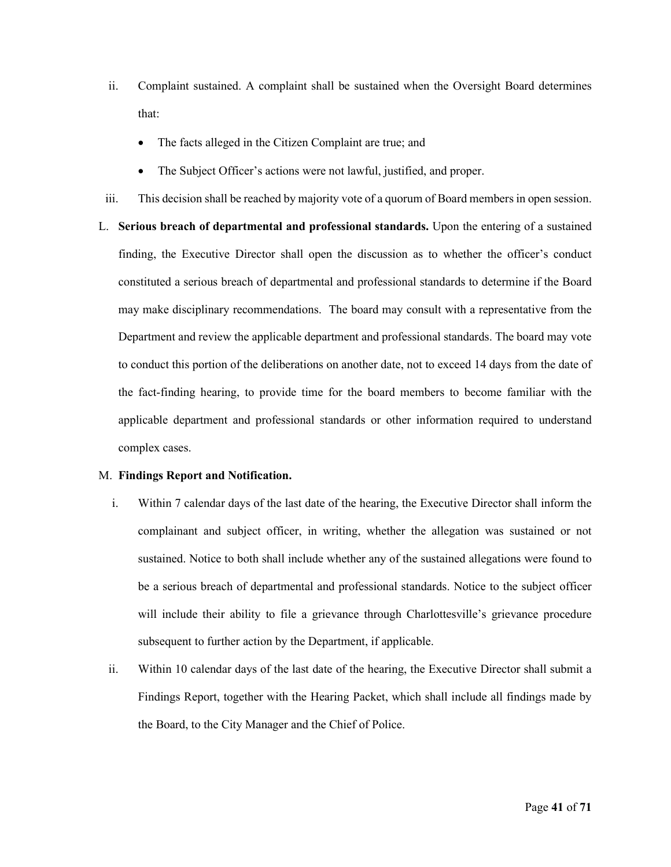- ii. Complaint sustained. A complaint shall be sustained when the Oversight Board determines that:
	- The facts alleged in the Citizen Complaint are true; and
	- The Subject Officer's actions were not lawful, justified, and proper.
- iii. This decision shall be reached by majority vote of a quorum of Board members in open session.

L. **Serious breach of departmental and professional standards.** Upon the entering of a sustained finding, the Executive Director shall open the discussion as to whether the officer's conduct constituted a serious breach of departmental and professional standards to determine if the Board may make disciplinary recommendations. The board may consult with a representative from the Department and review the applicable department and professional standards. The board may vote to conduct this portion of the deliberations on another date, not to exceed 14 days from the date of the fact-finding hearing, to provide time for the board members to become familiar with the applicable department and professional standards or other information required to understand complex cases.

# M. **Findings Report and Notification.**

- i. Within 7 calendar days of the last date of the hearing, the Executive Director shall inform the complainant and subject officer, in writing, whether the allegation was sustained or not sustained. Notice to both shall include whether any of the sustained allegations were found to be a serious breach of departmental and professional standards. Notice to the subject officer will include their ability to file a grievance through Charlottesville's grievance procedure subsequent to further action by the Department, if applicable.
- ii. Within 10 calendar days of the last date of the hearing, the Executive Director shall submit a Findings Report, together with the Hearing Packet, which shall include all findings made by the Board, to the City Manager and the Chief of Police.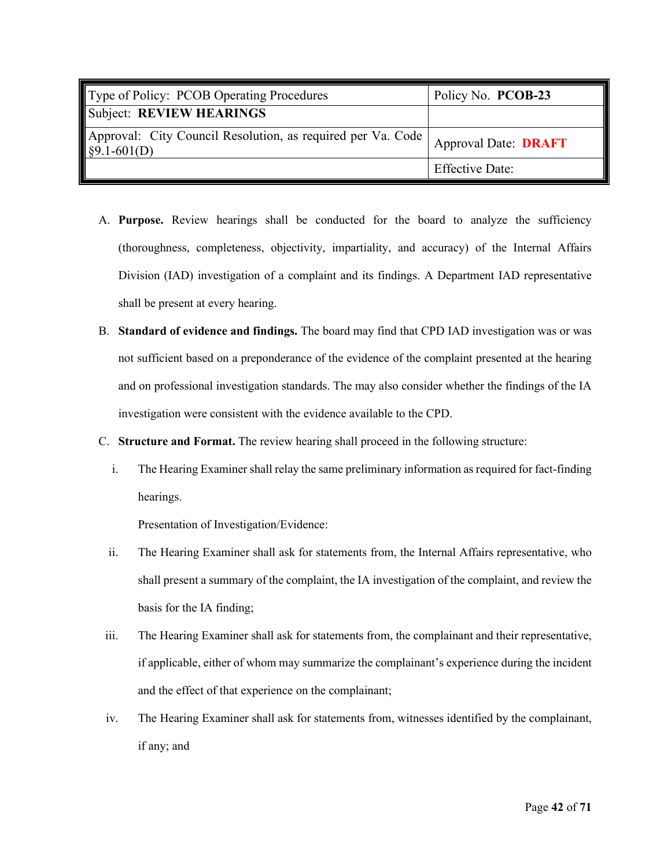| Type of Policy: PCOB Operating Procedures                                                        | Policy No. PCOB-23          |
|--------------------------------------------------------------------------------------------------|-----------------------------|
| Subject: REVIEW HEARINGS                                                                         |                             |
| Approval: City Council Resolution, as required per Va. Code<br>$\left  \frac{1}{2}$ \$9.1-601(D) | <b>Approval Date: DRAFT</b> |
|                                                                                                  | <b>Effective Date:</b>      |

- A. **Purpose.** Review hearings shall be conducted for the board to analyze the sufficiency (thoroughness, completeness, objectivity, impartiality, and accuracy) of the Internal Affairs Division (IAD) investigation of a complaint and its findings. A Department IAD representative shall be present at every hearing.
- B. **Standard of evidence and findings.** The board may find that CPD IAD investigation was or was not sufficient based on a preponderance of the evidence of the complaint presented at the hearing and on professional investigation standards. The may also consider whether the findings of the IA investigation were consistent with the evidence available to the CPD.
- C. **Structure and Format.** The review hearing shall proceed in the following structure:
	- i. The Hearing Examiner shall relay the same preliminary information as required for fact-finding hearings.

Presentation of Investigation/Evidence:

- ii. The Hearing Examiner shall ask for statements from, the Internal Affairs representative, who shall present a summary of the complaint, the IA investigation of the complaint, and review the basis for the IA finding;
- iii. The Hearing Examiner shall ask for statements from, the complainant and their representative, if applicable, either of whom may summarize the complainant's experience during the incident and the effect of that experience on the complainant;
- iv. The Hearing Examiner shall ask for statements from, witnesses identified by the complainant, if any; and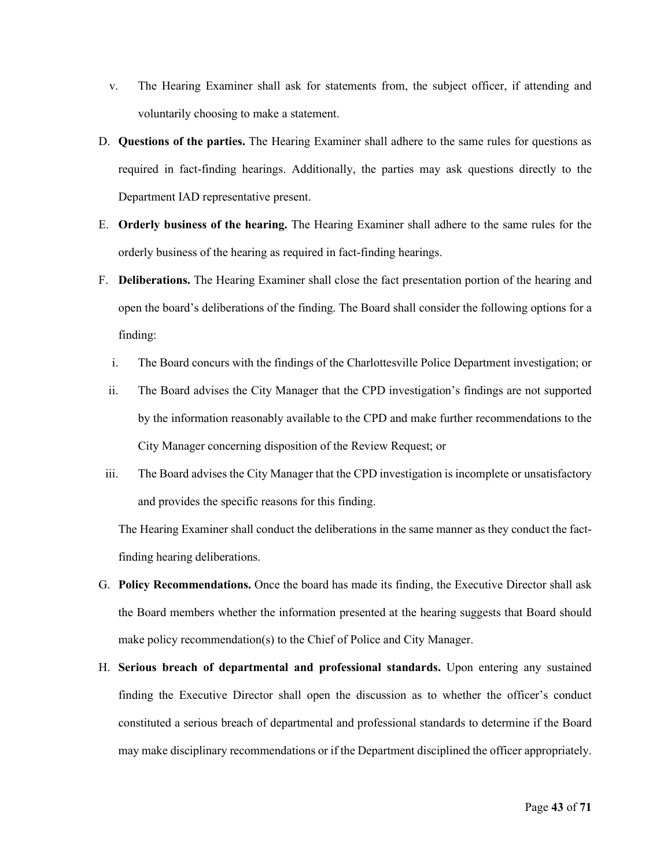- v. The Hearing Examiner shall ask for statements from, the subject officer, if attending and voluntarily choosing to make a statement.
- D. **Questions of the parties.** The Hearing Examiner shall adhere to the same rules for questions as required in fact-finding hearings. Additionally, the parties may ask questions directly to the Department IAD representative present.
- E. **Orderly business of the hearing.** The Hearing Examiner shall adhere to the same rules for the orderly business of the hearing as required in fact-finding hearings.
- F. **Deliberations.** The Hearing Examiner shall close the fact presentation portion of the hearing and open the board's deliberations of the finding. The Board shall consider the following options for a finding:
	- i. The Board concurs with the findings of the Charlottesville Police Department investigation; or
	- ii. The Board advises the City Manager that the CPD investigation's findings are not supported by the information reasonably available to the CPD and make further recommendations to the City Manager concerning disposition of the Review Request; or
- iii. The Board advises the City Manager that the CPD investigation is incomplete or unsatisfactory and provides the specific reasons for this finding.

The Hearing Examiner shall conduct the deliberations in the same manner as they conduct the factfinding hearing deliberations.

- G. **Policy Recommendations.** Once the board has made its finding, the Executive Director shall ask the Board members whether the information presented at the hearing suggests that Board should make policy recommendation(s) to the Chief of Police and City Manager.
- H. **Serious breach of departmental and professional standards.** Upon entering any sustained finding the Executive Director shall open the discussion as to whether the officer's conduct constituted a serious breach of departmental and professional standards to determine if the Board may make disciplinary recommendations or if the Department disciplined the officer appropriately.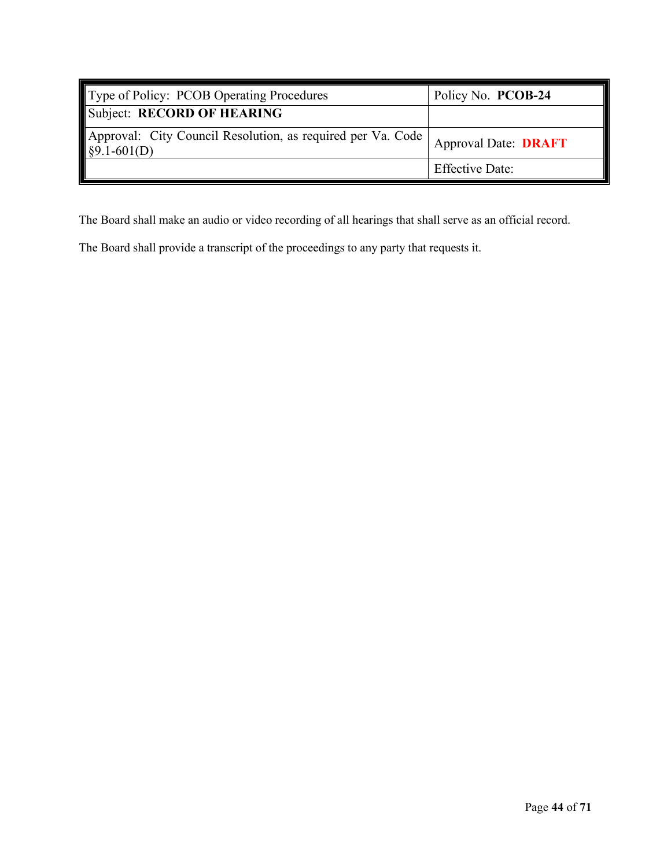| Type of Policy: PCOB Operating Procedures                                                 | Policy No. PCOB-24          |
|-------------------------------------------------------------------------------------------|-----------------------------|
| Subject: RECORD OF HEARING                                                                |                             |
| Approval: City Council Resolution, as required per Va. Code<br>$\frac{1}{2}$ \$9.1-601(D) | <b>Approval Date: DRAFT</b> |
|                                                                                           | <b>Effective Date:</b>      |

The Board shall make an audio or video recording of all hearings that shall serve as an official record.

The Board shall provide a transcript of the proceedings to any party that requests it.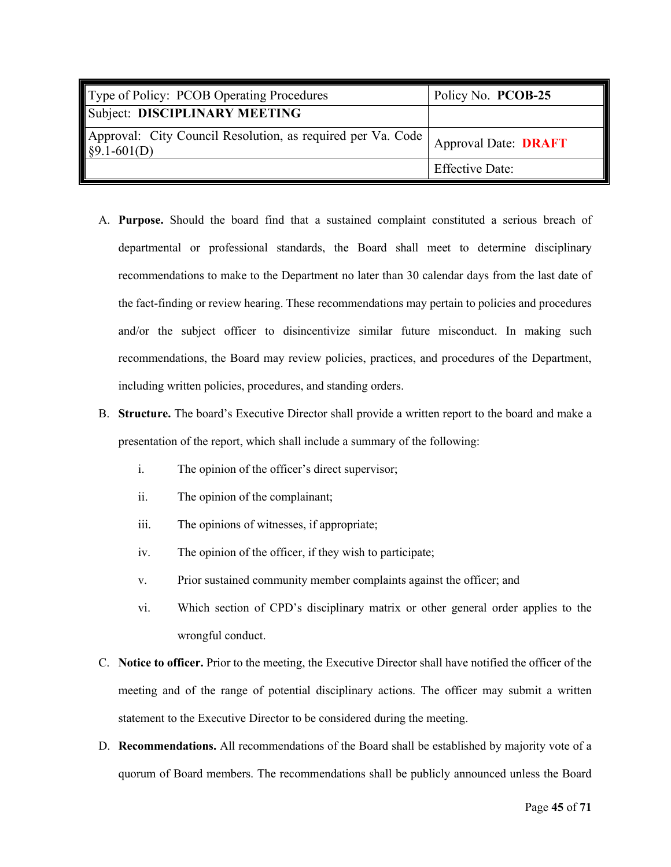| Type of Policy: PCOB Operating Procedures                                             | Policy No. PCOB-25          |
|---------------------------------------------------------------------------------------|-----------------------------|
| Subject: DISCIPLINARY MEETING                                                         |                             |
| Approval: City Council Resolution, as required per Va. Code  <br>$\sqrt{$9.1-601(D)}$ | <b>Approval Date: DRAFT</b> |
|                                                                                       | <b>Effective Date:</b>      |

- A. **Purpose.** Should the board find that a sustained complaint constituted a serious breach of departmental or professional standards, the Board shall meet to determine disciplinary recommendations to make to the Department no later than 30 calendar days from the last date of the fact-finding or review hearing. These recommendations may pertain to policies and procedures and/or the subject officer to disincentivize similar future misconduct. In making such recommendations, the Board may review policies, practices, and procedures of the Department, including written policies, procedures, and standing orders.
- B. **Structure.** The board's Executive Director shall provide a written report to the board and make a presentation of the report, which shall include a summary of the following:
	- i. The opinion of the officer's direct supervisor;
	- ii. The opinion of the complainant;
	- iii. The opinions of witnesses, if appropriate;
	- iv. The opinion of the officer, if they wish to participate;
	- v. Prior sustained community member complaints against the officer; and
	- vi. Which section of CPD's disciplinary matrix or other general order applies to the wrongful conduct.
- C. **Notice to officer.** Prior to the meeting, the Executive Director shall have notified the officer of the meeting and of the range of potential disciplinary actions. The officer may submit a written statement to the Executive Director to be considered during the meeting.
- D. **Recommendations.** All recommendations of the Board shall be established by majority vote of a quorum of Board members. The recommendations shall be publicly announced unless the Board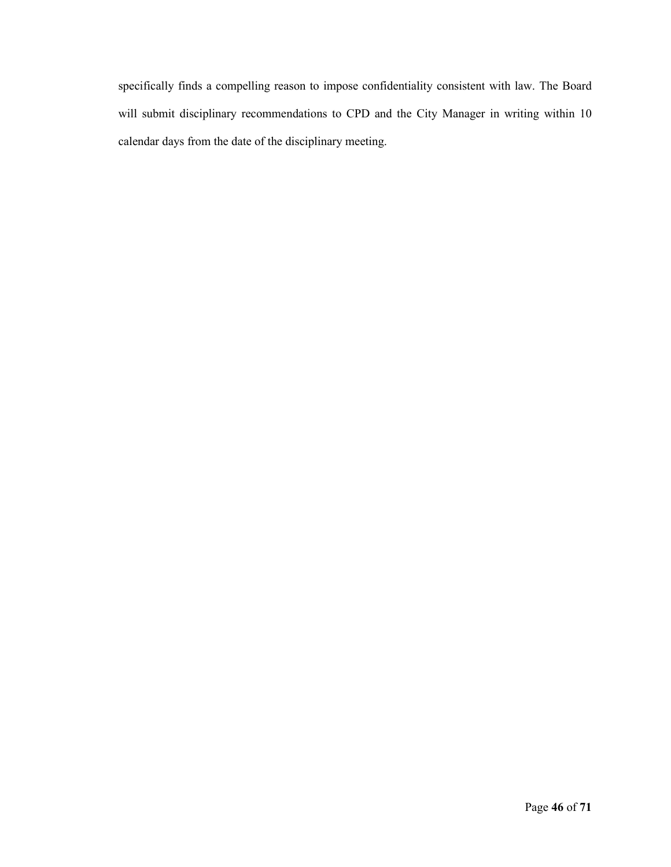specifically finds a compelling reason to impose confidentiality consistent with law. The Board will submit disciplinary recommendations to CPD and the City Manager in writing within 10 calendar days from the date of the disciplinary meeting.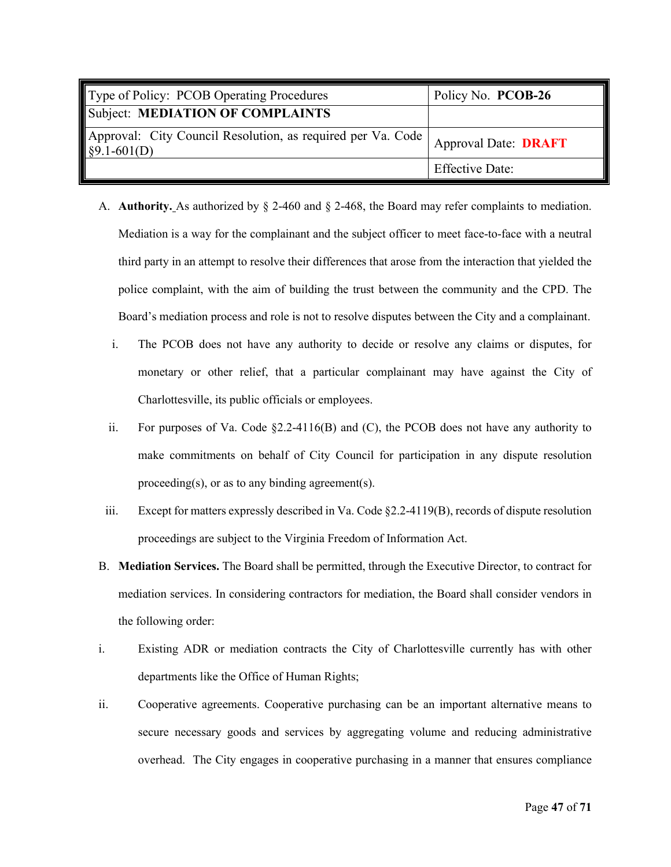| Type of Policy: PCOB Operating Procedures                                         | Policy No. PCOB-26          |
|-----------------------------------------------------------------------------------|-----------------------------|
| Subject: MEDIATION OF COMPLAINTS                                                  |                             |
| Approval: City Council Resolution, as required per Va. Code  <br>$\S9.1 - 601(D)$ | <b>Approval Date: DRAFT</b> |
|                                                                                   | <b>Effective Date:</b>      |

- A. **Authority.** As authorized by § 2-460 and § 2-468, the Board may refer complaints to mediation. Mediation is a way for the complainant and the subject officer to meet face-to-face with a neutral third party in an attempt to resolve their differences that arose from the interaction that yielded the police complaint, with the aim of building the trust between the community and the CPD. The Board's mediation process and role is not to resolve disputes between the City and a complainant.
	- i. The PCOB does not have any authority to decide or resolve any claims or disputes, for monetary or other relief, that a particular complainant may have against the City of Charlottesville, its public officials or employees.
	- ii. For purposes of Va. Code §2.2-4116(B) and (C), the PCOB does not have any authority to make commitments on behalf of City Council for participation in any dispute resolution proceeding(s), or as to any binding agreement(s).
- iii. Except for matters expressly described in Va. Code §2.2-4119(B), records of dispute resolution proceedings are subject to the Virginia Freedom of Information Act.
- B. **Mediation Services.** The Board shall be permitted, through the Executive Director, to contract for mediation services. In considering contractors for mediation, the Board shall consider vendors in the following order:
- i. Existing ADR or mediation contracts the City of Charlottesville currently has with other departments like the Office of Human Rights;
- ii. Cooperative agreements. Cooperative purchasing can be an important alternative means to secure necessary goods and services by aggregating volume and reducing administrative overhead. The City engages in cooperative purchasing in a manner that ensures compliance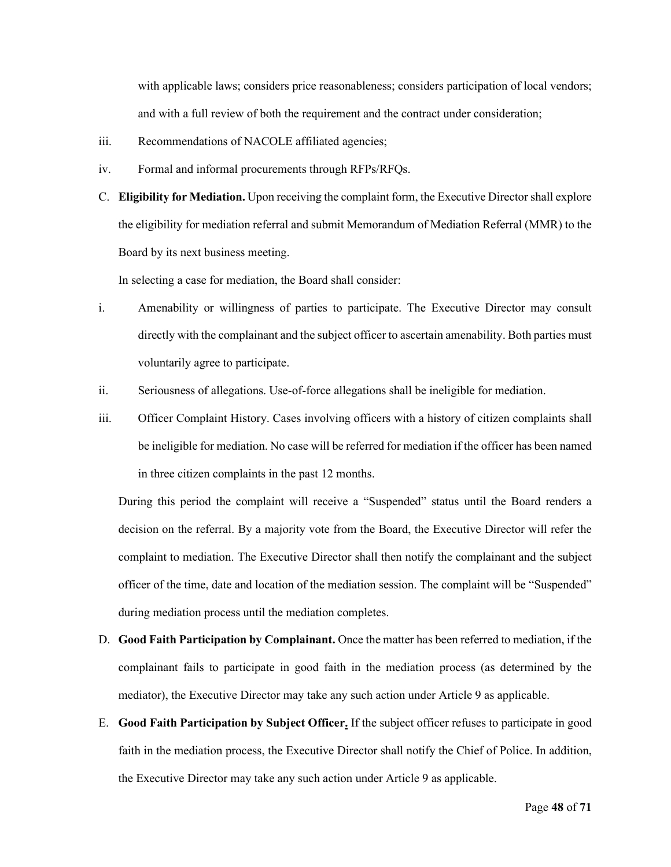with applicable laws; considers price reasonableness; considers participation of local vendors; and with a full review of both the requirement and the contract under consideration;

- iii. Recommendations of NACOLE affiliated agencies;
- iv. Formal and informal procurements through RFPs/RFQs.
- C. **Eligibility for Mediation.** Upon receiving the complaint form, the Executive Director shall explore the eligibility for mediation referral and submit Memorandum of Mediation Referral (MMR) to the Board by its next business meeting.

In selecting a case for mediation, the Board shall consider:

- i. Amenability or willingness of parties to participate. The Executive Director may consult directly with the complainant and the subject officer to ascertain amenability. Both parties must voluntarily agree to participate.
- ii. Seriousness of allegations. Use-of-force allegations shall be ineligible for mediation.
- iii. Officer Complaint History. Cases involving officers with a history of citizen complaints shall be ineligible for mediation. No case will be referred for mediation if the officer has been named in three citizen complaints in the past 12 months.

During this period the complaint will receive a "Suspended" status until the Board renders a decision on the referral. By a majority vote from the Board, the Executive Director will refer the complaint to mediation. The Executive Director shall then notify the complainant and the subject officer of the time, date and location of the mediation session. The complaint will be "Suspended" during mediation process until the mediation completes.

- D. **Good Faith Participation by Complainant.** Once the matter has been referred to mediation, if the complainant fails to participate in good faith in the mediation process (as determined by the mediator), the Executive Director may take any such action under Article 9 as applicable.
- E. **Good Faith Participation by Subject Officer.** If the subject officer refuses to participate in good faith in the mediation process, the Executive Director shall notify the Chief of Police. In addition, the Executive Director may take any such action under Article 9 as applicable.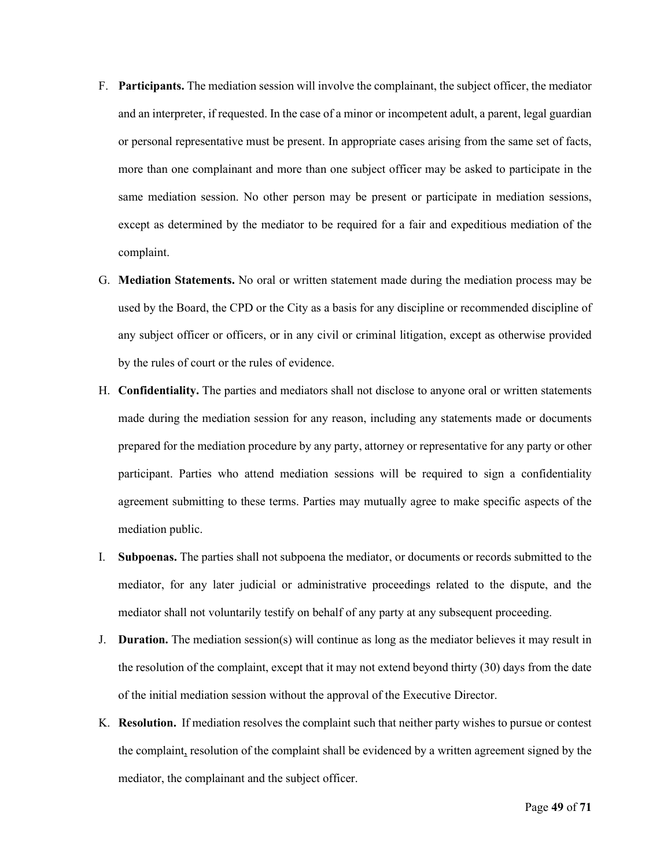- F. **Participants.** The mediation session will involve the complainant, the subject officer, the mediator and an interpreter, if requested. In the case of a minor or incompetent adult, a parent, legal guardian or personal representative must be present. In appropriate cases arising from the same set of facts, more than one complainant and more than one subject officer may be asked to participate in the same mediation session. No other person may be present or participate in mediation sessions, except as determined by the mediator to be required for a fair and expeditious mediation of the complaint.
- G. **Mediation Statements.** No oral or written statement made during the mediation process may be used by the Board, the CPD or the City as a basis for any discipline or recommended discipline of any subject officer or officers, or in any civil or criminal litigation, except as otherwise provided by the rules of court or the rules of evidence.
- H. **Confidentiality.** The parties and mediators shall not disclose to anyone oral or written statements made during the mediation session for any reason, including any statements made or documents prepared for the mediation procedure by any party, attorney or representative for any party or other participant. Parties who attend mediation sessions will be required to sign a confidentiality agreement submitting to these terms. Parties may mutually agree to make specific aspects of the mediation public.
- I. **Subpoenas.** The parties shall not subpoena the mediator, or documents or records submitted to the mediator, for any later judicial or administrative proceedings related to the dispute, and the mediator shall not voluntarily testify on behalf of any party at any subsequent proceeding.
- J. **Duration.** The mediation session(s) will continue as long as the mediator believes it may result in the resolution of the complaint, except that it may not extend beyond thirty (30) days from the date of the initial mediation session without the approval of the Executive Director.
- K. **Resolution.** If mediation resolves the complaint such that neither party wishes to pursue or contest the complaint, resolution of the complaint shall be evidenced by a written agreement signed by the mediator, the complainant and the subject officer.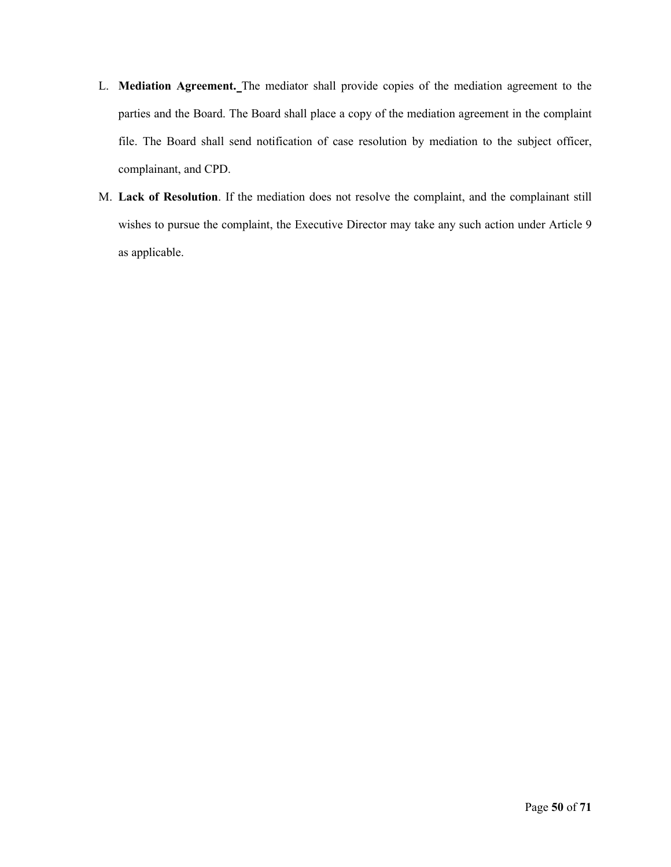- L. **Mediation Agreement.** The mediator shall provide copies of the mediation agreement to the parties and the Board. The Board shall place a copy of the mediation agreement in the complaint file. The Board shall send notification of case resolution by mediation to the subject officer, complainant, and CPD.
- M. **Lack of Resolution**. If the mediation does not resolve the complaint, and the complainant still wishes to pursue the complaint, the Executive Director may take any such action under Article 9 as applicable.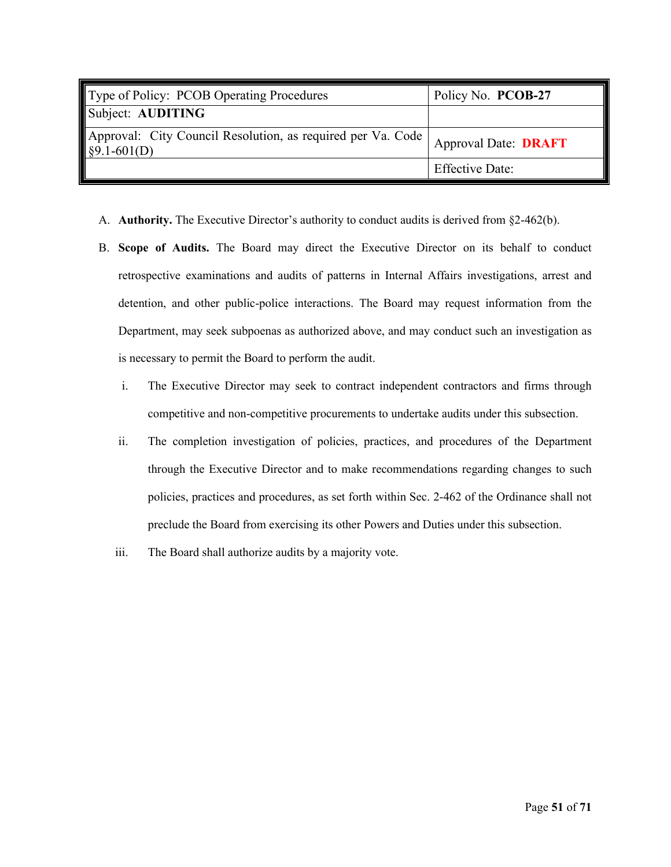| Type of Policy: PCOB Operating Procedures                                                          | Policy No. PCOB-27          |
|----------------------------------------------------------------------------------------------------|-----------------------------|
| Subject: AUDITING                                                                                  |                             |
| Approval: City Council Resolution, as required per Va. Code  <br>$\left  \frac{1}{2}$ \$9.1-601(D) | <b>Approval Date: DRAFT</b> |
|                                                                                                    | <b>Effective Date:</b>      |

- A. **Authority.** The Executive Director's authority to conduct audits is derived from §2-462(b).
- B. **Scope of Audits.** The Board may direct the Executive Director on its behalf to conduct retrospective examinations and audits of patterns in Internal Affairs investigations, arrest and detention, and other public-police interactions. The Board may request information from the Department, may seek subpoenas as authorized above, and may conduct such an investigation as is necessary to permit the Board to perform the audit.
	- i. The Executive Director may seek to contract independent contractors and firms through competitive and non-competitive procurements to undertake audits under this subsection.
	- ii. The completion investigation of policies, practices, and procedures of the Department through the Executive Director and to make recommendations regarding changes to such policies, practices and procedures, as set forth within Sec. 2-462 of the Ordinance shall not preclude the Board from exercising its other Powers and Duties under this subsection.
	- iii. The Board shall authorize audits by a majority vote.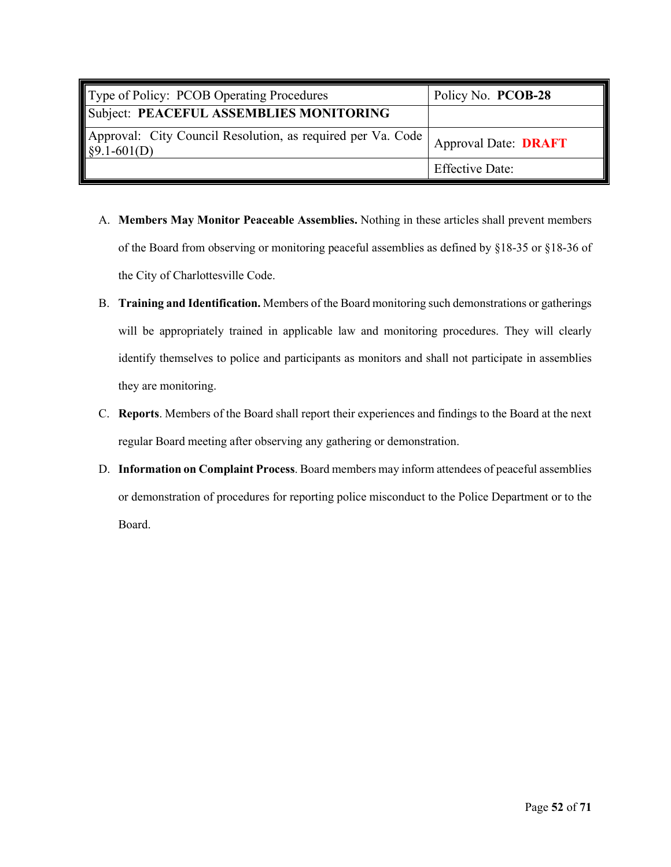| Type of Policy: PCOB Operating Procedures                                             | Policy No. PCOB-28          |
|---------------------------------------------------------------------------------------|-----------------------------|
| Subject: PEACEFUL ASSEMBLIES MONITORING                                               |                             |
| Approval: City Council Resolution, as required per Va. Code  <br>$\sqrt{$9.1-601(D)}$ | <b>Approval Date: DRAFT</b> |
|                                                                                       | <b>Effective Date:</b>      |

- A. **Members May Monitor Peaceable Assemblies.** Nothing in these articles shall prevent members of the Board from observing or monitoring peaceful assemblies as defined by §18-35 or §18-36 of the City of Charlottesville Code.
- B. **Training and Identification.** Members of the Board monitoring such demonstrations or gatherings will be appropriately trained in applicable law and monitoring procedures. They will clearly identify themselves to police and participants as monitors and shall not participate in assemblies they are monitoring.
- C. **Reports**. Members of the Board shall report their experiences and findings to the Board at the next regular Board meeting after observing any gathering or demonstration.
- D. **Information on Complaint Process**. Board members may inform attendees of peaceful assemblies or demonstration of procedures for reporting police misconduct to the Police Department or to the Board.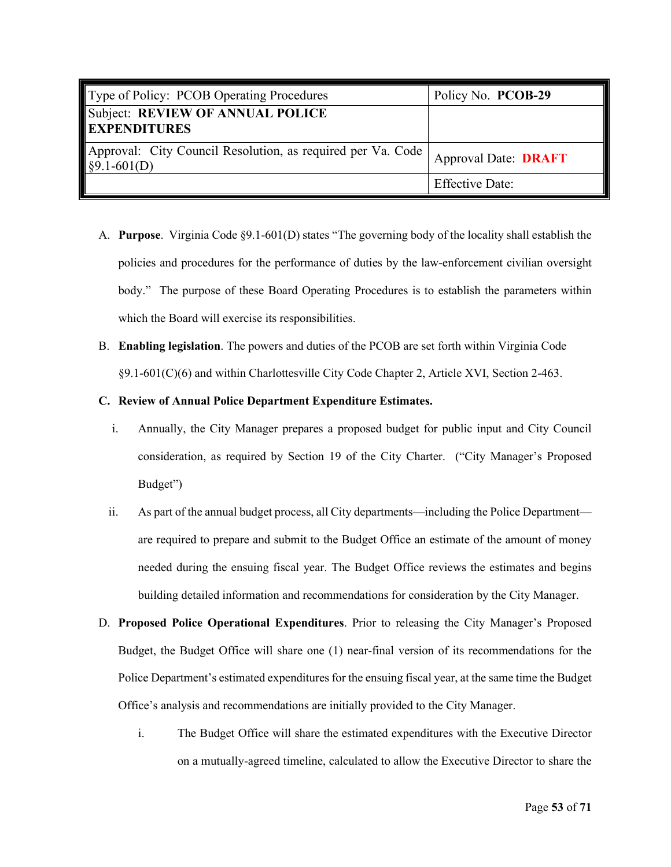| Type of Policy: PCOB Operating Procedures                                         | Policy No. PCOB-29          |
|-----------------------------------------------------------------------------------|-----------------------------|
| Subject: REVIEW OF ANNUAL POLICE<br><b>EXPENDITURES</b>                           |                             |
| Approval: City Council Resolution, as required per Va. Code  <br>$\S9.1 - 601(D)$ | <b>Approval Date: DRAFT</b> |
|                                                                                   | <b>Effective Date:</b>      |

- A. **Purpose**. Virginia Code §9.1-601(D) states "The governing body of the locality shall establish the policies and procedures for the performance of duties by the law-enforcement civilian oversight body." The purpose of these Board Operating Procedures is to establish the parameters within which the Board will exercise its responsibilities.
- B. **Enabling legislation**. The powers and duties of the PCOB are set forth within Virginia Code §9.1-601(C)(6) and within Charlottesville City Code Chapter 2, Article XVI, Section 2-463.

### **C. Review of Annual Police Department Expenditure Estimates.**

- i. Annually, the City Manager prepares a proposed budget for public input and City Council consideration, as required by Section 19 of the City Charter. ("City Manager's Proposed Budget")
- ii. As part of the annual budget process, all City departments—including the Police Department are required to prepare and submit to the Budget Office an estimate of the amount of money needed during the ensuing fiscal year. The Budget Office reviews the estimates and begins building detailed information and recommendations for consideration by the City Manager.
- D. **Proposed Police Operational Expenditures**. Prior to releasing the City Manager's Proposed Budget, the Budget Office will share one (1) near-final version of its recommendations for the Police Department's estimated expenditures for the ensuing fiscal year, at the same time the Budget Office's analysis and recommendations are initially provided to the City Manager.
	- i. The Budget Office will share the estimated expenditures with the Executive Director on a mutually-agreed timeline, calculated to allow the Executive Director to share the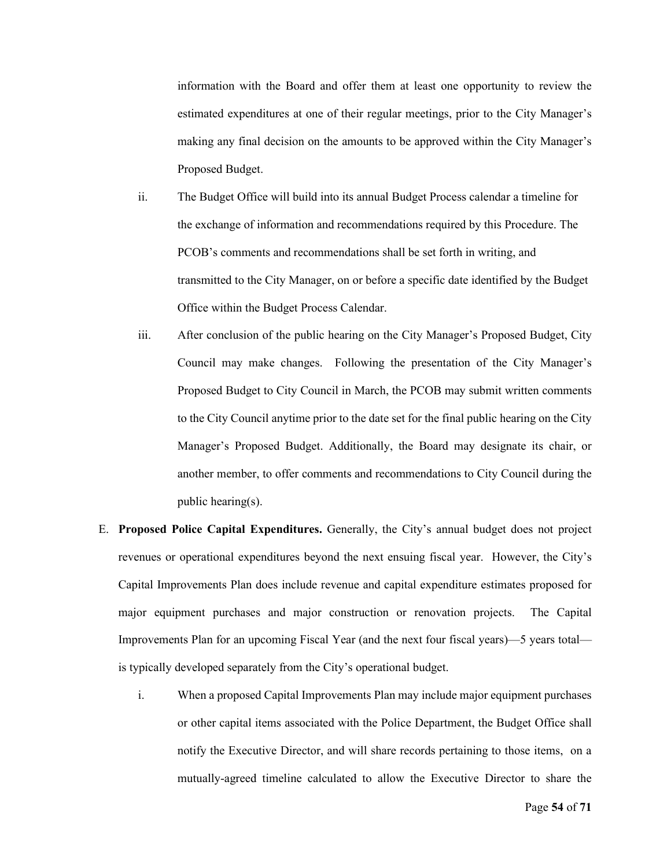information with the Board and offer them at least one opportunity to review the estimated expenditures at one of their regular meetings, prior to the City Manager's making any final decision on the amounts to be approved within the City Manager's Proposed Budget.

- ii. The Budget Office will build into its annual Budget Process calendar a timeline for the exchange of information and recommendations required by this Procedure. The PCOB's comments and recommendations shall be set forth in writing, and transmitted to the City Manager, on or before a specific date identified by the Budget Office within the Budget Process Calendar.
- iii. After conclusion of the public hearing on the City Manager's Proposed Budget, City Council may make changes. Following the presentation of the City Manager's Proposed Budget to City Council in March, the PCOB may submit written comments to the City Council anytime prior to the date set for the final public hearing on the City Manager's Proposed Budget. Additionally, the Board may designate its chair, or another member, to offer comments and recommendations to City Council during the public hearing(s).
- E. **Proposed Police Capital Expenditures.** Generally, the City's annual budget does not project revenues or operational expenditures beyond the next ensuing fiscal year. However, the City's Capital Improvements Plan does include revenue and capital expenditure estimates proposed for major equipment purchases and major construction or renovation projects. The Capital Improvements Plan for an upcoming Fiscal Year (and the next four fiscal years)—5 years total is typically developed separately from the City's operational budget.
	- i. When a proposed Capital Improvements Plan may include major equipment purchases or other capital items associated with the Police Department, the Budget Office shall notify the Executive Director, and will share records pertaining to those items, on a mutually-agreed timeline calculated to allow the Executive Director to share the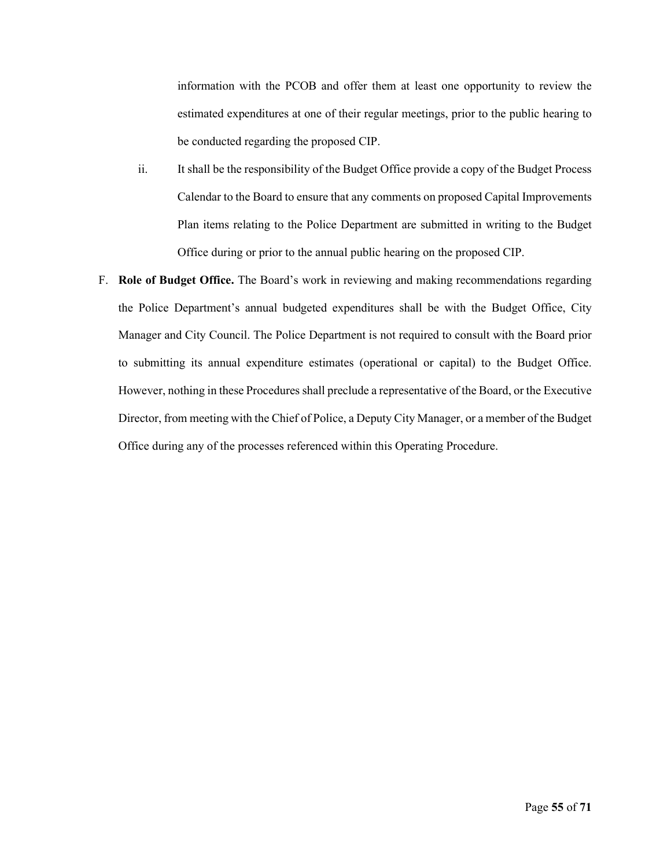information with the PCOB and offer them at least one opportunity to review the estimated expenditures at one of their regular meetings, prior to the public hearing to be conducted regarding the proposed CIP.

- ii. It shall be the responsibility of the Budget Office provide a copy of the Budget Process Calendar to the Board to ensure that any comments on proposed Capital Improvements Plan items relating to the Police Department are submitted in writing to the Budget Office during or prior to the annual public hearing on the proposed CIP.
- F. **Role of Budget Office.** The Board's work in reviewing and making recommendations regarding the Police Department's annual budgeted expenditures shall be with the Budget Office, City Manager and City Council. The Police Department is not required to consult with the Board prior to submitting its annual expenditure estimates (operational or capital) to the Budget Office. However, nothing in these Procedures shall preclude a representative of the Board, or the Executive Director, from meeting with the Chief of Police, a Deputy City Manager, or a member of the Budget Office during any of the processes referenced within this Operating Procedure.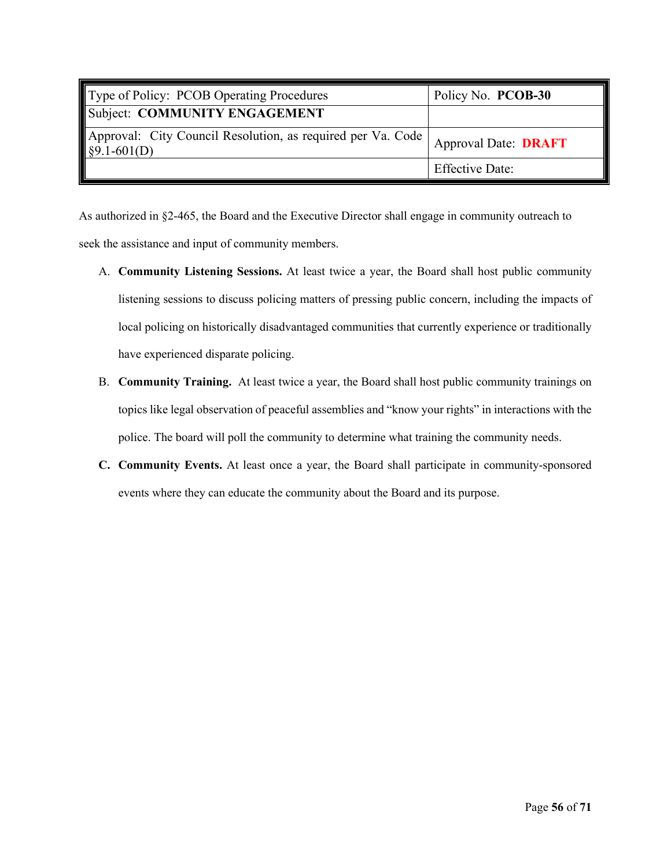| Type of Policy: PCOB Operating Procedures                               | Policy No. PCOB-30          |
|-------------------------------------------------------------------------|-----------------------------|
| Subject: COMMUNITY ENGAGEMENT                                           |                             |
| Approval: City Council Resolution, as required per Va. Code §9.1-601(D) | <b>Approval Date: DRAFT</b> |
|                                                                         | <b>Effective Date:</b>      |

As authorized in §2-465, the Board and the Executive Director shall engage in community outreach to seek the assistance and input of community members.

- A. **Community Listening Sessions.** At least twice a year, the Board shall host public community listening sessions to discuss policing matters of pressing public concern, including the impacts of local policing on historically disadvantaged communities that currently experience or traditionally have experienced disparate policing.
- B. **Community Training.** At least twice a year, the Board shall host public community trainings on topics like legal observation of peaceful assemblies and "know your rights" in interactions with the police. The board will poll the community to determine what training the community needs.
- **C. Community Events.** At least once a year, the Board shall participate in community-sponsored events where they can educate the community about the Board and its purpose.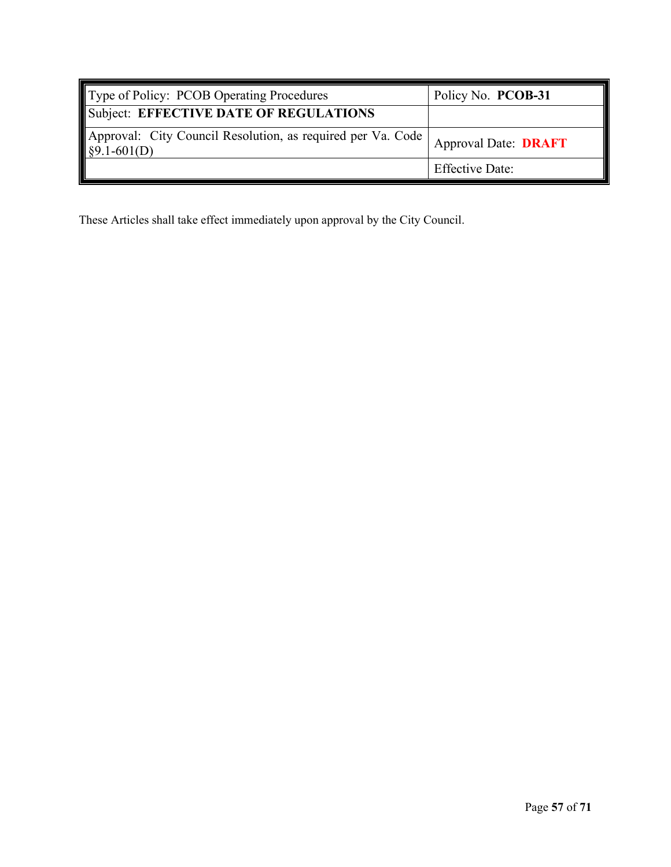| Type of Policy: PCOB Operating Procedures                                                                  | Policy No. PCOB-31     |
|------------------------------------------------------------------------------------------------------------|------------------------|
| Subject: EFFECTIVE DATE OF REGULATIONS                                                                     |                        |
| Approval: City Council Resolution, as required per Va. Code   Approval Date: DRAFT<br>$\sqrt{$9.1-601(D)}$ |                        |
|                                                                                                            | <b>Effective Date:</b> |

These Articles shall take effect immediately upon approval by the City Council.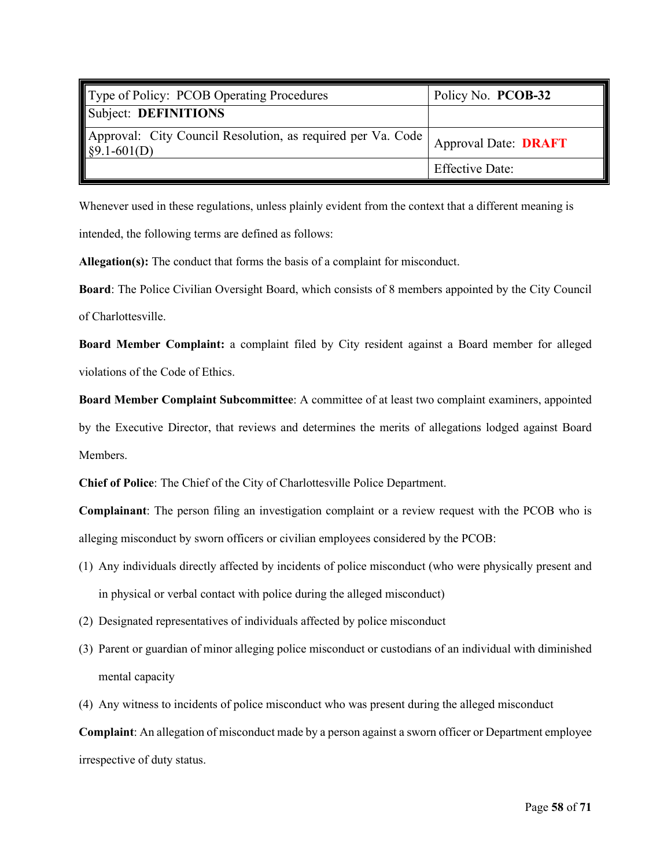| Type of Policy: PCOB Operating Procedures                               | Policy No. PCOB-32          |
|-------------------------------------------------------------------------|-----------------------------|
| Subject: DEFINITIONS                                                    |                             |
| Approval: City Council Resolution, as required per Va. Code §9.1-601(D) | <b>Approval Date: DRAFT</b> |
|                                                                         | <b>Effective Date:</b>      |

Whenever used in these regulations, unless plainly evident from the context that a different meaning is intended, the following terms are defined as follows:

**Allegation(s):** The conduct that forms the basis of a complaint for misconduct.

**Board**: The Police Civilian Oversight Board, which consists of 8 members appointed by the City Council of Charlottesville.

**Board Member Complaint:** a complaint filed by City resident against a Board member for alleged violations of the Code of Ethics.

**Board Member Complaint Subcommittee**: A committee of at least two complaint examiners, appointed by the Executive Director, that reviews and determines the merits of allegations lodged against Board Members.

**Chief of Police**: The Chief of the City of Charlottesville Police Department.

**Complainant**: The person filing an investigation complaint or a review request with the PCOB who is alleging misconduct by sworn officers or civilian employees considered by the PCOB:

- (1) Any individuals directly affected by incidents of police misconduct (who were physically present and in physical or verbal contact with police during the alleged misconduct)
- (2) Designated representatives of individuals affected by police misconduct
- (3) Parent or guardian of minor alleging police misconduct or custodians of an individual with diminished mental capacity
- (4) Any witness to incidents of police misconduct who was present during the alleged misconduct

**Complaint**: An allegation of misconduct made by a person against a sworn officer or Department employee irrespective of duty status.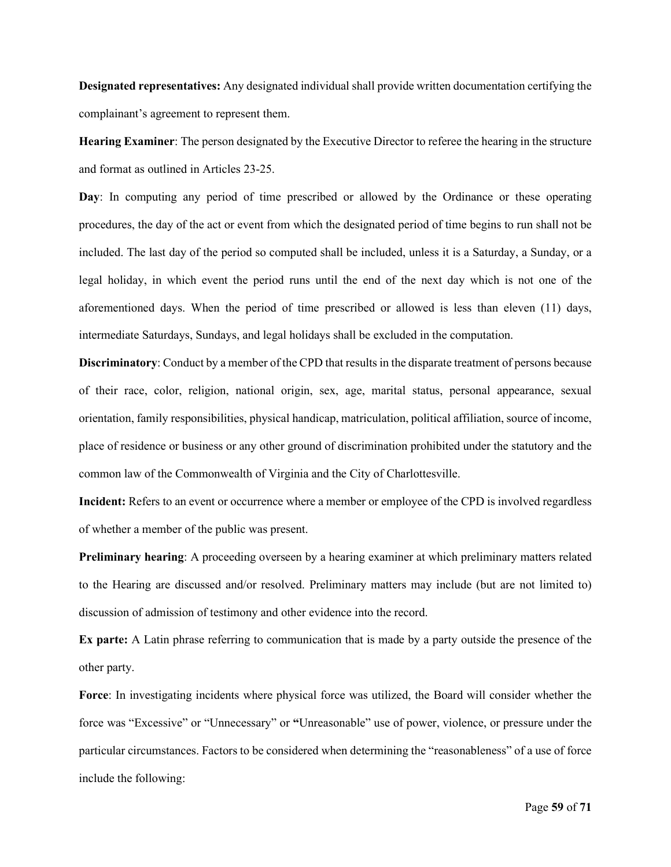**Designated representatives:** Any designated individual shall provide written documentation certifying the complainant's agreement to represent them.

**Hearing Examiner**: The person designated by the Executive Director to referee the hearing in the structure and format as outlined in Articles 23-25.

**Day**: In computing any period of time prescribed or allowed by the Ordinance or these operating procedures, the day of the act or event from which the designated period of time begins to run shall not be included. The last day of the period so computed shall be included, unless it is a Saturday, a Sunday, or a legal holiday, in which event the period runs until the end of the next day which is not one of the aforementioned days. When the period of time prescribed or allowed is less than eleven (11) days, intermediate Saturdays, Sundays, and legal holidays shall be excluded in the computation.

**Discriminatory**: Conduct by a member of the CPD that results in the disparate treatment of persons because of their race, color, religion, national origin, sex, age, marital status, personal appearance, sexual orientation, family responsibilities, physical handicap, matriculation, political affiliation, source of income, place of residence or business or any other ground of discrimination prohibited under the statutory and the common law of the Commonwealth of Virginia and the City of Charlottesville.

**Incident:** Refers to an event or occurrence where a member or employee of the CPD is involved regardless of whether a member of the public was present.

**Preliminary hearing**: A proceeding overseen by a hearing examiner at which preliminary matters related to the Hearing are discussed and/or resolved. Preliminary matters may include (but are not limited to) discussion of admission of testimony and other evidence into the record.

**Ex parte:** A Latin phrase referring to communication that is made by a party outside the presence of the other party.

**Force**: In investigating incidents where physical force was utilized, the Board will consider whether the force was "Excessive" or "Unnecessary" or **"**Unreasonable" use of power, violence, or pressure under the particular circumstances. Factors to be considered when determining the "reasonableness" of a use of force include the following: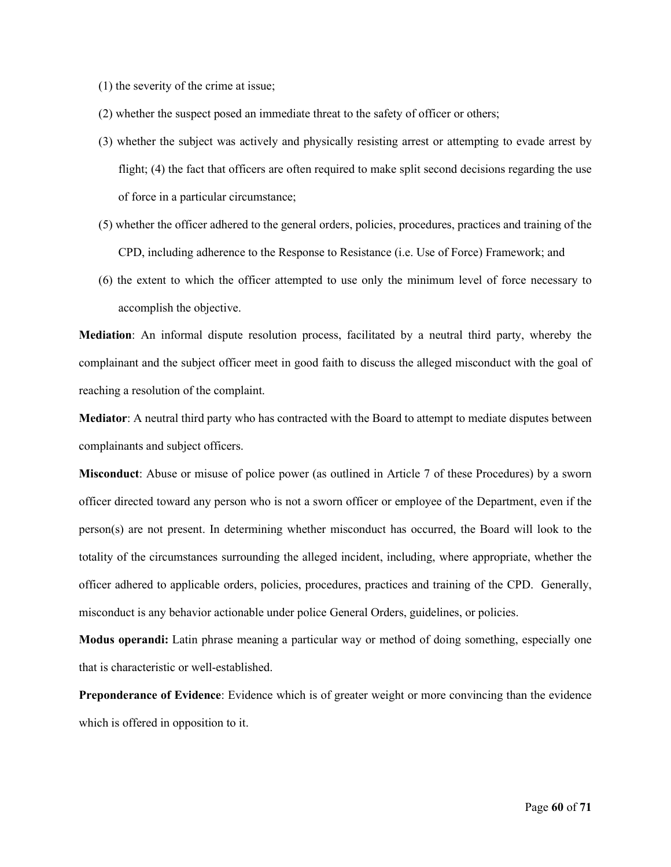(1) the severity of the crime at issue;

(2) whether the suspect posed an immediate threat to the safety of officer or others;

- (3) whether the subject was actively and physically resisting arrest or attempting to evade arrest by flight; (4) the fact that officers are often required to make split second decisions regarding the use of force in a particular circumstance;
- (5) whether the officer adhered to the general orders, policies, procedures, practices and training of the CPD, including adherence to the Response to Resistance (i.e. Use of Force) Framework; and
- (6) the extent to which the officer attempted to use only the minimum level of force necessary to accomplish the objective.

**Mediation**: An informal dispute resolution process, facilitated by a neutral third party, whereby the complainant and the subject officer meet in good faith to discuss the alleged misconduct with the goal of reaching a resolution of the complaint.

**Mediator**: A neutral third party who has contracted with the Board to attempt to mediate disputes between complainants and subject officers.

**Misconduct**: Abuse or misuse of police power (as outlined in Article 7 of these Procedures) by a sworn officer directed toward any person who is not a sworn officer or employee of the Department, even if the person(s) are not present. In determining whether misconduct has occurred, the Board will look to the totality of the circumstances surrounding the alleged incident, including, where appropriate, whether the officer adhered to applicable orders, policies, procedures, practices and training of the CPD. Generally, misconduct is any behavior actionable under police General Orders, guidelines, or policies.

**Modus operandi:** Latin phrase meaning a particular way or method of doing something, especially one that is characteristic or well-established.

**Preponderance of Evidence**: Evidence which is of greater weight or more convincing than the evidence which is offered in opposition to it.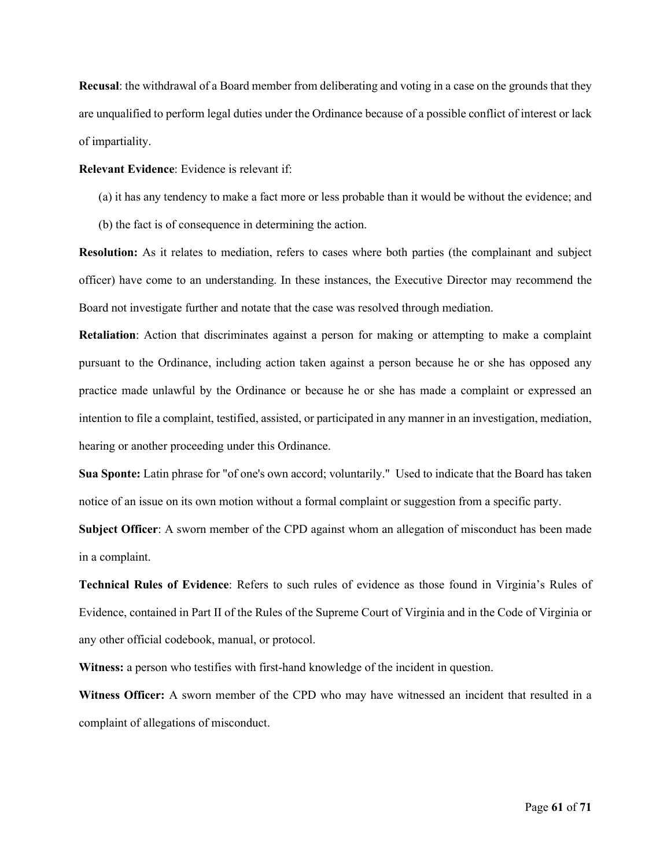**Recusal**: the withdrawal of a Board member from deliberating and voting in a case on the grounds that they are unqualified to perform legal duties under the Ordinance because of a possible conflict of interest or lack of impartiality.

#### **Relevant Evidence**: Evidence is relevant if:

- (a) it has any tendency to make a fact more or less probable than it would be without the evidence; and
- (b) the fact is of consequence in determining the action.

**Resolution:** As it relates to mediation, refers to cases where both parties (the complainant and subject officer) have come to an understanding. In these instances, the Executive Director may recommend the Board not investigate further and notate that the case was resolved through mediation.

**Retaliation**: Action that discriminates against a person for making or attempting to make a complaint pursuant to the Ordinance, including action taken against a person because he or she has opposed any practice made unlawful by the Ordinance or because he or she has made a complaint or expressed an intention to file a complaint, testified, assisted, or participated in any manner in an investigation, mediation, hearing or another proceeding under this Ordinance.

**Sua Sponte:** Latin phrase for "of one's own accord; voluntarily." Used to indicate that the Board has taken notice of an issue on its own motion without a formal complaint or suggestion from a specific party.

**Subject Officer**: A sworn member of the CPD against whom an allegation of misconduct has been made in a complaint.

**Technical Rules of Evidence**: Refers to such rules of evidence as those found in Virginia's Rules of Evidence, contained in Part II of the Rules of the Supreme Court of Virginia and in the Code of Virginia or any other official codebook, manual, or protocol.

**Witness:** a person who testifies with first-hand knowledge of the incident in question.

**Witness Officer:** A sworn member of the CPD who may have witnessed an incident that resulted in a complaint of allegations of misconduct.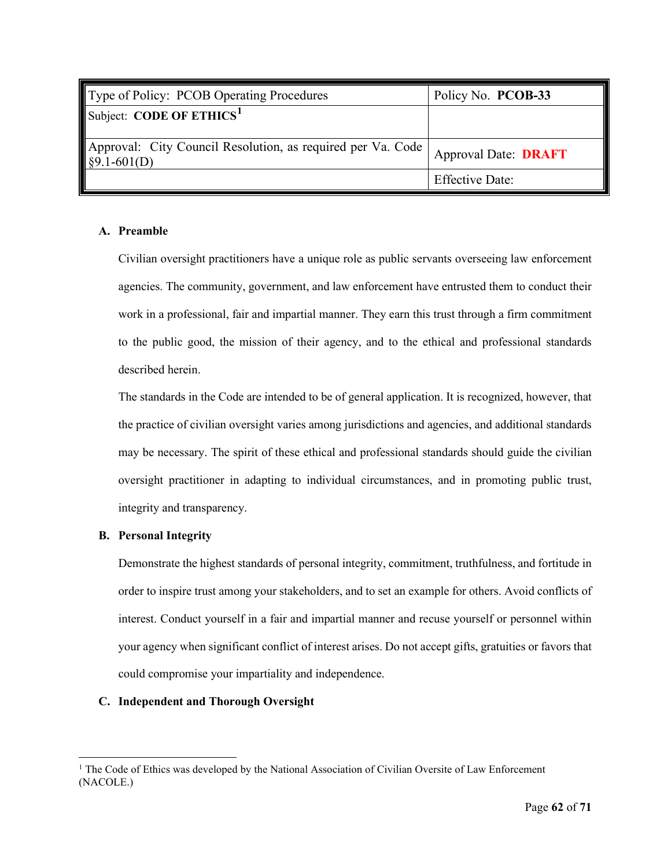| Type of Policy: PCOB Operating Procedures                                  | Policy No. PCOB-33          |
|----------------------------------------------------------------------------|-----------------------------|
| Subject: CODE OF ETHICS <sup>1</sup>                                       |                             |
| Approval: City Council Resolution, as required per Va. Code<br>§9.1-601(D) | <b>Approval Date: DRAFT</b> |
|                                                                            | <b>Effective Date:</b>      |

# **A. Preamble**

Civilian oversight practitioners have a unique role as public servants overseeing law enforcement agencies. The community, government, and law enforcement have entrusted them to conduct their work in a professional, fair and impartial manner. They earn this trust through a firm commitment to the public good, the mission of their agency, and to the ethical and professional standards described herein.

The standards in the Code are intended to be of general application. It is recognized, however, that the practice of civilian oversight varies among jurisdictions and agencies, and additional standards may be necessary. The spirit of these ethical and professional standards should guide the civilian oversight practitioner in adapting to individual circumstances, and in promoting public trust, integrity and transparency.

# **B. Personal Integrity**

Demonstrate the highest standards of personal integrity, commitment, truthfulness, and fortitude in order to inspire trust among your stakeholders, and to set an example for others. Avoid conflicts of interest. Conduct yourself in a fair and impartial manner and recuse yourself or personnel within your agency when significant conflict of interest arises. Do not accept gifts, gratuities or favors that could compromise your impartiality and independence.

# **C. Independent and Thorough Oversight**

<span id="page-63-0"></span><sup>&</sup>lt;sup>1</sup> The Code of Ethics was developed by the National Association of Civilian Oversite of Law Enforcement (NACOLE.)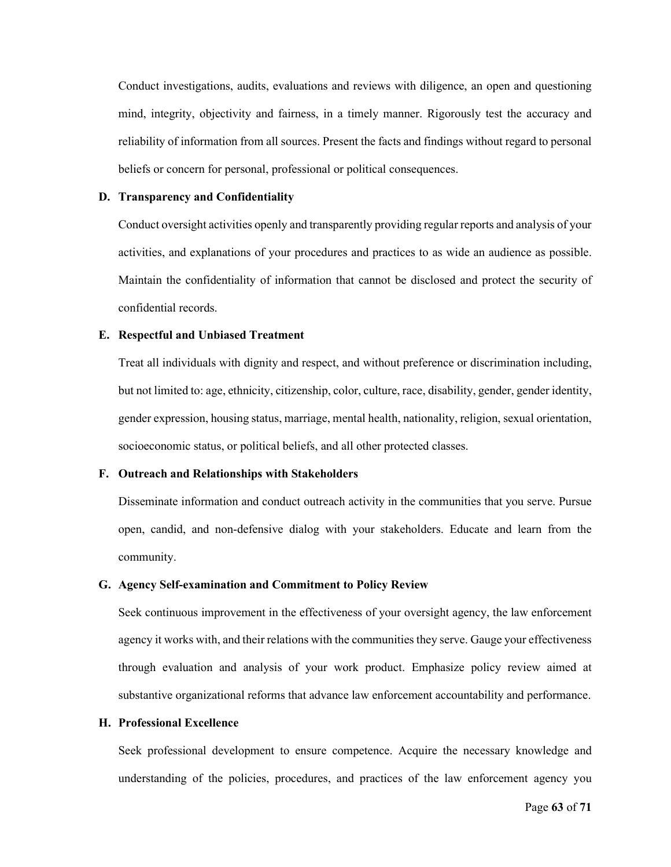Conduct investigations, audits, evaluations and reviews with diligence, an open and questioning mind, integrity, objectivity and fairness, in a timely manner. Rigorously test the accuracy and reliability of information from all sources. Present the facts and findings without regard to personal beliefs or concern for personal, professional or political consequences.

#### **D. Transparency and Confidentiality**

Conduct oversight activities openly and transparently providing regular reports and analysis of your activities, and explanations of your procedures and practices to as wide an audience as possible. Maintain the confidentiality of information that cannot be disclosed and protect the security of confidential records.

#### **E. Respectful and Unbiased Treatment**

Treat all individuals with dignity and respect, and without preference or discrimination including, but not limited to: age, ethnicity, citizenship, color, culture, race, disability, gender, gender identity, gender expression, housing status, marriage, mental health, nationality, religion, sexual orientation, socioeconomic status, or political beliefs, and all other protected classes.

#### **F. Outreach and Relationships with Stakeholders**

Disseminate information and conduct outreach activity in the communities that you serve. Pursue open, candid, and non-defensive dialog with your stakeholders. Educate and learn from the community.

## **G. Agency Self-examination and Commitment to Policy Review**

Seek continuous improvement in the effectiveness of your oversight agency, the law enforcement agency it works with, and their relations with the communities they serve. Gauge your effectiveness through evaluation and analysis of your work product. Emphasize policy review aimed at substantive organizational reforms that advance law enforcement accountability and performance.

#### **H. Professional Excellence**

Seek professional development to ensure competence. Acquire the necessary knowledge and understanding of the policies, procedures, and practices of the law enforcement agency you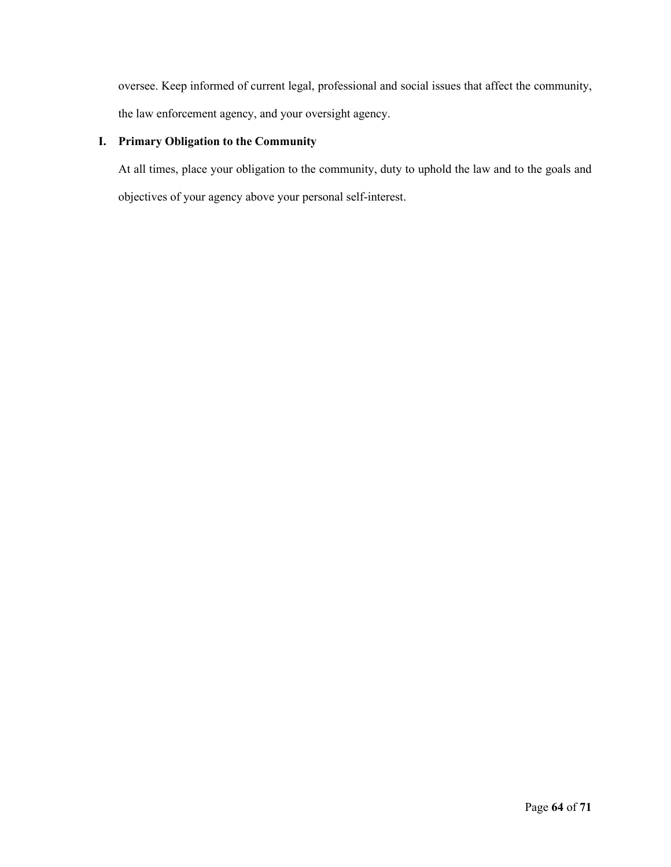oversee. Keep informed of current legal, professional and social issues that affect the community, the law enforcement agency, and your oversight agency.

# **I. Primary Obligation to the Community**

At all times, place your obligation to the community, duty to uphold the law and to the goals and objectives of your agency above your personal self-interest.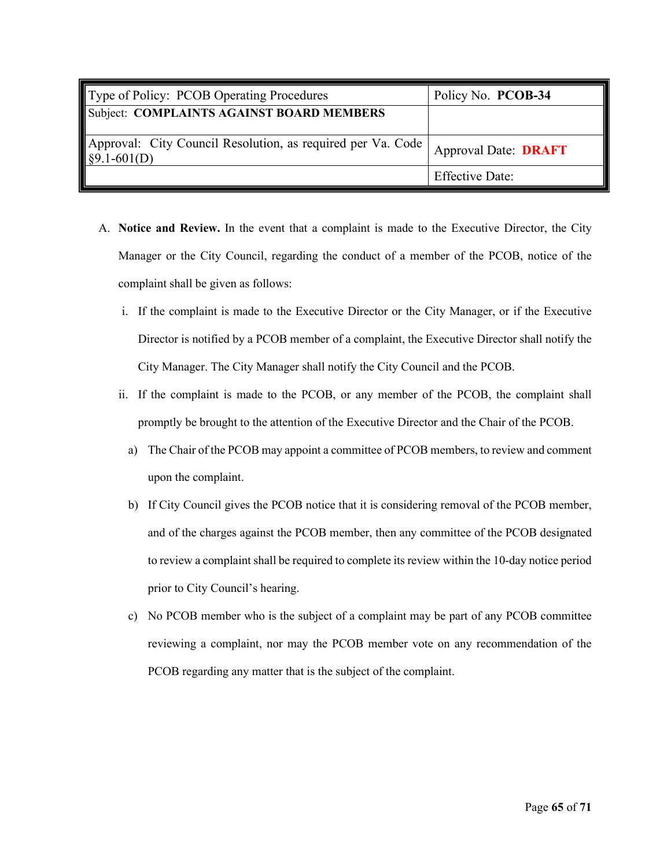| Type of Policy: PCOB Operating Procedures                                                              | Policy No. PCOB-34          |
|--------------------------------------------------------------------------------------------------------|-----------------------------|
| Subject: COMPLAINTS AGAINST BOARD MEMBERS                                                              |                             |
| Approval: City Council Resolution, as required per Va. Code  <br>$\left  \frac{89.1 - 601}{D} \right $ | <b>Approval Date: DRAFT</b> |
|                                                                                                        | <b>Effective Date:</b>      |

- A. **Notice and Review.** In the event that a complaint is made to the Executive Director, the City Manager or the City Council, regarding the conduct of a member of the PCOB, notice of the complaint shall be given as follows:
	- i. If the complaint is made to the Executive Director or the City Manager, or if the Executive Director is notified by a PCOB member of a complaint, the Executive Director shall notify the City Manager. The City Manager shall notify the City Council and the PCOB.
	- ii. If the complaint is made to the PCOB, or any member of the PCOB, the complaint shall promptly be brought to the attention of the Executive Director and the Chair of the PCOB.
		- a) The Chair of the PCOB may appoint a committee of PCOB members, to review and comment upon the complaint.
		- b) If City Council gives the PCOB notice that it is considering removal of the PCOB member, and of the charges against the PCOB member, then any committee of the PCOB designated to review a complaint shall be required to complete its review within the 10-day notice period prior to City Council's hearing.
		- c) No PCOB member who is the subject of a complaint may be part of any PCOB committee reviewing a complaint, nor may the PCOB member vote on any recommendation of the PCOB regarding any matter that is the subject of the complaint.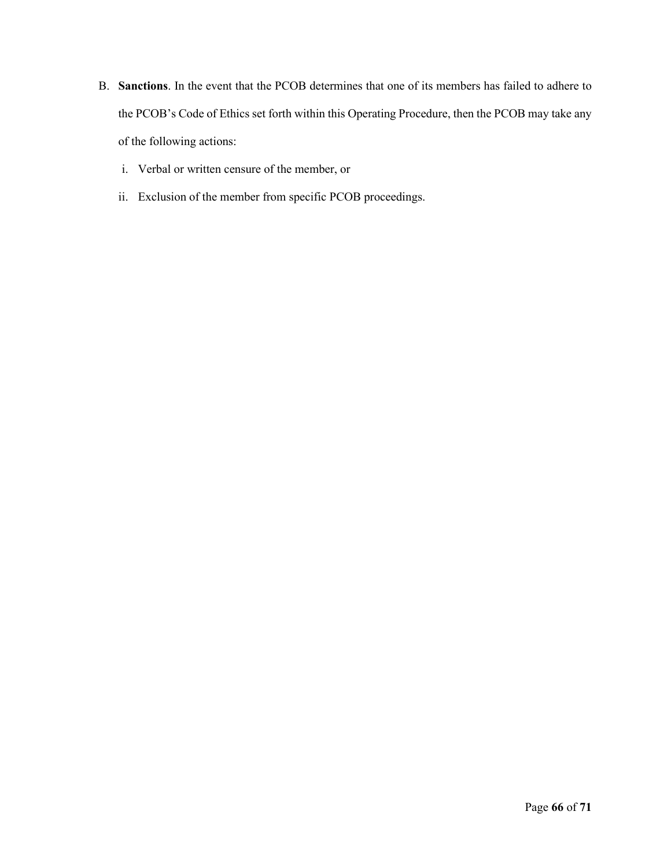- B. **Sanctions**. In the event that the PCOB determines that one of its members has failed to adhere to the PCOB's Code of Ethics set forth within this Operating Procedure, then the PCOB may take any of the following actions:
	- i. Verbal or written censure of the member, or
	- ii. Exclusion of the member from specific PCOB proceedings.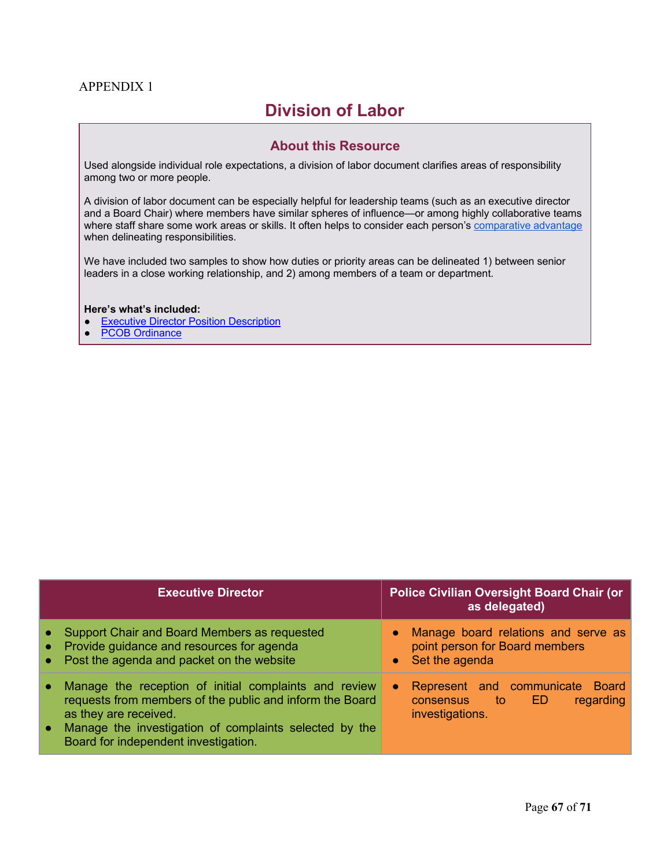# APPENDIX 1

# **Division of Labor**

# **About this Resource**

Used alongside individual role expectations, a division of labor document clarifies areas of responsibility among two or more people.

A division of labor document can be especially helpful for leadership teams (such as an executive director and a Board Chair) where members have similar spheres of influence—or among highly collaborative teams where staff share some work areas or skills. It often helps to consider each person's comparative advantage when delineating responsibilities.

We have included two samples to show how duties or priority areas can be delineated 1) between senior leaders in a close working relationship, and 2) among members of a team or department.

#### **Here's what's included:**

- **Executive Director Position Description**
- **PCOB Ordinance**

| <b>Executive Director</b>                                                                                                                                                                                                                    | <b>Police Civilian Oversight Board Chair (or</b><br>as delegated)                                            |
|----------------------------------------------------------------------------------------------------------------------------------------------------------------------------------------------------------------------------------------------|--------------------------------------------------------------------------------------------------------------|
| • Support Chair and Board Members as requested<br>• Provide guidance and resources for agenda<br>• Post the agenda and packet on the website                                                                                                 | Manage board relations and serve as<br>point person for Board members<br>• Set the agenda                    |
| Manage the reception of initial complaints and review<br>requests from members of the public and inform the Board<br>as they are received.<br>Manage the investigation of complaints selected by the<br>Board for independent investigation. | Represent and communicate Board<br>$\bullet$<br>regarding<br><b>to</b><br>ED<br>consensus<br>investigations. |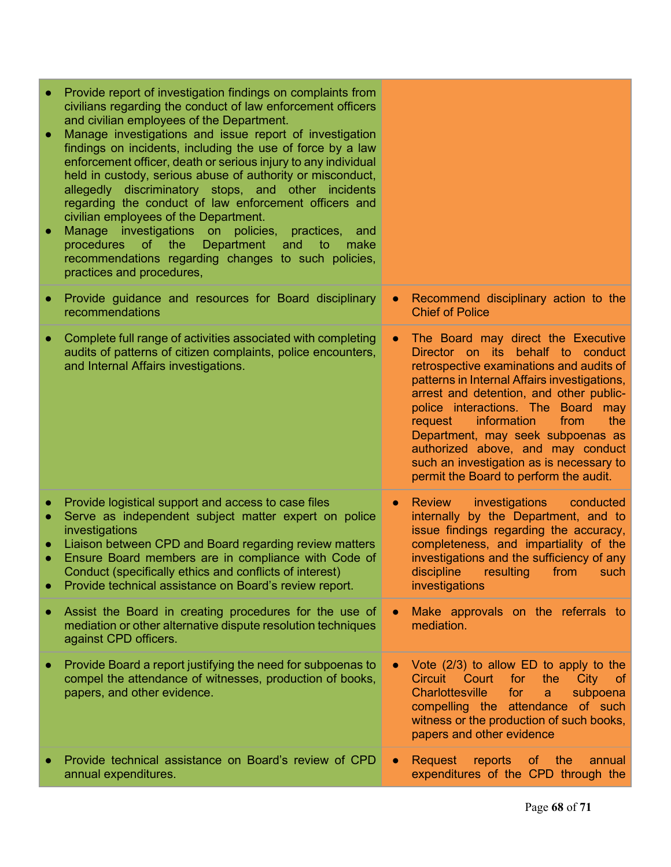| ۰              | Provide report of investigation findings on complaints from<br>civilians regarding the conduct of law enforcement officers<br>and civilian employees of the Department.<br>Manage investigations and issue report of investigation<br>findings on incidents, including the use of force by a law<br>enforcement officer, death or serious injury to any individual<br>held in custody, serious abuse of authority or misconduct,<br>allegedly discriminatory stops, and other incidents<br>regarding the conduct of law enforcement officers and<br>civilian employees of the Department.<br>Manage investigations on<br>policies,<br>practices,<br>and<br>Department<br>procedures<br>of the<br>and<br>make<br>to<br>recommendations regarding changes to such policies,<br>practices and procedures, |           |                                                                                                                                                                                                                                                                                                                                                                                                                                                               |
|----------------|--------------------------------------------------------------------------------------------------------------------------------------------------------------------------------------------------------------------------------------------------------------------------------------------------------------------------------------------------------------------------------------------------------------------------------------------------------------------------------------------------------------------------------------------------------------------------------------------------------------------------------------------------------------------------------------------------------------------------------------------------------------------------------------------------------|-----------|---------------------------------------------------------------------------------------------------------------------------------------------------------------------------------------------------------------------------------------------------------------------------------------------------------------------------------------------------------------------------------------------------------------------------------------------------------------|
|                | Provide guidance and resources for Board disciplinary<br>recommendations                                                                                                                                                                                                                                                                                                                                                                                                                                                                                                                                                                                                                                                                                                                               | $\bullet$ | Recommend disciplinary action to the<br><b>Chief of Police</b>                                                                                                                                                                                                                                                                                                                                                                                                |
|                | Complete full range of activities associated with completing<br>audits of patterns of citizen complaints, police encounters,<br>and Internal Affairs investigations.                                                                                                                                                                                                                                                                                                                                                                                                                                                                                                                                                                                                                                   | $\bullet$ | The Board may direct the Executive<br>Director on its behalf to conduct<br>retrospective examinations and audits of<br>patterns in Internal Affairs investigations,<br>arrest and detention, and other public-<br>police interactions. The Board may<br>information<br>from<br>the<br>request<br>Department, may seek subpoenas as<br>authorized above, and may conduct<br>such an investigation as is necessary to<br>permit the Board to perform the audit. |
| $\bullet$<br>۰ | Provide logistical support and access to case files<br>Serve as independent subject matter expert on police<br>investigations<br>Liaison between CPD and Board regarding review matters<br>Ensure Board members are in compliance with Code of<br>Conduct (specifically ethics and conflicts of interest)<br>Provide technical assistance on Board's review report.                                                                                                                                                                                                                                                                                                                                                                                                                                    | $\bullet$ | investigations<br><b>Review</b><br>conducted<br>internally by the Department, and to<br>issue findings regarding the accuracy,<br>completeness, and impartiality of the<br>investigations and the sufficiency of any<br>discipline resulting from such<br>investigations                                                                                                                                                                                      |
|                | Assist the Board in creating procedures for the use of<br>mediation or other alternative dispute resolution techniques<br>against CPD officers.                                                                                                                                                                                                                                                                                                                                                                                                                                                                                                                                                                                                                                                        |           | Make approvals on the referrals to<br>mediation.                                                                                                                                                                                                                                                                                                                                                                                                              |
|                | Provide Board a report justifying the need for subpoenas to<br>compel the attendance of witnesses, production of books,<br>papers, and other evidence.                                                                                                                                                                                                                                                                                                                                                                                                                                                                                                                                                                                                                                                 |           | Vote $(2/3)$ to allow ED to apply to the<br><b>City</b><br>Circuit Court<br>for<br>the<br><b>of</b><br><b>Charlottesville</b><br>for<br>subpoena<br>a<br>compelling the attendance of such<br>witness or the production of such books,<br>papers and other evidence                                                                                                                                                                                           |
|                | Provide technical assistance on Board's review of CPD<br>annual expenditures.                                                                                                                                                                                                                                                                                                                                                                                                                                                                                                                                                                                                                                                                                                                          | $\bullet$ | Request<br>reports<br>of the<br>annual<br>expenditures of the CPD through the                                                                                                                                                                                                                                                                                                                                                                                 |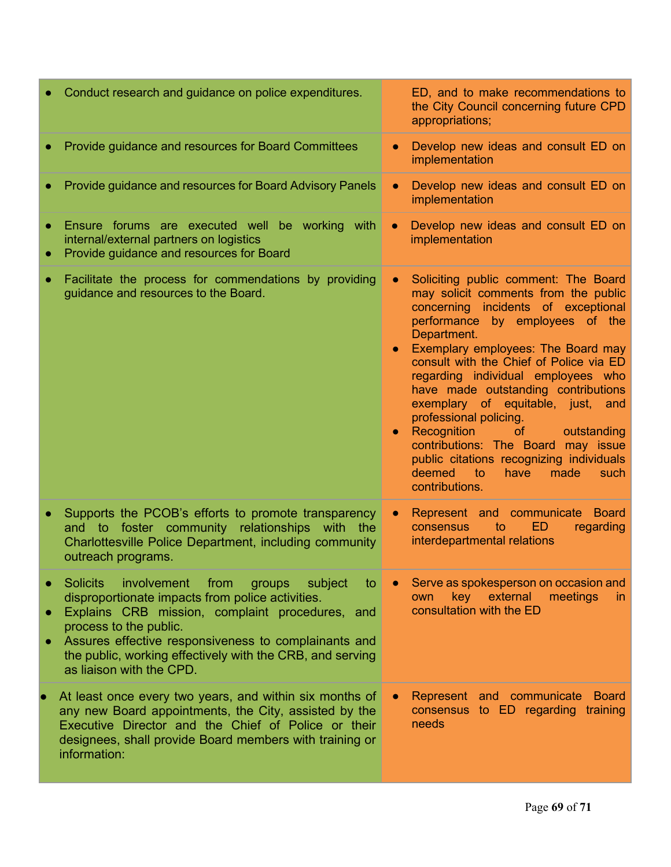|           | Conduct research and guidance on police expenditures.                                                                                                                                                                                                                                                                                               |           | ED, and to make recommendations to<br>the City Council concerning future CPD<br>appropriations;                                                                                                                                                                                                                                                                                                                                                                                                                                                                                                                      |
|-----------|-----------------------------------------------------------------------------------------------------------------------------------------------------------------------------------------------------------------------------------------------------------------------------------------------------------------------------------------------------|-----------|----------------------------------------------------------------------------------------------------------------------------------------------------------------------------------------------------------------------------------------------------------------------------------------------------------------------------------------------------------------------------------------------------------------------------------------------------------------------------------------------------------------------------------------------------------------------------------------------------------------------|
|           | Provide guidance and resources for Board Committees                                                                                                                                                                                                                                                                                                 |           | Develop new ideas and consult ED on<br>implementation                                                                                                                                                                                                                                                                                                                                                                                                                                                                                                                                                                |
|           | Provide guidance and resources for Board Advisory Panels                                                                                                                                                                                                                                                                                            | $\bullet$ | Develop new ideas and consult ED on<br>implementation                                                                                                                                                                                                                                                                                                                                                                                                                                                                                                                                                                |
|           | Ensure forums are executed well be working with<br>internal/external partners on logistics<br>Provide guidance and resources for Board                                                                                                                                                                                                              | $\bullet$ | Develop new ideas and consult ED on<br>implementation                                                                                                                                                                                                                                                                                                                                                                                                                                                                                                                                                                |
| ۰         | Facilitate the process for commendations by providing<br>guidance and resources to the Board.                                                                                                                                                                                                                                                       |           | Soliciting public comment: The Board<br>may solicit comments from the public<br>concerning incidents of exceptional<br>performance by employees of the<br>Department.<br><b>Exemplary employees: The Board may</b><br>consult with the Chief of Police via ED<br>regarding individual employees who<br>have made outstanding contributions<br>exemplary of equitable, just, and<br>professional policing.<br>Recognition<br><b>of</b><br>outstanding<br>contributions: The Board may issue<br>public citations recognizing individuals<br>deemed<br>$\bullet$ to $\bullet$<br>have<br>such<br>made<br>contributions. |
|           | Supports the PCOB's efforts to promote transparency<br>and to foster community relationships<br>with<br>the<br>Charlottesville Police Department, including community<br>outreach programs.                                                                                                                                                         |           | Represent and communicate<br><b>Board</b><br>ED<br>regarding<br>consensus<br>to<br>interdepartmental relations                                                                                                                                                                                                                                                                                                                                                                                                                                                                                                       |
|           | <b>Solicits</b><br>involvement<br>from<br>groups<br>subject<br>to<br>disproportionate impacts from police activities.<br>Explains CRB mission, complaint procedures, and<br>process to the public.<br>Assures effective responsiveness to complainants and<br>the public, working effectively with the CRB, and serving<br>as liaison with the CPD. |           | Serve as spokesperson on occasion and<br>external<br>key<br>meetings<br>own<br>in.<br>consultation with the ED                                                                                                                                                                                                                                                                                                                                                                                                                                                                                                       |
| $\bullet$ | At least once every two years, and within six months of<br>any new Board appointments, the City, assisted by the<br>Executive Director and the Chief of Police or their<br>designees, shall provide Board members with training or<br>information:                                                                                                  |           | Represent and communicate Board<br>consensus to ED regarding training<br>needs                                                                                                                                                                                                                                                                                                                                                                                                                                                                                                                                       |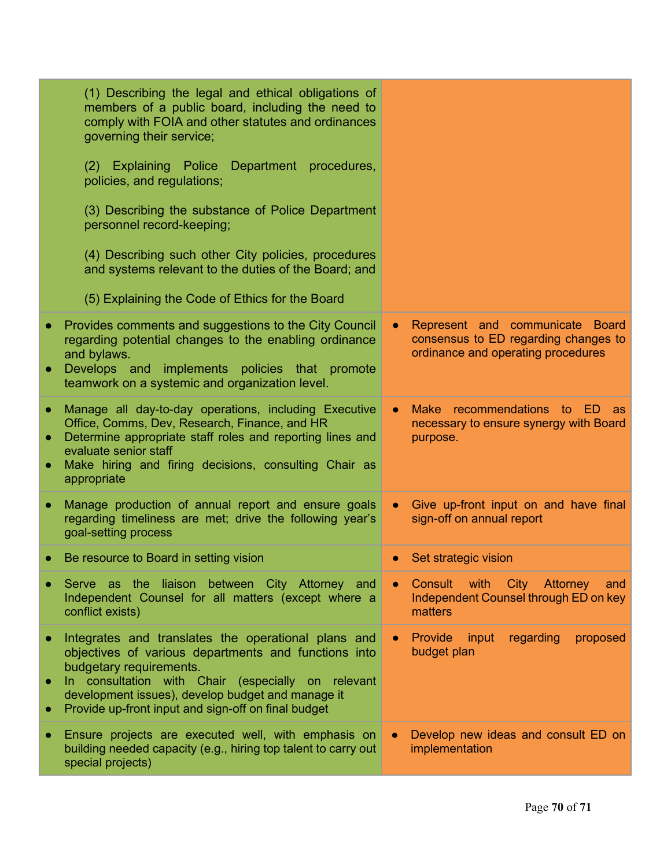|                                     | (1) Describing the legal and ethical obligations of<br>members of a public board, including the need to<br>comply with FOIA and other statutes and ordinances<br>governing their service;                                                                                                                |           |                                                                                                               |
|-------------------------------------|----------------------------------------------------------------------------------------------------------------------------------------------------------------------------------------------------------------------------------------------------------------------------------------------------------|-----------|---------------------------------------------------------------------------------------------------------------|
|                                     | (2) Explaining Police Department procedures,<br>policies, and regulations;                                                                                                                                                                                                                               |           |                                                                                                               |
|                                     | (3) Describing the substance of Police Department<br>personnel record-keeping;                                                                                                                                                                                                                           |           |                                                                                                               |
|                                     | (4) Describing such other City policies, procedures<br>and systems relevant to the duties of the Board; and                                                                                                                                                                                              |           |                                                                                                               |
|                                     | (5) Explaining the Code of Ethics for the Board                                                                                                                                                                                                                                                          |           |                                                                                                               |
| $\bullet$<br>$\bullet$              | Provides comments and suggestions to the City Council<br>regarding potential changes to the enabling ordinance<br>and bylaws.<br>Develops and implements policies that promote<br>teamwork on a systemic and organization level.                                                                         |           | Represent and communicate Board<br>consensus to ED regarding changes to<br>ordinance and operating procedures |
| $\bullet$<br>$\bullet$<br>$\bullet$ | Manage all day-to-day operations, including Executive<br>Office, Comms, Dev, Research, Finance, and HR<br>Determine appropriate staff roles and reporting lines and<br>evaluate senior staff<br>Make hiring and firing decisions, consulting Chair as<br>appropriate                                     | $\bullet$ | Make recommendations to<br>- ED<br>as<br>necessary to ensure synergy with Board<br>purpose.                   |
| $\bullet$                           | Manage production of annual report and ensure goals<br>regarding timeliness are met; drive the following year's<br>goal-setting process                                                                                                                                                                  |           | Give up-front input on and have final<br>sign-off on annual report                                            |
| $\bullet$                           | Be resource to Board in setting vision                                                                                                                                                                                                                                                                   |           | Set strategic vision                                                                                          |
| ٠                                   | Serve as the liaison between City Attorney and<br>Independent Counsel for all matters (except where a<br>conflict exists)                                                                                                                                                                                |           | Consult<br>with<br>City Attorney<br>and<br>Independent Counsel through ED on key<br>matters                   |
| $\bullet$<br>$\bullet$<br>$\bullet$ | Integrates and translates the operational plans and<br>objectives of various departments and functions into<br>budgetary requirements.<br>In consultation with Chair (especially on relevant<br>development issues), develop budget and manage it<br>Provide up-front input and sign-off on final budget |           | <b>Provide</b><br>regarding<br>input<br>proposed<br>budget plan                                               |
| $\bullet$                           | Ensure projects are executed well, with emphasis on<br>building needed capacity (e.g., hiring top talent to carry out<br>special projects)                                                                                                                                                               | $\bullet$ | Develop new ideas and consult ED on<br>implementation                                                         |